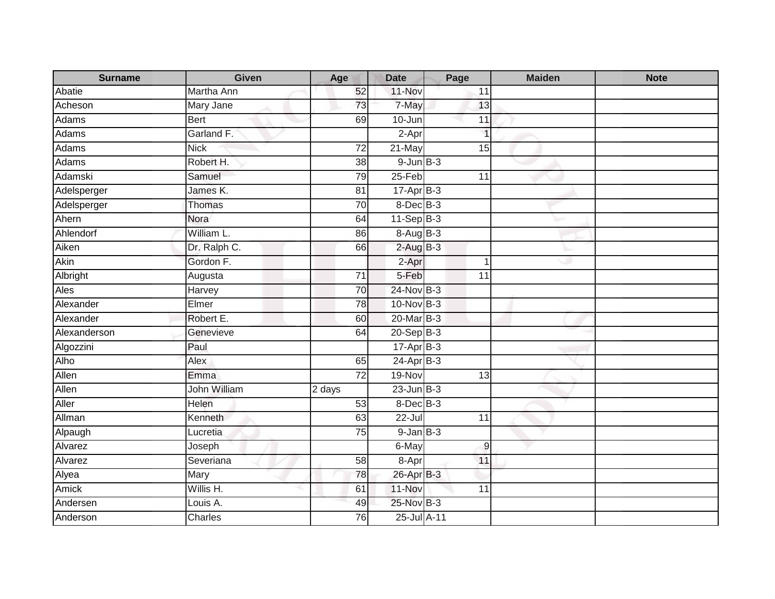| <b>Surname</b> | Given          | Age             | <b>Date</b>     | Page                    | <b>Maiden</b> | <b>Note</b> |
|----------------|----------------|-----------------|-----------------|-------------------------|---------------|-------------|
| Abatie         | Martha Ann     | 52              | 11-Nov          | 11                      |               |             |
| Acheson        | Mary Jane      | 73              | 7-May           | 13                      |               |             |
| Adams          | Bert           | 69              | 10-Jun          | 11                      |               |             |
| <b>Adams</b>   | Garland F.     |                 | $2-Apr$         | $\overline{\mathbf{1}}$ |               |             |
| Adams          | <b>Nick</b>    | $\overline{72}$ | 21-May          | 15                      |               |             |
| Adams          | Robert H.      | 38              | $9$ -Jun $B$ -3 |                         |               |             |
| Adamski        | Samuel         | 79              | $25 - Feb$      | 11                      |               |             |
| Adelsperger    | James K.       | $\overline{81}$ | $17-Apr$ B-3    |                         |               |             |
| Adelsperger    | Thomas         | 70              | $8$ -Dec $B$ -3 |                         |               |             |
| Ahern          | Nora           | 64              | $11-Sep$ B-3    |                         |               |             |
| Ahlendorf      | William L.     | 86              | $8-AugB-3$      |                         |               |             |
| Aiken          | Dr. Ralph C.   | 66              | $2$ -Aug $B-3$  |                         |               |             |
| Akin           | Gordon F.      |                 | 2-Apr           |                         | ت             |             |
| Albright       | Augusta        | $\overline{71}$ | 5-Feb           | $\overline{11}$         |               |             |
| Ales           | Harvey         | 70              | $24$ -Nov B-3   |                         |               |             |
| Alexander      | Elmer          | 78              | 10-Nov B-3      |                         |               |             |
| Alexander      | Robert E.      | 60              | 20-Mar B-3      |                         |               |             |
| Alexanderson   | Genevieve      | 64              | $20-Sep$ B-3    |                         |               |             |
| Algozzini      | Paul           |                 | $17-Apr$ B-3    |                         |               |             |
| Alho           | Alex           | 65              | $24-Apr$ B-3    |                         |               |             |
| Allen          | Emma           | 72              | 19-Nov          | 13                      |               |             |
| Allen          | John William   | 2 days          | $23$ -Jun $B-3$ |                         |               |             |
| Aller          | Helen          | 53              | 8-Dec B-3       |                         |               |             |
| Allman         | <b>Kenneth</b> | 63              | 22-Jul          | 11                      |               |             |
| Alpaugh        | Lucretia       | 75              | $9$ -Jan $B$ -3 |                         |               |             |
| Alvarez        | Joseph         |                 | 6-May           | 9                       |               |             |
| Alvarez        | Severiana      | 58              | 8-Apr           | 11                      |               |             |
| Alyea          | Mary           | 78              | 26-Apr B-3      |                         |               |             |
| Amick          | Willis H.      | 61              | 11-Nov          | 11                      |               |             |
| Andersen       | Louis A.       | 49              | 25-Nov B-3      |                         |               |             |
| Anderson       | Charles        | 76              | 25-Jul A-11     |                         |               |             |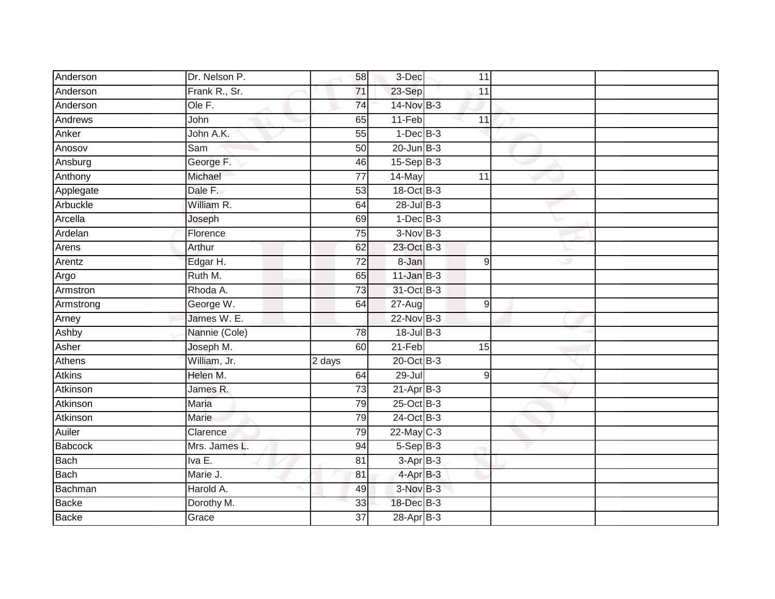| Anderson      | Dr. Nelson P.        | 58              | 3-Dec                       | 11              |   |  |
|---------------|----------------------|-----------------|-----------------------------|-----------------|---|--|
| Anderson      | Frank R., Sr.        | 71              | 23-Sep                      | 11              |   |  |
| Anderson      | Ole F.               | 74              | 14-Nov B-3                  |                 |   |  |
| Andrews       | John                 | 65              | 11-Feb                      | 11              |   |  |
| Anker         | John A.K.            | $\overline{55}$ | $1-Dec$ B-3                 |                 |   |  |
| Anosov        | Sam                  | 50              | $20$ -Jun $B-3$             |                 |   |  |
| Ansburg       | George <sub>F.</sub> | 46              | $15-Sep$ B-3                |                 |   |  |
| Anthony       | Michael              | 77              | 14-May                      | 11              |   |  |
| Applegate     | Dale F.              | 53              | $18-Oct$ B-3                |                 |   |  |
| Arbuckle      | William R.           | 64              | 28-Jul B-3                  |                 |   |  |
| Arcella       | Joseph               | 69              | $1-Dec$ B-3                 |                 |   |  |
| Ardelan       | Florence             | $\overline{75}$ | $3-NovB-3$                  |                 |   |  |
| Arens         | Arthur               | 62              | 23-Oct B-3                  |                 |   |  |
| Arentz        | Edgar H.             | 72              | 8-Jan                       | 9               | Ð |  |
| Argo          | Ruth M.              | 65              | $11$ -Jan B-3               |                 |   |  |
| Armstron      | Rhoda A.             | 73              | 31-Oct B-3                  |                 |   |  |
| Armstrong     | George W.            | 64              | 27-Aug                      | $\mathsf g$     |   |  |
| Arney         | James W. E.          |                 | $22-Nov$ B-3                |                 |   |  |
| Ashby         | Nannie (Cole)        | 78              | $18$ -Jul $B-3$             |                 |   |  |
| Asher         | Joseph M.            | 60              | $21-Feb$                    | $\overline{15}$ |   |  |
| Athens        | William, Jr.         | 2 days          | 20-Oct B-3                  |                 |   |  |
| <b>Atkins</b> | Helen M.             | 64              | 29-Jul                      | $\overline{9}$  |   |  |
| Atkinson      | James R.             | 73              | $21-Apr$ B-3                |                 |   |  |
| Atkinson      | <b>Maria</b>         | 79              | $25$ -Oct $\overline{B}$ -3 |                 |   |  |
| Atkinson      | Marie                | 79              | 24-Oct B-3                  |                 |   |  |
| Auiler        | Clarence             | 79              | $22$ -May C-3               |                 |   |  |
| Babcock       | Mrs. James L.        | 94              | $5-Sep$ B-3                 |                 |   |  |
| Bach          | Iva E.               | 81              | $3-Apr$ B-3                 |                 |   |  |
| Bach          | Marie J.             | 81              | $4-Apr$ B-3                 |                 |   |  |
| Bachman       | Harold A.            | 49              | 3-Nov B-3                   |                 |   |  |
| Backe         | Dorothy M.           | 33              | 18-Dec B-3                  |                 |   |  |
| <b>Backe</b>  | Grace                | 37              | $28-AprB-3$                 |                 |   |  |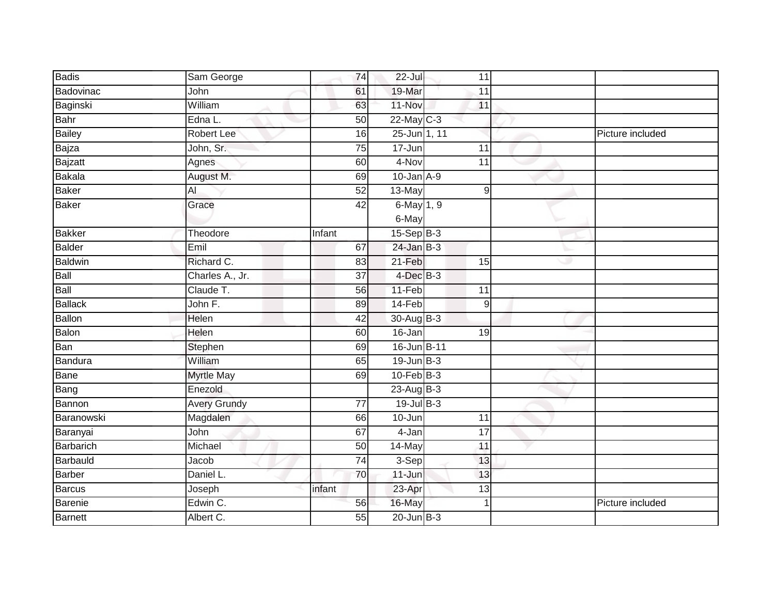| Badis         | Sam George          | 74              | $22 -$ Jul                  | 11              |                  |
|---------------|---------------------|-----------------|-----------------------------|-----------------|------------------|
| Badovinac     | John                | 61              | 19-Mar                      | 11              |                  |
| Baginski      | William             | 63              | 11-Nov                      | 11              |                  |
| Bahr          | Edna L.             | 50              | $22$ -May C-3               |                 |                  |
| Bailey        | Robert Lee          | 16              | $25 - Jun$ 1, 11            |                 | Picture included |
| Bajza         | John, Sr.           | 75              | 17-Jun                      | 11              |                  |
| Bajzatt       | Agnes               | 60              | 4-Nov                       | $\overline{11}$ |                  |
| Bakala        | August M.           | 69              | $10$ -Jan $A-9$             |                 |                  |
| Baker         | $\overline{AI}$     | 52              | $13-May$                    | $\overline{9}$  |                  |
| Baker         | Grace               | 42              | 6-May 1, 9                  |                 |                  |
|               |                     |                 | 6-May                       |                 |                  |
| <b>Bakker</b> | Theodore            | Infant          | $15-Sep$ B-3                |                 |                  |
| Balder        | Emil                | 67              | $24$ -Jan $\overline{B}$ -3 |                 |                  |
| Baldwin       | Richard C.          | 83              | 21-Feb                      | 15              |                  |
| Ball          | Charles A., Jr.     | 37              | $4$ -Dec $B-3$              |                 |                  |
| Ball          | Claude T.           | 56              | $11-Feb$                    | $\overline{11}$ |                  |
| Ballack       | John F.             | 89              | 14-Feb                      | $9\,$           |                  |
| <b>Ballon</b> | Helen               | 42              | $30 - Aug$ B-3              |                 |                  |
| Balon         | Helen               | 60              | $16 - Jan$                  | 19              |                  |
| Ban           | Stephen             | 69              | 16-Jun B-11                 |                 |                  |
| Bandura       | William             | 65              | $19$ -Jun $B-3$             |                 |                  |
| Bane          | <b>Myrtle May</b>   | 69              | $10$ -Feb $B-3$             |                 |                  |
| Bang          | Enezold             |                 | $23$ -Aug B-3               |                 |                  |
| Bannon        | <b>Avery Grundy</b> | $\overline{77}$ | $19$ -Jul B-3               |                 |                  |
| Baranowski    | Magdalen            | 66              | 10-Jun                      | 11              |                  |
| Baranyai      | John                | 67              | 4-Jan                       | $\overline{17}$ |                  |
| Barbarich     | Michael             | 50              | 14-May                      | 11              |                  |
| Barbauld      | Jacob               | 74              | 3-Sep                       | 13              |                  |
| Barber        | Daniel L.           | 70              | $11 - Jun$                  | 13              |                  |
| Barcus        | Joseph              | infant          | 23-Apr                      | 13              |                  |
| Barenie       | Edwin C.            | 56              | 16-May                      | 1               | Picture included |
| Barnett       | Albert C.           | 55              | $20$ -Jun $B-3$             |                 |                  |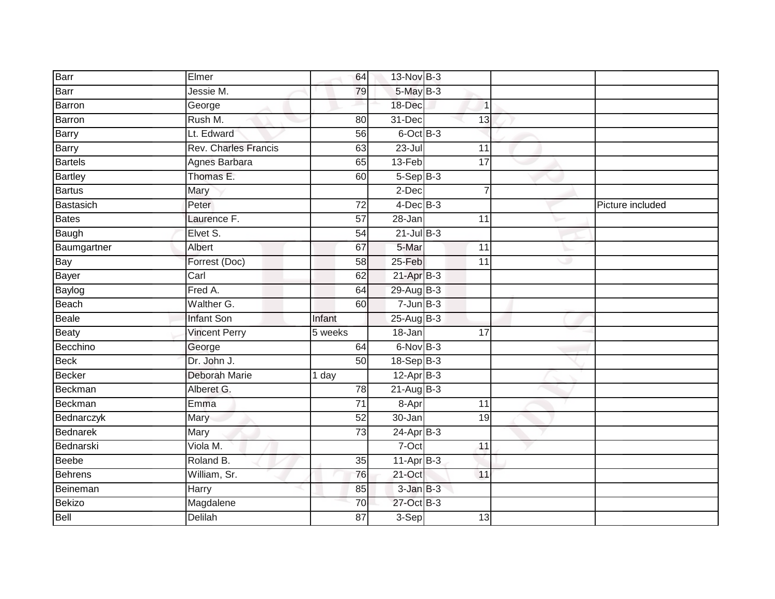| Barr            | Elmer                       | 64                   | 13-Nov B-3      |                      |                  |
|-----------------|-----------------------------|----------------------|-----------------|----------------------|------------------|
| Barr            | Jessie M.                   | 79                   | 5-May B-3       |                      |                  |
| <b>Barron</b>   | George                      |                      | 18-Dec          | 1                    |                  |
| Barron          | Rush M.                     | 80                   | 31-Dec          | 13                   |                  |
| <b>Barry</b>    | Lt. Edward                  | 56                   | $6$ -Oct $B$ -3 |                      |                  |
| <b>Barry</b>    | <b>Rev. Charles Francis</b> | 63                   | $23 -$ Jul      | 11                   |                  |
| Bartels         | Agnes Barbara               | 65                   | 13-Feb          | 17                   |                  |
| <b>Bartley</b>  | Thomas E.                   | 60                   | $5-SepB-3$      |                      |                  |
| <b>Bartus</b>   | Mary                        |                      | $2$ -Dec        | $\overline{7}$       |                  |
| Bastasich       | Peter                       | 72                   | $4$ -Dec $B-3$  |                      | Picture included |
| Bates           | Laurence F.                 | 57                   | 28-Jan          | 11                   |                  |
| Baugh           | Elvet S.                    | 54                   | $21$ -Jul B-3   |                      |                  |
| Baumgartner     | Albert                      | 67                   | 5-Mar           | 11                   |                  |
| Bay             | Forrest (Doc)               | 58                   | $25 - Feb$      | $\overline{11}$<br>Ð |                  |
| Bayer           | Carl                        | 62                   | $21$ -Apr $B-3$ |                      |                  |
| Baylog          | Fred A.                     | 64                   | 29-Aug B-3      |                      |                  |
| Beach           | Walther G.                  | 60                   | $7 - Jun$ B-3   |                      |                  |
| Beale           | <b>Infant Son</b>           | Infant               | $25-Aug$ B-3    |                      |                  |
| <b>Beaty</b>    | Vincent Perry               | $\overline{5}$ weeks | 18-Jan          | 17                   |                  |
| Becchino        | George                      | 64                   | 6-Nov B-3       |                      |                  |
| Beck            | Dr. John J.                 | 50                   | $18-Sep$ B-3    |                      |                  |
| <b>Becker</b>   | Deborah Marie               | 1 day                | $12$ -Apr $B-3$ |                      |                  |
| Beckman         | Alberet G.                  | $\overline{78}$      | $21-Aug$ B-3    |                      |                  |
| Beckman         | Emma                        | $\overline{71}$      | 8-Apr           | $\overline{11}$      |                  |
| Bednarczyk      | Mary                        | 52                   | $30 - Jan$      | 19                   |                  |
| <b>Bednarek</b> | Mary                        | 73                   | $24-Apr$ B-3    |                      |                  |
| Bednarski       | Viola M.                    |                      | $7-Oct$         | 11                   |                  |
| <b>Beebe</b>    | Roland B.                   | 35                   | $11-Apr$ B-3    |                      |                  |
| <b>Behrens</b>  | William, Sr.                | 76                   | 21-Oct          | 11                   |                  |
| Beineman        | Harry                       | $\overline{85}$      | $3$ -Jan $B-3$  |                      |                  |
| <b>Bekizo</b>   | Magdalene                   | 70                   | 27-Oct B-3      |                      |                  |
| Bell            | <b>Delilah</b>              | 87                   | 3-Sep           | 13                   |                  |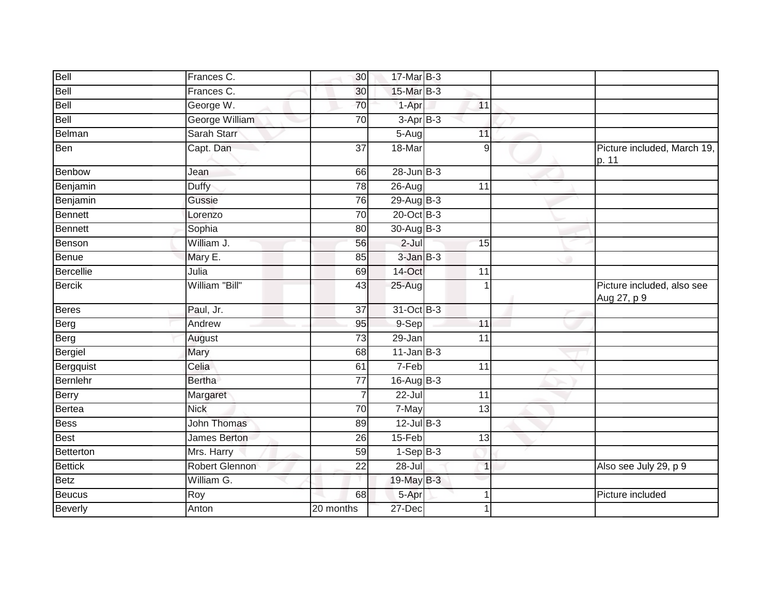| Bell           | Frances C.            | 30              | 17-Mar B-3      |                 |                                           |
|----------------|-----------------------|-----------------|-----------------|-----------------|-------------------------------------------|
| Bell           | Frances C.            | 30              | 15-Mar B-3      |                 |                                           |
| Bell           | George W.             | 70              | 1-Apr           | 11              |                                           |
| Bell           | <b>George William</b> | 70              | $3-AprB-3$      |                 |                                           |
| Belman         | Sarah Starr           |                 | 5-Aug           | 11              |                                           |
| <b>Ben</b>     | Capt. Dan             | 37              | 18-Mar          | 9               | Picture included, March 19,<br>p. 11      |
| Benbow         | Jean                  | 66              | $28$ -Jun $B-3$ |                 |                                           |
| Benjamin       | Duffy                 | 78              | 26-Aug          | $\overline{11}$ |                                           |
| Benjamin       | Gussie                | 76              | $29-AugB-3$     |                 |                                           |
| Bennett        | Lorenzo               | 70              | 20-Oct B-3      |                 |                                           |
| Bennett        | Sophia                | 80              | 30-Aug B-3      |                 |                                           |
| Benson         | William J.            | 56              | $2$ -Jul        | 15              |                                           |
| Benue          | Mary E.               | 85              | $3$ -Jan $B-3$  |                 |                                           |
| Bercellie      | Julia                 | 69              | $14$ -Oct       | 11              |                                           |
| <b>Bercik</b>  | William "Bill"        | 43              | $25 - Aug$      |                 | Picture included, also see<br>Aug 27, p 9 |
| <b>Beres</b>   | Paul, Jr.             | 37              | 31-Oct B-3      |                 |                                           |
| Berg           | Andrew                | 95              | 9-Sep           | 11              |                                           |
| Berg           | August                | 73              | $29 - Jan$      | 11              |                                           |
| Bergiel        | Mary                  | 68              | $11$ -Jan $B-3$ |                 |                                           |
| Bergquist      | Celia                 | 61              | 7-Feb           | 11              |                                           |
| Bernlehr       | <b>Bertha</b>         | 77              | $16$ -Aug $B-3$ |                 |                                           |
| Berry          | Margaret              | $\overline{7}$  | $22 -$ Jul      | 11              |                                           |
| Bertea         | <b>Nick</b>           | 70              | 7-May           | $\overline{13}$ |                                           |
| <b>Bess</b>    | <b>John Thomas</b>    | 89              | $12$ -Jul $B-3$ |                 |                                           |
| Best           | James Berton          | 26              | 15-Feb          | 13              |                                           |
| Betterton      | Mrs. Harry            | 59              | $1-Sep B-3$     |                 |                                           |
| <b>Bettick</b> | <b>Robert Glennon</b> | $\overline{22}$ | $28 -$ Jul      | $\overline{1}$  | Also see July 29, p 9                     |
| Betz           | William G.            |                 | 19-May B-3      |                 |                                           |
| Beucus         | Roy                   | 68              | $5-Apr$         | $\overline{1}$  | Picture included                          |
| Beverly        | Anton                 | 20 months       | 27-Dec          | 1               |                                           |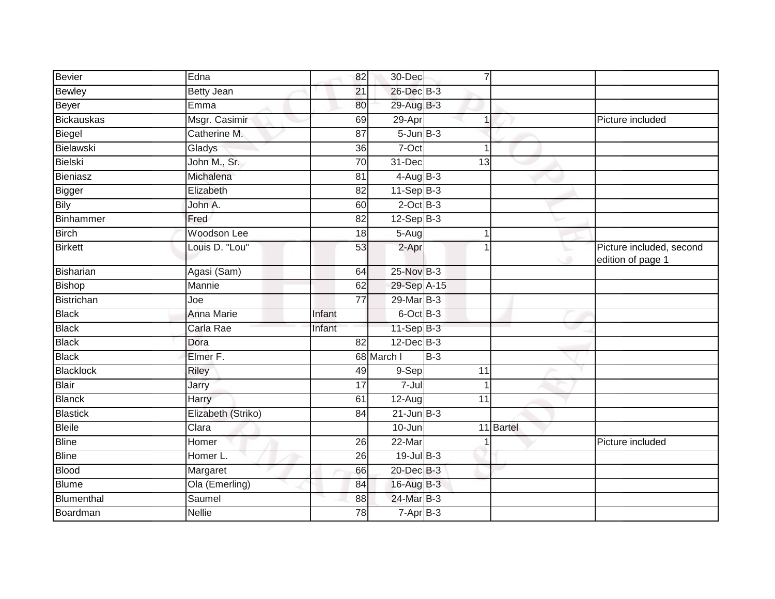| <b>Bevier</b>     | Edna               | 82              | 30-Dec          |       | $\overline{7}$ |           |                                               |
|-------------------|--------------------|-----------------|-----------------|-------|----------------|-----------|-----------------------------------------------|
| <b>Bewley</b>     | <b>Betty Jean</b>  | 21              | 26-Dec B-3      |       |                |           |                                               |
| Beyer             | Emma               | 80              | 29-Aug B-3      |       |                |           |                                               |
| <b>Bickauskas</b> | Msgr. Casimir      | 69              | 29-Apr          |       |                |           | Picture included                              |
| Biegel            | Catherine M.       | 87              | $5 - Jun$ $B-3$ |       |                |           |                                               |
| Bielawski         | Gladys             | 36              | 7-Oct           |       |                |           |                                               |
| <b>Bielski</b>    | John M., Sr.       | 70              | 31-Dec          |       | 13             |           |                                               |
| Bieniasz          | Michalena          | 81              | $4$ -Aug $B-3$  |       |                |           |                                               |
| Bigger            | Elizabeth          | $\overline{82}$ | $11-Sep$ B-3    |       |                |           |                                               |
| <b>Bily</b>       | John A.            | 60              | $2$ -Oct B-3    |       |                |           |                                               |
| <b>Binhammer</b>  | Fred               | 82              | $12-Sep B-3$    |       |                |           |                                               |
| <b>Birch</b>      | Woodson Lee        | 18              | $5-Aug$         |       |                |           |                                               |
| <b>Birkett</b>    | Louis D. "Lou"     | 53              | 2-Apr           |       |                |           | Picture included, second<br>edition of page 1 |
| <b>Bisharian</b>  | Agasi (Sam)        | 64              | 25-Nov B-3      |       |                |           |                                               |
| <b>Bishop</b>     | Mannie             | 62              | 29-Sep A-15     |       |                |           |                                               |
| <b>Bistrichan</b> | Joe                | 77              | $29$ -Mar $B-3$ |       |                |           |                                               |
| <b>Black</b>      | Anna Marie         | Infant          | $6$ -Oct $B$ -3 |       |                |           |                                               |
| <b>Black</b>      | Carla Rae          | Infant          | $11-Sep$ B-3    |       |                |           |                                               |
| <b>Black</b>      | Dora               | 82              | $12$ -Dec $B-3$ |       |                |           |                                               |
| <b>Black</b>      | Elmer F.           |                 | 68 March I      | $B-3$ |                |           |                                               |
| <b>Blacklock</b>  | Riley              | 49              | $9-Sep$         |       | 11             |           |                                               |
| <b>Blair</b>      | Jarry              | $\overline{17}$ | $7 -$ Jul       |       |                |           |                                               |
| <b>Blanck</b>     | Harry              | 61              | $12-Aug$        |       | 11             |           |                                               |
| <b>Blastick</b>   | Elizabeth (Striko) | 84              | $21$ -Jun $B-3$ |       |                |           |                                               |
| <b>Bleile</b>     | Clara              |                 | 10-Jun          |       |                | 11 Bartel |                                               |
| <b>Bline</b>      | Homer              | 26              | 22-Mar          |       |                |           | Picture included                              |
| <b>Bline</b>      | Homer L.           | 26              | $19$ -Jul $B-3$ |       |                |           |                                               |
| <b>Blood</b>      | Margaret           | 66              | $20$ -Dec $B-3$ |       |                |           |                                               |
| <b>Blume</b>      | Ola (Emerling)     | 84              | 16-Aug B-3      |       |                |           |                                               |
| Blumenthal        | Saumel             | 88              | 24-Mar B-3      |       |                |           |                                               |
| Boardman          | <b>Nellie</b>      | 78              | $7 - Apr$ B-3   |       |                |           |                                               |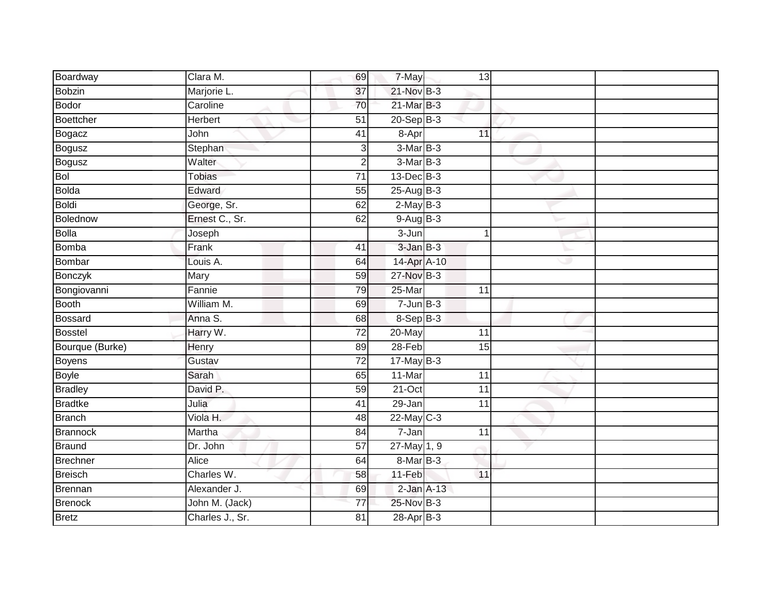| Boardway        | Clara M.        | 69              | $7 - May$       | 13              |  |
|-----------------|-----------------|-----------------|-----------------|-----------------|--|
| <b>Bobzin</b>   | Marjorie L.     | 37              | 21-Nov B-3      |                 |  |
| Bodor           | Caroline        | 70              | 21-Mar B-3      |                 |  |
| Boettcher       | Herbert         | 51              | $20 - Sep$ B-3  |                 |  |
| Bogacz          | John            | $\overline{41}$ | 8-Apr           | 11              |  |
| Bogusz          | Stephan         | 3               | $3-MarB-3$      |                 |  |
| Bogusz          | Walter          | $\mathbf 2$     | $3-MarB-3$      |                 |  |
| Bol             | Tobias          | $\overline{71}$ | $13$ -Dec $B-3$ |                 |  |
| Bolda           | Edward          | 55              | $25-AugB-3$     |                 |  |
| Boldi           | George, Sr.     | 62              | $2$ -May $B-3$  |                 |  |
| Bolednow        | Ernest C., Sr.  | 62              | $9-Aug B-3$     |                 |  |
| <b>Bolla</b>    | Joseph          |                 | $3 - Jun$       | 1               |  |
| Bomba           | Frank           | 41              | $3$ -Jan $B-3$  |                 |  |
| Bombar          | Louis A.        | 64              | 14-Apr A-10     |                 |  |
| Bonczyk         | Mary            | 59              | 27-Nov B-3      |                 |  |
| Bongiovanni     | Fannie          | 79              | 25-Mar          | $\overline{11}$ |  |
| Booth           | William M.      | 69              | $7 - Jun$ B-3   |                 |  |
| <b>Bossard</b>  | Anna S.         | 68              | $8-Sep B-3$     |                 |  |
| <b>Bosstel</b>  | Harry W.        | $\overline{72}$ | 20-May          | 11              |  |
| Bourque (Burke) | Henry           | 89              | $28 - Feb$      | 15              |  |
| Boyens          | Gustav          | 72              | $17$ -May B-3   |                 |  |
| Boyle           | Sarah           | 65              | 11-Mar          | 11              |  |
| <b>Bradley</b>  | David P.        | 59              | $21-Oct$        | $\overline{11}$ |  |
| <b>Bradtke</b>  | Julia           | $\overline{41}$ | 29-Jan          | 11              |  |
| Branch          | Viola H.        | 48              | $22$ -May C-3   |                 |  |
| <b>Brannock</b> | Martha          | 84              | $7 - Jan$       | $\overline{11}$ |  |
| Braund          | Dr. John        | 57              | 27-May 1, 9     |                 |  |
| Brechner        | Alice           | 64              | $8-MarB-3$      |                 |  |
| Breisch         | Charles W.      | 58              | 11-Feb          | 11              |  |
| Brennan         | Alexander J.    | 69              | $2$ -Jan $A-13$ |                 |  |
| <b>Brenock</b>  | John M. (Jack)  | 77              | 25-Nov B-3      |                 |  |
| Bretz           | Charles J., Sr. | 81              | 28-Apr B-3      |                 |  |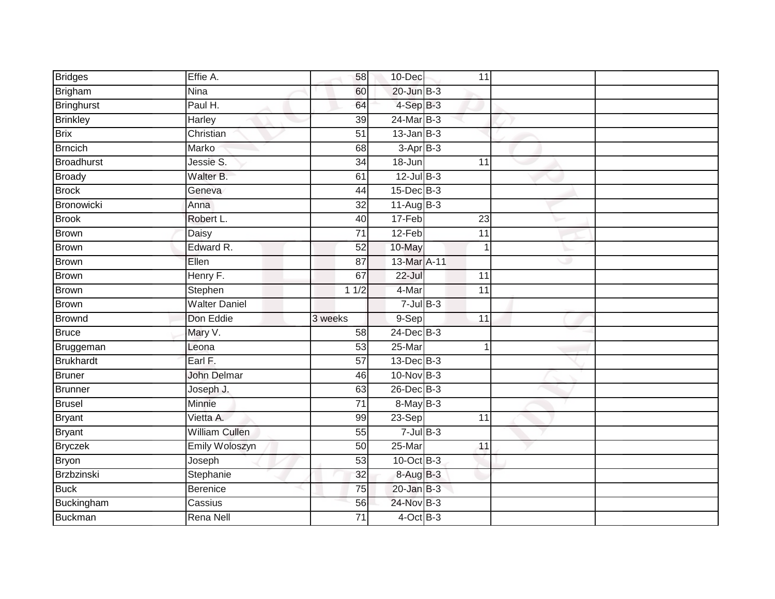| <b>Bridges</b>    | Effie A.              | 58              | 10-Dec            | 11              |   |  |
|-------------------|-----------------------|-----------------|-------------------|-----------------|---|--|
| Brigham           | Nina                  | 60              | $20$ -Jun $B-3$   |                 |   |  |
| Bringhurst        | Paul H.               | 64              | 4-Sep B-3         |                 |   |  |
| <b>Brinkley</b>   | Harley                | 39              | $24$ -Mar $B-3$   |                 |   |  |
| <b>Brix</b>       | Christian             | $\overline{51}$ | $13$ -Jan $B-3$   |                 |   |  |
| <b>Brncich</b>    | Marko                 | 68              | $3-AprB-3$        |                 |   |  |
| <b>Broadhurst</b> | Jessie S.             | 34              | 18-Jun            | 11              |   |  |
| Broady            | Walter B.             | 61              | $12$ -Jul $B-3$   |                 |   |  |
| <b>Brock</b>      | Geneva                | 44              | $15$ -Dec $B$ -3  |                 |   |  |
| Bronowicki        | Anna                  | $\overline{32}$ | $11-Aug$ B-3      |                 |   |  |
| <b>Brook</b>      | Robert L.             | 40              | 17-Feb            | 23              |   |  |
| Brown             | Daisy                 | $\overline{71}$ | $12-Feb$          | $\overline{11}$ |   |  |
| <b>Brown</b>      | Edward R.             | 52              | 10-May            |                 |   |  |
| Brown             | Ellen                 | 87              | 13-Mar A-11       |                 | Ð |  |
| Brown             | Henry F.              | 67              | $22 -$ Jul        | $\overline{11}$ |   |  |
| <b>Brown</b>      | Stephen               | 11/2            | 4-Mar             | 11              |   |  |
| <b>Brown</b>      | <b>Walter Daniel</b>  |                 | $7 -$ Jul $B - 3$ |                 |   |  |
| Brownd            | Don Eddie             | 3 weeks         | 9-Sep             | 11              |   |  |
| <b>Bruce</b>      | Mary V.               | 58              | $24$ -Dec $B-3$   |                 |   |  |
| Bruggeman         | Leona                 | $\overline{53}$ | $25 - Mar$        |                 |   |  |
| Brukhardt         | Earl F.               | 57              | $13$ -Dec $B-3$   |                 |   |  |
| <b>Bruner</b>     | <b>John Delmar</b>    | 46              | 10-Nov B-3        |                 |   |  |
| Brunner           | Joseph J.             | 63              | $26$ -Dec $B-3$   |                 |   |  |
| <b>Brusel</b>     | <b>Minnie</b>         | $\overline{71}$ | $8-May$ B-3       |                 |   |  |
| <b>Bryant</b>     | Vietta A.             | 99              | $23-Sep$          | 11              |   |  |
| <b>Bryant</b>     | <b>William Cullen</b> | 55              | $7 -$ Jul $B - 3$ |                 |   |  |
| <b>Bryczek</b>    | <b>Emily Woloszyn</b> | 50              | $25 - Mar$        | 11              |   |  |
| <b>Bryon</b>      | Joseph                | 53              | $10$ -Oct $B-3$   |                 |   |  |
| Brzbzinski        | Stephanie             | 32              | 8-Aug B-3         |                 |   |  |
| <b>Buck</b>       | Berenice              | $\overline{75}$ | $20$ -Jan $B-3$   |                 |   |  |
| Buckingham        | Cassius               | 56              | 24-Nov B-3        |                 |   |  |
| <b>Buckman</b>    | Rena Nell             | 71              | $4$ -Oct $B-3$    |                 |   |  |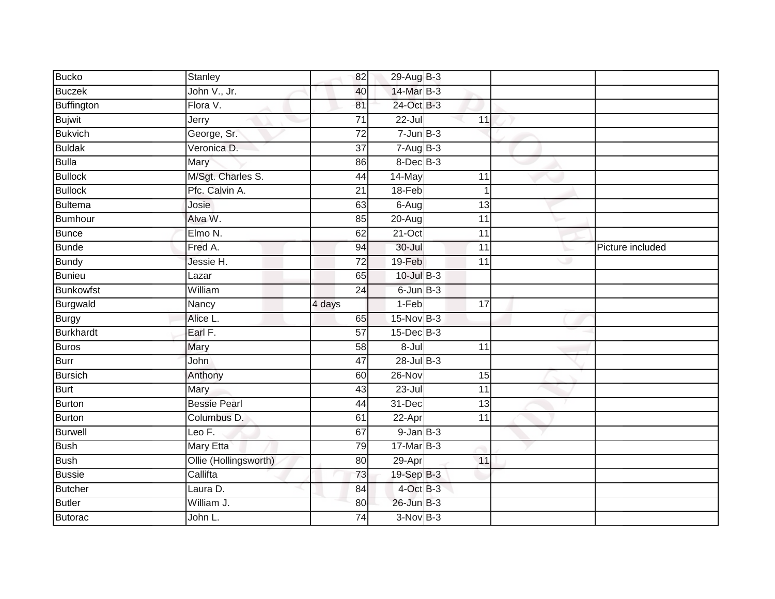| <b>Bucko</b>      | <b>Stanley</b>        | 82              | 29-Aug B-3               |                 |                  |
|-------------------|-----------------------|-----------------|--------------------------|-----------------|------------------|
| <b>Buczek</b>     | John V., Jr.          | 40              | 14-Mar B-3               |                 |                  |
| Buffington        | Flora V.              | 81              | 24-Oct B-3               |                 |                  |
| <b>Bujwit</b>     | Jerry                 | $\overline{71}$ | $22 -$ Jul               | 11              |                  |
| <b>Bukvich</b>    | George, Sr.           | $\overline{72}$ | $7 - Jun$ $B-3$          |                 |                  |
| <b>Buldak</b>     | Veronica D.           | 37              | $7 - \overline{AugB-3}$  |                 |                  |
| <b>Bulla</b>      | Mary                  | 86              | $8$ -Dec $B$ -3          |                 |                  |
| <b>Bullock</b>    | M/Sgt. Charles S.     | 44              | $14$ -May                | 11              |                  |
| <b>Bullock</b>    | Pfc. Calvin A.        | $\overline{21}$ | $18-Feb$                 | 1               |                  |
| <b>Bultema</b>    | Josie                 | 63              | $6 - Aug$                | 13              |                  |
| Bumhour           | Alva W.               | 85              | $20 - Aug$               | $\overline{11}$ |                  |
| Bunce             | Elmo N.               | 62              | $21-Oct$                 | $\overline{11}$ |                  |
| <b>Bunde</b>      | Fred A.               | 94              | $30 -$ Jul               | $\overline{11}$ | Picture included |
| <b>Bundy</b>      | Jessie H.             | $\overline{72}$ | 19-Feb                   | $\overline{11}$ |                  |
| Bunieu            | Lazar                 | 65              | $10$ -Jul $B-3$          |                 |                  |
| <b>Bunkowfst</b>  | William               | 24              | $6$ -Jun $B-3$           |                 |                  |
| Burgwald          | Nancy                 | 4 days          | $1-Feb$                  | 17              |                  |
| <b>Burgy</b>      | Alice L.              | 65              | $15-Nov$ B-3             |                 |                  |
| <b>Burkhardt</b>  | Earl F.               | 57              | $15$ -Dec $B$ -3         |                 |                  |
| Buros             | Mary                  | 58              | $8 -$ Jul                | $\overline{11}$ |                  |
| Burr              | John                  | 47              | $28 -$ Jul $B - 3$       |                 |                  |
| <b>Bursich</b>    | Anthony               | 60              | 26-Nov                   | 15              |                  |
| Burt              | Mary                  | 43              | $23 -$ Jul               | 11              |                  |
| Burton            | <b>Bessie Pearl</b>   | 44              | 31-Dec                   | 13              |                  |
| <b>Burton</b>     | Columbus D.           | 61              | 22-Apr                   | 11              |                  |
| <b>Burwell</b>    | Leo $F$ .             | 67              | $9$ -Jan $B$ -3          |                 |                  |
| <b>Bush</b>       | <b>Mary Etta</b>      | 79              | $17$ -Mar $B-3$          |                 |                  |
| <b>Bush</b>       | Ollie (Hollingsworth) | 80              | 29-Apr                   | 11              |                  |
| <b>Bussie</b>     | Callifta              | 73              | 19-Sep B-3               |                 |                  |
| <b>Butcher</b>    |                       |                 | 4-Oct B-3                |                 |                  |
|                   | Laura D.              | 84              |                          |                 |                  |
| Butler<br>Butorac | William J.<br>John L. | 80              | 26-Jun B-3<br>$3-NovB-3$ |                 |                  |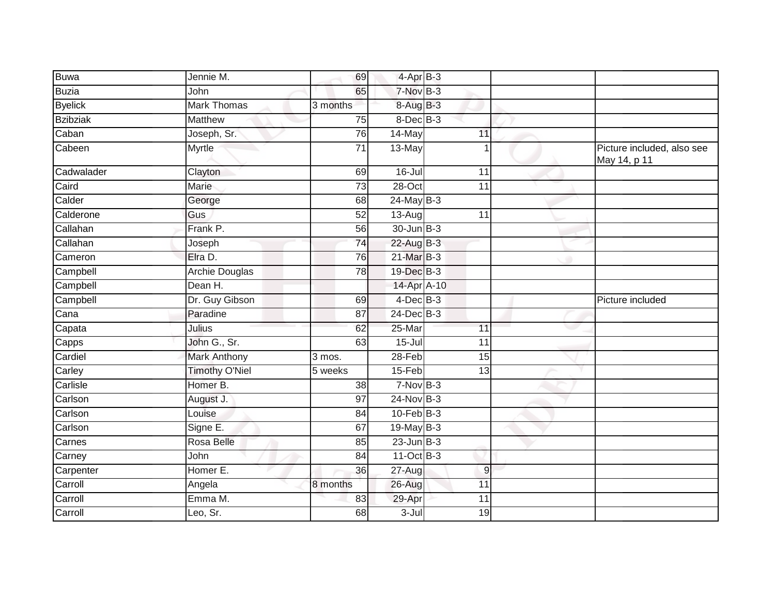| <b>Buwa</b>     | Jennie M.             | 69              | 4-Apr B-3            |                 |   |                                            |
|-----------------|-----------------------|-----------------|----------------------|-----------------|---|--------------------------------------------|
| <b>Buzia</b>    | John                  | 65              | 7-Nov B-3            |                 |   |                                            |
| <b>Byelick</b>  | <b>Mark Thomas</b>    | 3 months        | 8-Aug B-3            |                 |   |                                            |
| <b>Bzibziak</b> | Matthew               | 75              | $8$ -Dec $B$ -3      |                 |   |                                            |
| Caban           | Joseph, Sr.           | 76              | 14-May               | 11              |   |                                            |
| Cabeen          | Myrtle                | 71              | 13-May               |                 |   | Picture included, also see<br>May 14, p 11 |
| Cadwalader      | Clayton               | 69              | $16 -$ Jul           | $\overline{11}$ |   |                                            |
| Caird           | Marie                 | $\overline{73}$ | $28 - Oct$           | 11              |   |                                            |
| Calder          | George                | 68              | $24$ -May B-3        |                 |   |                                            |
| Calderone       | Gus                   | 52              | $\overline{13}$ -Aug | $\overline{11}$ |   |                                            |
| Callahan        | Frank P.              | $\overline{56}$ | $30 - Jun$ $B-3$     |                 |   |                                            |
| Callahan        | Joseph                | 74              | 22-Aug B-3           |                 |   |                                            |
| Cameron         | Elra D.               | 76              | 21-Mar B-3           |                 | ۰ |                                            |
| Campbell        | <b>Archie Douglas</b> | 78              | 19-Dec B-3           |                 |   |                                            |
| Campbell        | Dean H.               |                 | 14-Apr A-10          |                 |   |                                            |
| Campbell        | Dr. Guy Gibson        | 69              | $4$ -Dec $B$ -3      |                 |   | Picture included                           |
| Cana            | Paradine              | 87              | $24$ -Dec $B-3$      |                 |   |                                            |
| Capata          | Julius                | 62              | 25-Mar               | $\overline{11}$ |   |                                            |
| Capps           | John G., Sr.          | 63              | $15 -$ Jul           | 11              |   |                                            |
| Cardiel         | <b>Mark Anthony</b>   | 3 mos.          | $28 - Feb$           | 15              |   |                                            |
| Carley          | <b>Timothy O'Niel</b> | 5 weeks         | $15-Feb$             | 13              |   |                                            |
| Carlisle        | Homer B.              | 38              | $7-NovB-3$           |                 |   |                                            |
| Carlson         | August J.             | 97              | $24$ -Nov B-3        |                 |   |                                            |
| Carlson         | Louise                | 84              | $10$ -Feb $B-3$      |                 |   |                                            |
| Carlson         | Signe E.              | 67              | $19$ -May B-3        |                 |   |                                            |
| Carnes          | Rosa Belle            | 85              | $23$ -Jun $B-3$      |                 |   |                                            |
| Carney          | John                  | 84              | 11-Oct B-3           |                 |   |                                            |
| Carpenter       | Homer E.              | 36              | $27 - Aug$           | $\mathsf g$     |   |                                            |
| Carroll         | Angela                | 8 months        | 26-Aug               | 11              |   |                                            |
| Carroll         | Emma M.               | 83              | 29-Apr               | $\overline{11}$ |   |                                            |
| Carroll         | Leo, Sr.              | 68              | $3 -$ Jul            | 19              |   |                                            |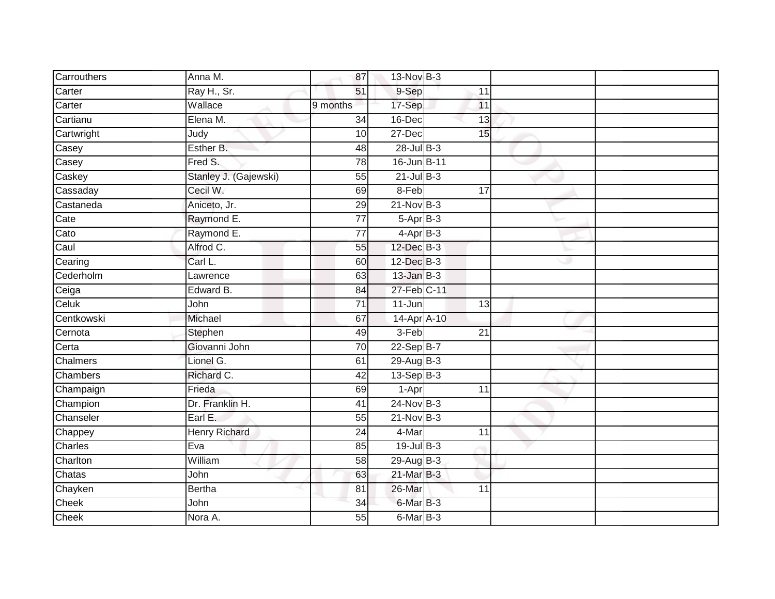| Carrouthers  | Anna M.               | 87              | 13-Nov B-3       |                 |  |
|--------------|-----------------------|-----------------|------------------|-----------------|--|
| Carter       | Ray H., Sr.           | 51              | 9-Sep            | 11              |  |
| Carter       | Wallace               | 9 months        | 17-Sep           | 11              |  |
| Cartianu     | Elena M.              | 34              | $16$ -Dec        | 13              |  |
| Cartwright   | Judy                  | 10              | $27 - Dec$       | 15              |  |
| Casey        | Esther B.             | 48              | $28$ -Jul B-3    |                 |  |
| Casey        | Fred S.               | 78              | 16-Jun B-11      |                 |  |
| Caskey       | Stanley J. (Gajewski) | 55              | $21$ -Jul B-3    |                 |  |
| Cassaday     | Cecil W.              | 69              | 8-Feb            | $\overline{17}$ |  |
| Castaneda    | Aniceto, Jr.          | 29              | $21-Nov$ B-3     |                 |  |
| Cate         | Raymond E.            | 77              | $5-Apr$ B-3      |                 |  |
| Cato         | Raymond E.            | $\overline{77}$ | $4-AprB-3$       |                 |  |
| Caul         | Alfrod C.             | 55              | 12-Dec B-3       |                 |  |
| Cearing      | Carl L.               | 60              | 12-Dec B-3       |                 |  |
| Cederholm    | Lawrence              | 63              | $13$ -Jan $B-3$  |                 |  |
| Ceiga        | Edward B.             | 84              | 27-Feb C-11      |                 |  |
| Celuk        | John                  | $\overline{71}$ | $11 - Jun$       | 13              |  |
| Centkowski   | Michael               | 67              | 14-Apr A-10      |                 |  |
| Cernota      | Stephen               | 49              | 3-Feb            | $\overline{21}$ |  |
| Certa        | Giovanni John         | 70              | 22-Sep B-7       |                 |  |
| Chalmers     | Lionel G.             | 61              | 29-Aug B-3       |                 |  |
| Chambers     | Richard C.            | 42              | 13-Sep B-3       |                 |  |
| Champaign    | Frieda                | 69              | $1-Apr$          | 11              |  |
| Champion     | Dr. Franklin H.       | 41              | $24$ -Nov B-3    |                 |  |
| Chanseler    | Earl E.               | 55              | $21-Nov$ B-3     |                 |  |
| Chappey      | <b>Henry Richard</b>  | $\overline{24}$ | 4-Mar            | $\overline{11}$ |  |
| Charles      | Eva                   | 85              | $19$ -Jul B-3    |                 |  |
| Charlton     | William               | 58              | 29-Aug B-3       |                 |  |
| Chatas       | John                  | 63              | 21-Mar B-3       |                 |  |
| Chayken      | <b>Bertha</b>         | 81              | 26-Mar           | 11              |  |
| Cheek        | John                  | 34              | 6-Mar B-3        |                 |  |
| <b>Cheek</b> | Nora A.               | 55              | $6$ -Mar $ B-3 $ |                 |  |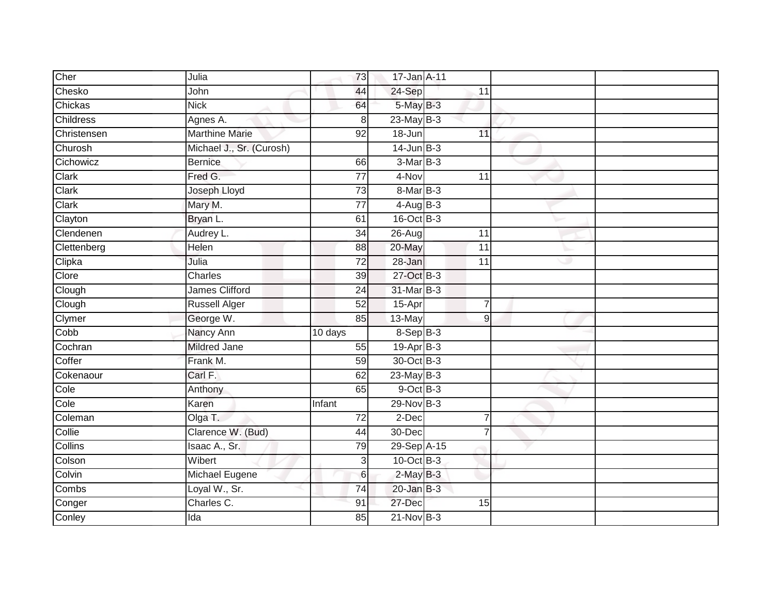| Cher             | Julia                    | 73              | 17-Jan A-11     |                 |   |  |
|------------------|--------------------------|-----------------|-----------------|-----------------|---|--|
| Chesko           | John                     | 44              | 24-Sep          | 11              |   |  |
| Chickas          | <b>Nick</b>              | 64              | 5-May B-3       |                 |   |  |
| <b>Childress</b> | Agnes A.                 | 8               | $23$ -May B-3   |                 |   |  |
| Christensen      | <b>Marthine Marie</b>    | 92              | 18-Jun          | 11              |   |  |
| Churosh          | Michael J., Sr. (Curosh) |                 | $14$ -Jun $B-3$ |                 |   |  |
| Cichowicz        | <b>Bernice</b>           | 66              | $3-MarB-3$      |                 |   |  |
| Clark            | Fred G.                  | 77              | 4-Nov           | 11              |   |  |
| Clark            | Joseph Lloyd             | $\overline{73}$ | 8-Mar B-3       |                 |   |  |
| Clark            | Mary M.                  | 77              | $4$ -Aug $B$ -3 |                 |   |  |
| Clayton          | Bryan L.                 | 61              | $16$ -Oct $B-3$ |                 |   |  |
| Clendenen        | Audrey L.                | $\overline{34}$ | $26 - Aug$      | 11              |   |  |
| Clettenberg      | Helen                    | 88              | 20-May          | 11              |   |  |
| Clipka           | Julia                    | $\overline{72}$ | 28-Jan          | $\overline{11}$ | w |  |
| Clore            | Charles                  | 39              | 27-Oct B-3      |                 |   |  |
| Clough           | <b>James Clifford</b>    | 24              | 31-Mar B-3      |                 |   |  |
| Clough           | <b>Russell Alger</b>     | 52              | $15$ -Apr       | $\overline{7}$  |   |  |
| Clymer           | George W.                | 85              | 13-May          | 9               |   |  |
| Cobb             | Nancy Ann                | 10 days         | $8-Sep$ B-3     |                 |   |  |
| Cochran          | <b>Mildred Jane</b>      | 55              | $19-Apr$ B-3    |                 |   |  |
| Coffer           | Frank M.                 | 59              | 30-Oct B-3      |                 |   |  |
| Cokenaour        | Carl F.                  | 62              | $23$ -May B-3   |                 |   |  |
| Cole             | Anthony                  | 65              | $9$ -Oct $B$ -3 |                 |   |  |
| Cole             | Karen                    | Infant          | $29-Nov-B-3$    |                 |   |  |
| Coleman          | Olga T.                  | 72              | 2-Dec           | $\overline{7}$  |   |  |
| Collie           | Clarence W. (Bud)        | 44              | 30-Dec          |                 |   |  |
| Collins          | Isaac A., Sr.            | 79              | 29-Sep A-15     |                 |   |  |
| Colson           | Wibert                   | 3               | $10$ -Oct B-3   |                 |   |  |
| Colvin           | Michael Eugene           | 6               | $2$ -May $B-3$  |                 |   |  |
| Combs            | Loyal W., Sr.            | 74              | $20$ -Jan $B-3$ |                 |   |  |
| Conger           | Charles C.               | 91              | 27-Dec          | 15              |   |  |
| Conley           | Ida                      | 85              | $21-Nov$ B-3    |                 |   |  |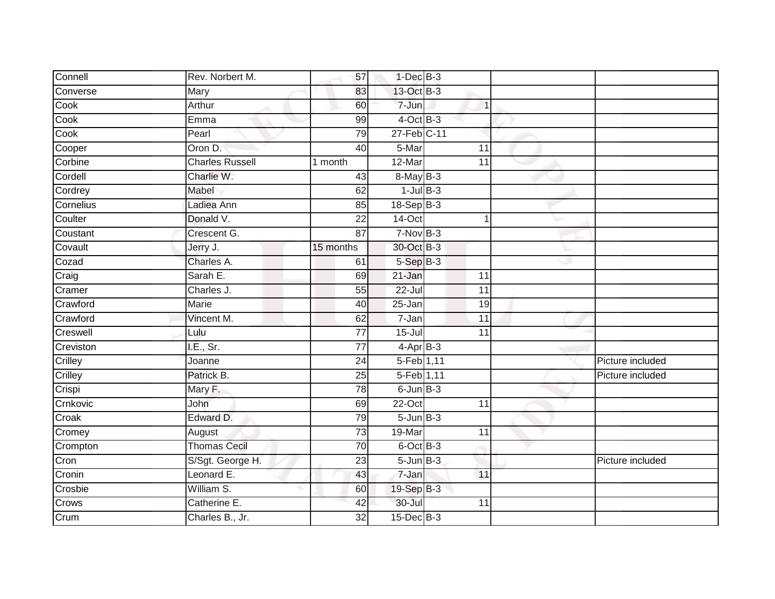| Connell   | Rev. Norbert M.        | 57        | $1-Dec$ B-3         |                 |   |                  |
|-----------|------------------------|-----------|---------------------|-----------------|---|------------------|
| Converse  | Mary                   | 83        | 13-Oct B-3          |                 |   |                  |
| Cook      | Arthur                 | 60        | 7-Jun               | 1               |   |                  |
| Cook      | Emma                   | 99        | $4$ -Oct B-3        |                 |   |                  |
| Cook      | Pearl                  | 79        | 27-Feb C-11         |                 |   |                  |
| Cooper    | Oron D.                | 40        | 5-Mar               | 11              |   |                  |
| Corbine   | <b>Charles Russell</b> | 1 month   | 12-Mar              | 11              |   |                  |
| Cordell   | Charlie W.             | 43        | 8-May B-3           |                 |   |                  |
| Cordrey   | Mabel                  | 62        | $1$ -Jul $B-3$      |                 |   |                  |
| Cornelius | Ladiea Ann             | 85        | $18-Sep$ B-3        |                 |   |                  |
| Coulter   | Donald V.              | 22        | 14-Oct              | 1               |   |                  |
| Coustant  | Crescent G.            | 87        | $7-NovB-3$          |                 |   |                  |
| Covault   | Jerry J.               | 15 months | 30-Oct B-3          |                 |   |                  |
| Cozad     | Charles A.             | 61        | $5-Sep$ B-3         |                 | w |                  |
| Craig     | Sarah E.               | 69        | 21-Jan              | 11              |   |                  |
| Cramer    | Charles J.             | 55        | $22 -$ Jul          | 11              |   |                  |
| Crawford  | <b>Marie</b>           | 40        | 25-Jan              | 19              |   |                  |
| Crawford  | Vincent M.             | 62        | $\overline{7}$ -Jan | 11              |   |                  |
| Creswell  | Lulu                   | 77        | $15 -$ Jul          | 11              |   |                  |
| Creviston | I.E., Sr.              | 77        | $4-AprB-3$          |                 |   |                  |
| Crilley   | Joanne                 | 24        | 5-Feb 1,11          |                 |   | Picture included |
| Crilley   | Patrick B.             | 25        | 5-Feb 1,11          |                 |   | Picture included |
| Crispi    | Mary F.                | 78        | $6$ -Jun $B-3$      |                 |   |                  |
| Crnkovic  | John                   | 69        | $22-Oct$            | $\overline{11}$ |   |                  |
| Croak     | Edward D.              | 79        | $5 - Jun$ $B-3$     |                 |   |                  |
| Cromey    | August                 | 73        | 19-Mar              | 11              |   |                  |
| Crompton  | <b>Thomas Cecil</b>    | 70        | 6-Oct B-3           |                 |   |                  |
| Cron      | S/Sgt. George H.       | 23        | $5 - Jun$ $B-3$     |                 |   | Picture included |
| Cronin    | Leonard E.             | 43        | 7-Jan               | 11              |   |                  |
| Crosbie   | William S.             | 60        | 19-Sep B-3          |                 |   |                  |
| Crows     | Catherine E.           | 42        | 30-Jul              | 11              |   |                  |
| Crum      | Charles B., Jr.        | 32        | $15$ -Dec $B-3$     |                 |   |                  |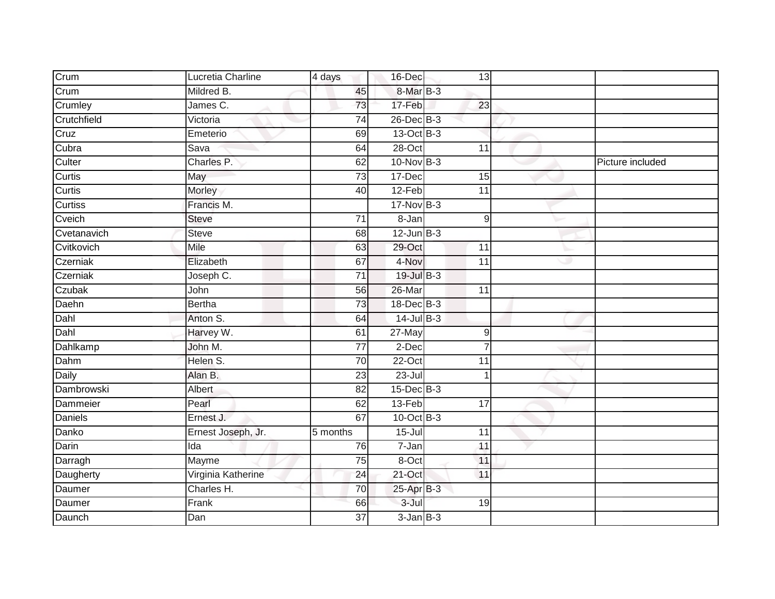| Crum           | Lucretia Charline  | 4 days          | 16-Dec          | 13              |   |                  |
|----------------|--------------------|-----------------|-----------------|-----------------|---|------------------|
| Crum           | Mildred B.         | 45              | 8-Mar B-3       |                 |   |                  |
| Crumley        | $James$ $C.$       | 73              | 17-Feb          | 23              |   |                  |
| Crutchfield    | Victoria           | $\overline{74}$ | $26$ -Dec $B-3$ |                 |   |                  |
| Cruz           | Emeterio           | 69              | 13-Oct B-3      |                 |   |                  |
| Cubra          | Sava               | 64              | 28-Oct          | 11              |   |                  |
| Culter         | Charles P.         | 62              | $10-NovB-3$     |                 |   | Picture included |
| Curtis         | May                | 73              | $17 - Dec$      | 15              |   |                  |
| Curtis         | Morley             | 40              | $12-Feb$        | $\overline{11}$ |   |                  |
| <b>Curtiss</b> | Francis M.         |                 | $17-Nov$ B-3    |                 |   |                  |
| Cveich         | <b>Steve</b>       | 71              | 8-Jan           | 9               |   |                  |
| Cvetanavich    | <b>Steve</b>       | 68              | $12$ -Jun $B-3$ |                 |   |                  |
| Cvitkovich     | Mile               | 63              | 29-Oct          | 11              |   |                  |
| Czerniak       | Elizabeth          | 67              | 4-Nov           | 11              | ٠ |                  |
| Czerniak       | Joseph C.          | $\overline{71}$ | 19-Jul B-3      |                 |   |                  |
| Czubak         | John               | 56              | 26-Mar          | 11              |   |                  |
| Daehn          | <b>Bertha</b>      | 73              | 18-Dec B-3      |                 |   |                  |
| Dahl           | Anton S.           | 64              | $14$ -Jul B-3   |                 |   |                  |
| Dahl           | Harvey W.          | 61              | 27-May          | 9               |   |                  |
| Dahlkamp       | John M.            | $\overline{77}$ | $2-Dec$         |                 |   |                  |
| Dahm           | Helen S.           | 70              | 22-Oct          | 11              |   |                  |
| Daily          | Alan B.            | 23              | $23 -$ Jul      |                 |   |                  |
| Dambrowski     | Albert             | $\overline{82}$ | $15$ -Dec $B-3$ |                 |   |                  |
| Dammeier       | Pearl              | 62              | $13-Feb$        | $\overline{17}$ |   |                  |
| <b>Daniels</b> | Ernest J.          | 67              | $10$ -Oct $B-3$ |                 |   |                  |
| Danko          | Ernest Joseph, Jr. | 5 months        | $15 -$ Jul      | 11              |   |                  |
| Darin          | $\overline{Ida}$   | 76              | $7 - Jan$       | 11              |   |                  |
| Darragh        | Mayme              | 75              | 8-Oct           | 11              |   |                  |
| Daugherty      | Virginia Katherine | 24              | 21-Oct          | 11              |   |                  |
| Daumer         | Charles H.         | 70              | $25-AprB-3$     |                 |   |                  |
| Daumer         | Frank              | 66              | 3-Jul           | 19              |   |                  |
| Daunch         | Dan                | 37              | $3$ -Jan $B-3$  |                 |   |                  |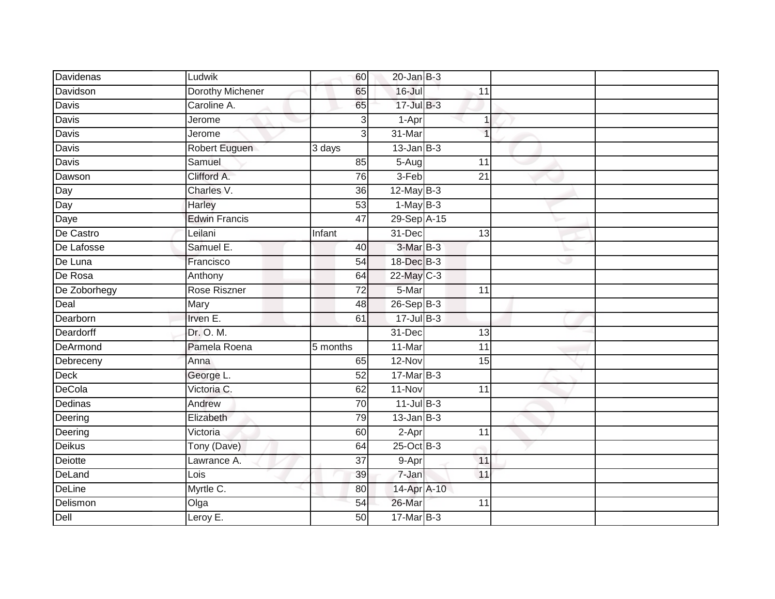| Davidenas     | Ludwik                  | 60              | $20$ -Jan $B-3$    |                 |   |  |
|---------------|-------------------------|-----------------|--------------------|-----------------|---|--|
| Davidson      | <b>Dorothy Michener</b> | 65              | $16 -$ Jul         | 11              |   |  |
| Davis         | Caroline A.             | 65              | 17-Jul B-3         |                 |   |  |
| Davis         | Jerome                  | 3               | 1-Apr              | 1               |   |  |
| <b>Davis</b>  | Jerome                  | $\overline{3}$  | 31-Mar             | 1               |   |  |
| Davis         | Robert Euguen           | 3 days          | $13$ -Jan $B-3$    |                 |   |  |
| Davis         | Samuel                  | 85              | $5-Aug$            | 11              |   |  |
| Dawson        | Clifford A.             | 76              | $3-Feb$            | $\overline{21}$ |   |  |
| Day           | Charles V.              | 36              | $12$ -May B-3      |                 |   |  |
| Day           | Harley                  | 53              | $1-May$ B-3        |                 |   |  |
| Daye          | <b>Edwin Francis</b>    | 47              | 29-Sep A-15        |                 |   |  |
| De Castro     | Leilani                 | Infant          | 31-Dec             | 13              |   |  |
| De Lafosse    | Samuel E.               | 40              | 3-Mar B-3          |                 |   |  |
| De Luna       | Francisco               | 54              | 18-Dec B-3         |                 | w |  |
| De Rosa       | Anthony                 | 64              | 22-May C-3         |                 |   |  |
| De Zoborhegy  | Rose Riszner            | $\overline{72}$ | 5-Mar              | 11              |   |  |
| Deal          | Mary                    | 48              | $26-Sep$ B-3       |                 |   |  |
| Dearborn      | Irven E.                | 61              | $17 -$ Jul $B - 3$ |                 |   |  |
| Deardorff     | Dr. O. M.               |                 | 31-Dec             | 13              |   |  |
| DeArmond      | Pamela Roena            | 5 months        | 11-Mar             | 11              |   |  |
| Debreceny     | Anna                    | 65              | $12-Nov$           | 15              |   |  |
| <b>Deck</b>   | George L.               | 52              | $17$ -Mar $B-3$    |                 |   |  |
| <b>DeCola</b> | Victoria C.             | 62              | $11-Nov$           | $\overline{11}$ |   |  |
| Dedinas       | Andrew                  | 70              | $11$ -Jul $B-3$    |                 |   |  |
| Deering       | Elizabeth               | 79              | $13$ -Jan $B-3$    |                 |   |  |
| Deering       | Victoria                | 60              | $2-Apr$            | 11              |   |  |
| <b>Deikus</b> | Tony (Dave)             | 64              | $25$ -Oct B-3      |                 |   |  |
| Deiotte       | Lawrance A.             | 37              | 9-Apr              | 11              |   |  |
| DeLand        | Lois                    | 39              | 7-Jan              | 11              |   |  |
| <b>DeLine</b> | Myrtle C.               | 80              | 14-Apr A-10        |                 |   |  |
| Delismon      | Olga                    | 54              | 26-Mar             | 11              |   |  |
| Dell          | Leroy E.                | 50              | $17$ -Mar $B-3$    |                 |   |  |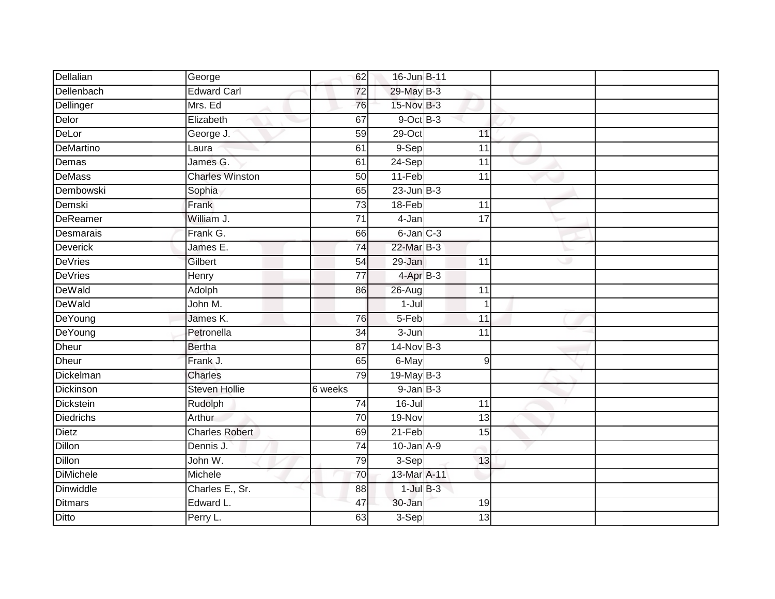| Dellalian        | George                 | 62              | 16-Jun B-11         |                 |    |  |
|------------------|------------------------|-----------------|---------------------|-----------------|----|--|
| Dellenbach       | <b>Edward Carl</b>     | 72              | 29-May B-3          |                 |    |  |
| Dellinger        | Mrs. Ed                | 76              | 15-Nov B-3          |                 |    |  |
| Delor            | Elizabeth              | 67              | $9$ -Oct $B$ -3     |                 |    |  |
| DeLor            | George J.              | 59              | $29$ -Oct           | 11              |    |  |
| DeMartino        | Laura                  | 61              | 9-Sep               | 11              |    |  |
| Demas            | James G.               | 61              | $24-Sep$            | 11              |    |  |
| <b>DeMass</b>    | <b>Charles Winston</b> | 50              | $11-Feb$            | $\overline{11}$ |    |  |
| Dembowski        | Sophia                 | 65              | $23$ -Jun $B-3$     |                 |    |  |
| Demski           | Frank                  | 73              | 18-Feb              | 11              |    |  |
| DeReamer         | William J.             | 71              | 4-Jan               | $\overline{17}$ |    |  |
| Desmarais        | Frank G.               | 66              | $6$ -Jan $C$ -3     |                 |    |  |
| <b>Deverick</b>  | James E.               | 74              | 22-Mar B-3          |                 |    |  |
| <b>DeVries</b>   | Gilbert                | 54              | 29-Jan              | 11              | هد |  |
| <b>DeVries</b>   | Henry                  | $\overline{77}$ | $4$ -Apr $B-3$      |                 |    |  |
| DeWald           | Adolph                 | 86              | $26 - Aug$          | 11              |    |  |
| DeWald           | John M.                |                 | $\overline{1}$ -Jul | 1               |    |  |
| DeYoung          | James K.               | 76              | 5-Feb               | 11              |    |  |
| DeYoung          | Petronella             | 34              | $3 - Jun$           | 11              |    |  |
| <b>Dheur</b>     | <b>Bertha</b>          | 87              | $14$ -Nov $B-3$     |                 |    |  |
| <b>Dheur</b>     | Frank J.               | 65              | 6-May               | $\overline{9}$  |    |  |
| Dickelman        | Charles                | 79              | 19-May B-3          |                 |    |  |
| Dickinson        | <b>Steven Hollie</b>   | $6$ weeks       | $9$ -Jan $B$ -3     |                 |    |  |
| <b>Dickstein</b> | Rudolph                | 74              | $16 -$ Jul          | 11              |    |  |
| <b>Diedrichs</b> | <b>Arthur</b>          | 70              | 19-Nov              | 13              |    |  |
| <b>Dietz</b>     | <b>Charles Robert</b>  | 69              | $21-Feb$            | 15              |    |  |
| Dillon           | Dennis J.              | $\overline{74}$ | $10$ -Jan $A-9$     |                 |    |  |
| Dillon           | John W.                | 79              | 3-Sep               | 13              |    |  |
| <b>DiMichele</b> | Michele                | 70              | 13-Mar A-11         |                 |    |  |
| Dinwiddle        | Charles E., Sr.        | 88              | $1$ -Jul $B-3$      |                 |    |  |
| <b>Ditmars</b>   | Edward L.              | 47              | $30 - Jan$          | 19              |    |  |
| Ditto            | Perry L.               | 63              | 3-Sep               | 13              |    |  |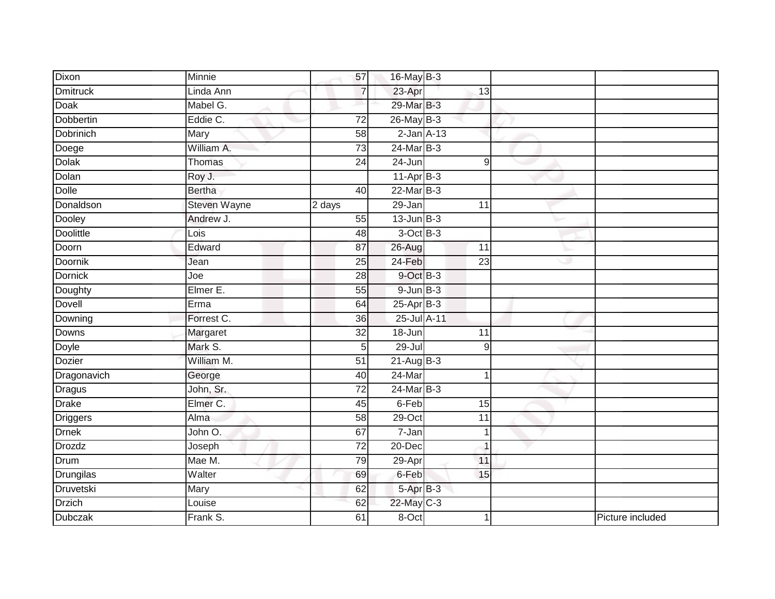| Dixon            | Minnie        | 57              | 16-May B-3           |                 |   |                  |
|------------------|---------------|-----------------|----------------------|-----------------|---|------------------|
| <b>Dmitruck</b>  | Linda Ann     | $\overline{7}$  | 23-Apr               | 13              |   |                  |
| Doak             | Mabel G.      |                 | 29-Mar B-3           |                 |   |                  |
| Dobbertin        | Eddie C.      | $\overline{72}$ | $26$ -May B-3        |                 |   |                  |
| <b>Dobrinich</b> | Mary          | 58              | $2$ -Jan $A-13$      |                 |   |                  |
| Doege            | William A.    | 73              | $24$ -Mar $B-3$      |                 |   |                  |
| <b>Dolak</b>     | Thomas        | 24              | 24-Jun               | $\overline{9}$  |   |                  |
| Dolan            | Roy J.        |                 | $11-AprB-3$          |                 |   |                  |
| <b>Dolle</b>     | <b>Bertha</b> | 40              | $22$ -Mar $B-3$      |                 |   |                  |
| Donaldson        | Steven Wayne  | 2 days          | $29 - Jan$           | 11              |   |                  |
| Dooley           | Andrew J.     | 55              | $13$ -Jun $B-3$      |                 |   |                  |
| <b>Doolittle</b> | Lois          | 48              | $3$ -Oct $B-3$       |                 |   |                  |
| Doorn            | Edward        | 87              | 26-Aug               | 11              |   |                  |
| Doornik          | Jean          | 25              | 24-Feb               | $\overline{23}$ | w |                  |
| <b>Dornick</b>   | Joe           | 28              | 9-Oct B-3            |                 |   |                  |
| Doughty          | Elmer E.      | 55              | $9 - Jun$ $B-3$      |                 |   |                  |
| <b>Dovell</b>    | Erma          | 64              | $25-Apr$ B-3         |                 |   |                  |
| Downing          | Forrest C.    | 36              | 25-Jul A-11          |                 |   |                  |
| Downs            | Margaret      | 32              | 18-Jun               | 11              |   |                  |
| Doyle            | Mark S.       | 5               | $29 -$ Jul           | 9               |   |                  |
| Dozier           | William M.    | 51              | $21 - \text{AugB-3}$ |                 |   |                  |
| Dragonavich      | George        | 40              | 24-Mar               | 1               |   |                  |
| <b>Dragus</b>    | John, Sr.     | $\overline{72}$ | $24$ -Mar $B-3$      |                 |   |                  |
| Drake            | Elmer C.      | 45              | 6-Feb                | 15              |   |                  |
| Driggers         | Alma          | 58              | 29-Oct               | 11              |   |                  |
| <b>Drnek</b>     | John O.       | 67              | $7 - Jan$            | $\overline{1}$  |   |                  |
| <b>Drozdz</b>    | Joseph        | $\overline{72}$ | $20 - Dec$           | 1               |   |                  |
| Drum             | Mae M.        | 79              | 29-Apr               | 11              |   |                  |
| Drungilas        | Walter        | 69              | 6-Feb                | 15              |   |                  |
| Druvetski        | Mary          | 62              | 5-Apr B-3            |                 |   |                  |
| <b>Drzich</b>    | Louise        | 62              | 22-May C-3           |                 |   |                  |
| <b>Dubczak</b>   | Frank S.      | 61              | 8-Oct                |                 |   | Picture included |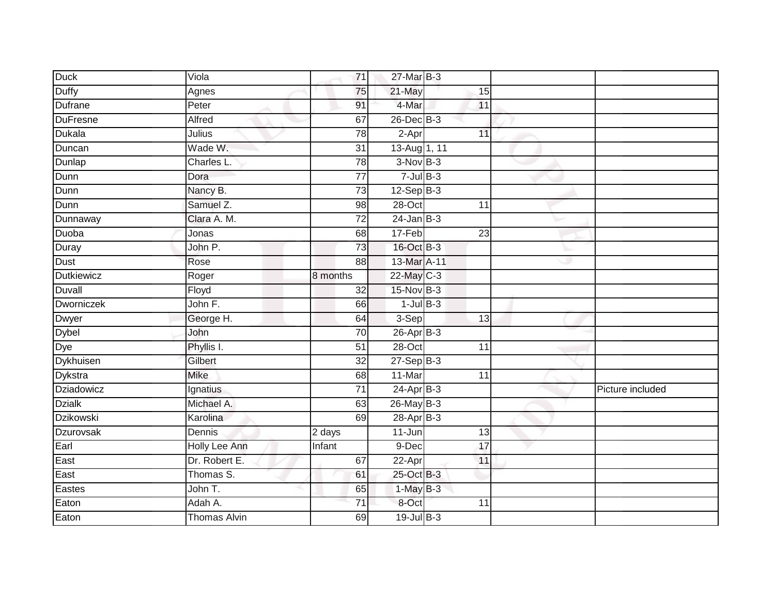| <b>Duck</b>       | Viola                | 71                  | 27-Mar B-3      |                 |   |                  |
|-------------------|----------------------|---------------------|-----------------|-----------------|---|------------------|
| <b>Duffy</b>      | Agnes                | 75                  | 21-May          | 15              |   |                  |
| Dufrane           | Peter                | 91                  | 4-Mar           | 11              |   |                  |
| <b>DuFresne</b>   | Alfred               | 67                  | $26$ -Dec $B-3$ |                 |   |                  |
| <b>Dukala</b>     | Julius               | 78                  | $2-Apr$         | 11              |   |                  |
| Duncan            | Wade W.              | 31                  | 13-Aug 1, 11    |                 |   |                  |
| Dunlap            | Charles L.           | 78                  | $3-NovB-3$      |                 |   |                  |
| Dunn              | Dora                 | 77                  | $7$ -Jul B-3    |                 |   |                  |
| Dunn              | Nancy B.             | 73                  | $12-Sep$ B-3    |                 |   |                  |
| Dunn              | Samuel Z.            | 98                  | 28-Oct          | 11              |   |                  |
| Dunnaway          | Clara A. M.          | 72                  | $24$ -Jan $B-3$ |                 |   |                  |
| Duoba             | Jonas                | 68                  | $17-Feb$        | $\overline{23}$ |   |                  |
| Duray             | John P.              | 73                  | 16-Oct B-3      |                 |   |                  |
| Dust              | Rose                 | 88                  | 13-Mar A-11     |                 | æ |                  |
| <b>Dutkiewicz</b> | Roger                | 8 months            | 22-May C-3      |                 |   |                  |
| <b>Duvall</b>     | Floyd                | 32                  | 15-Nov B-3      |                 |   |                  |
| <b>Dworniczek</b> | John F.              | 66                  | $1$ -Jul $B-3$  |                 |   |                  |
| <b>Dwyer</b>      | George H.            | 64                  | 3-Sep           | 13              |   |                  |
| <b>Dybel</b>      | John                 | $\overline{70}$     | $26$ -Apr $B-3$ |                 |   |                  |
| Dye               | Phyllis I.           | $\overline{51}$     | $28 - Oct$      | $\overline{11}$ |   |                  |
| <b>Dykhuisen</b>  | Gilbert              | 32                  | $27 - SepB-3$   |                 |   |                  |
| Dykstra           | <b>Mike</b>          | 68                  | 11-Mar          | 11              |   |                  |
| <b>Dziadowicz</b> | Ignatius             | 71                  | $24-Apr$ B-3    |                 |   | Picture included |
| <b>Dzialk</b>     | Michael A.           | 63                  | 26-May B-3      |                 |   |                  |
| <b>Dzikowski</b>  | Karolina             | 69                  | $28-Apr$ B-3    |                 |   |                  |
| <b>Dzurovsak</b>  | Dennis               | $\overline{2}$ days | 11-Jun          | 13              |   |                  |
| Earl              | <b>Holly Lee Ann</b> | Infant              | $9-Dec$         | 17              |   |                  |
| East              | Dr. Robert E.        | 67                  | 22-Apr          | 11              |   |                  |
| East              | Thomas S.            | 61                  | 25-Oct B-3      |                 |   |                  |
| Eastes            | John T.              | 65                  | $1-MayB-3$      |                 |   |                  |
| Eaton             | Adah A.              | 71                  | 8-Oct           | 11              |   |                  |
| Eaton             | Thomas Alvin         | 69                  | $19$ -Jul $B-3$ |                 |   |                  |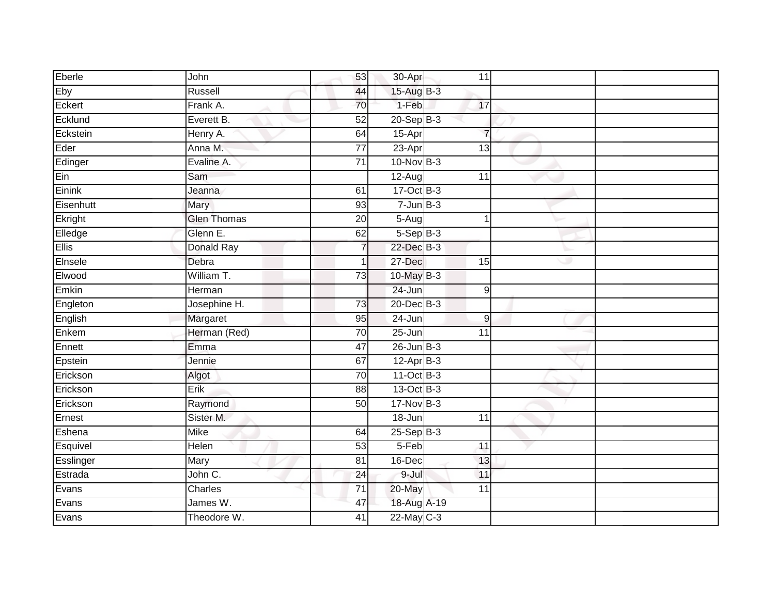| Eberle       | John               | 53              | 30-Apr          | 11              |   |  |
|--------------|--------------------|-----------------|-----------------|-----------------|---|--|
| Eby          | Russell            | 44              | 15-Aug B-3      |                 |   |  |
| Eckert       | Frank A.           | 70              | 1-Feb           | 17              |   |  |
| Ecklund      | Everett B.         | 52              | $20 - Sep$ B-3  |                 |   |  |
| Eckstein     | Henry A.           | 64              | $15-Apr$        | $\overline{7}$  |   |  |
| Eder         | Anna M.            | $\overline{77}$ | 23-Apr          | 13              |   |  |
| Edinger      | Evaline A.         | 71              | $10$ -Nov B-3   |                 |   |  |
| Ein          | Sam                |                 | $12-Aug$        | $\overline{11}$ |   |  |
| Einink       | Jeanna             | 61              | 17-Oct B-3      |                 |   |  |
| Eisenhutt    | Mary               | 93              | $7$ -Jun $B-3$  |                 |   |  |
| Ekright      | <b>Glen Thomas</b> | 20              | $5-Aug$         |                 |   |  |
| Elledge      | Glenn E.           | 62              | $5-SepB-3$      |                 |   |  |
| <b>Ellis</b> | <b>Donald Ray</b>  | 7               | $22$ -Dec $B-3$ |                 |   |  |
| Elnsele      | Debra              |                 | $27 - Dec$      | 15              | o |  |
| Elwood       | William T.         | 73              | $10$ -May B-3   |                 |   |  |
| Emkin        | Herman             |                 | 24-Jun          | 9               |   |  |
| Engleton     | Josephine H.       | 73              | $20$ -Dec $B-3$ |                 |   |  |
| English      | Margaret           | 95              | 24-Jun          | $\mathsf g$     |   |  |
| Enkem        | Herman (Red)       | 70              | $25 - Jun$      | 11              |   |  |
| Ennett       | Emma               | 47              | $26$ -Jun $B-3$ |                 |   |  |
| Epstein      | Jennie             | 67              | $12-Apr$ B-3    |                 |   |  |
| Erickson     | Algot              | 70              | $11-Oct$ B-3    |                 |   |  |
| Erickson     | Erik               | $\overline{88}$ | 13-Oct B-3      |                 |   |  |
| Erickson     | Raymond            | 50              | $17-Nov$ B-3    |                 |   |  |
| Ernest       | Sister M.          |                 | 18-Jun          | 11              |   |  |
| Eshena       | <b>Mike</b>        | 64              | $25-Sep$ $B-3$  |                 |   |  |
| Esquivel     | Helen              | 53              | $5-Feb$         | 11              |   |  |
| Esslinger    | Mary               | 81              | 16-Dec          | 13              |   |  |
| Estrada      | John C.            | 24              | $9 -$ Jul       | 11              |   |  |
| Evans        | Charles            | $\overline{71}$ | 20-May          | $\overline{11}$ |   |  |
| Evans        | James W.           | 47              | 18-Aug A-19     |                 |   |  |
| Evans        | Theodore W.        | 41              | $22$ -May C-3   |                 |   |  |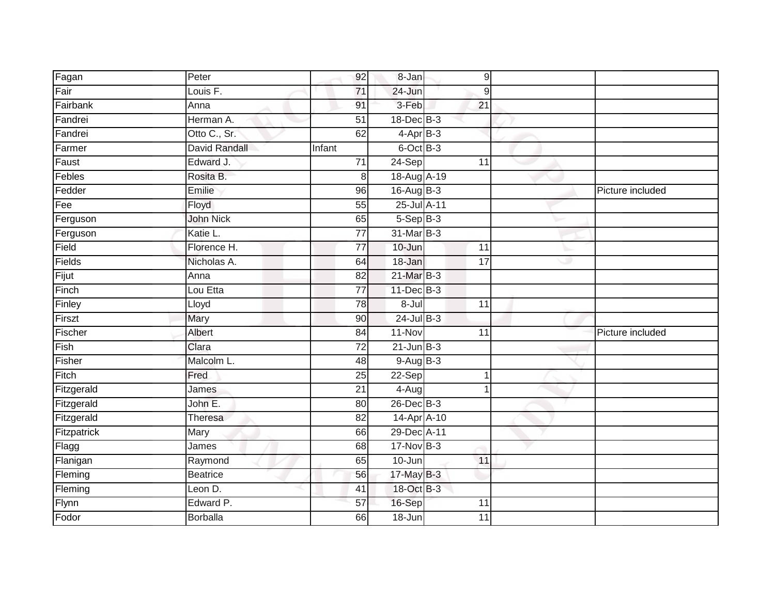| Fagan       | Peter                | 92              | $8 - Jan$        | 9               |   |                  |
|-------------|----------------------|-----------------|------------------|-----------------|---|------------------|
| Fair        | Louis F.             | 71              | 24-Jun           | 9               |   |                  |
| Fairbank    | Anna                 | 91              | 3-Feb            | 21              |   |                  |
| Fandrei     | Herman A.            | $\overline{51}$ | 18-Dec B-3       |                 |   |                  |
| Fandrei     | Otto C., Sr.         | 62              | $4-AprB-3$       |                 |   |                  |
| Farmer      | <b>David Randall</b> | Infant          | 6-Oct B-3        |                 |   |                  |
| Faust       | Edward J.            | $\overline{71}$ | 24-Sep           | 11              |   |                  |
| Febles      | Rosita B.            | 8               | 18-Aug A-19      |                 |   |                  |
| Fedder      | Emilie               | 96              | $16$ -Aug $B-3$  |                 |   | Picture included |
| Fee         | Floyd                | $\overline{55}$ | 25-Jul A-11      |                 |   |                  |
| Ferguson    | John Nick            | 65              | $5-Sep$ B-3      |                 |   |                  |
| Ferguson    | Katie L.             | $\overline{77}$ | 31-Mar B-3       |                 |   |                  |
| Field       | Florence H.          | 77              | 10-Jun           | 11              |   |                  |
| Fields      | Nicholas A.          | 64              | 18-Jan           | $\overline{17}$ | Ð |                  |
| Fijut       | Anna                 | 82              | 21-Mar B-3       |                 |   |                  |
| Finch       | Lou Etta             | $\overline{77}$ | $11 - Dec$ $B-3$ |                 |   |                  |
| Finley      | Lloyd                | 78              | 8-Jul            | 11              |   |                  |
| Firszt      | Mary                 | 90              | $24$ -Jul B-3    |                 |   |                  |
| Fischer     | Albert               | 84              | 11-Nov           | $\overline{11}$ |   | Picture included |
| Fish        | Clara                | $\overline{72}$ | $21$ -Jun B-3    |                 |   |                  |
| Fisher      | Malcolm L.           | 48              | $9-Aug$ B-3      |                 |   |                  |
| Fitch       | Fred                 | 25              | 22-Sep           | 1               |   |                  |
| Fitzgerald  | James                | $\overline{21}$ | 4-Aug            |                 |   |                  |
| Fitzgerald  | John E.              | 80              | 26-Dec B-3       |                 |   |                  |
| Fitzgerald  | Theresa              | 82              | 14-Apr A-10      |                 |   |                  |
| Fitzpatrick | Mary                 | 66              | 29-Dec A-11      |                 |   |                  |
| Flagg       | James                | 68              | $17$ -Nov $B-3$  |                 |   |                  |
| Flanigan    | Raymond              | 65              | 10-Jun           | 11              |   |                  |
| Fleming     | <b>Beatrice</b>      | 56              | 17-May B-3       |                 |   |                  |
| Fleming     | Leon D.              | $\overline{41}$ | 18-Oct B-3       |                 |   |                  |
| Flynn       | Edward P.            | 57              | 16-Sep           | 11              |   |                  |
| Fodor       | Borballa             | 66              | 18-Jun           | 11              |   |                  |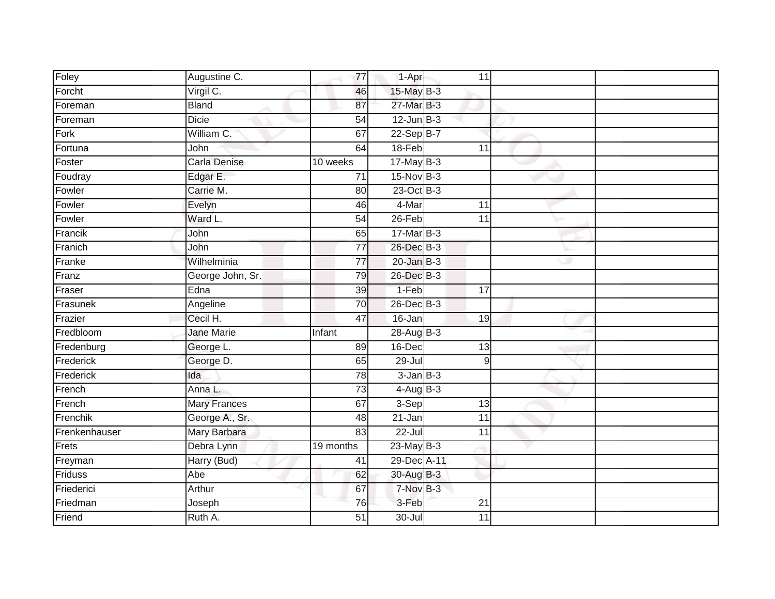| Foley         | Augustine C.        | $\overline{77}$ | 1-Apr           | 11              |   |  |
|---------------|---------------------|-----------------|-----------------|-----------------|---|--|
| Forcht        | Virgil C.           | 46              | 15-May B-3      |                 |   |  |
| Foreman       | <b>Bland</b>        | 87              | 27-Mar B-3      |                 |   |  |
| Foreman       | <b>Dicie</b>        | 54              | $12$ -Jun $B-3$ |                 |   |  |
| Fork          | William C.          | 67              | $22-SepB-7$     |                 |   |  |
| Fortuna       | John                | 64              | 18-Feb          | 11              |   |  |
| Foster        | Carla Denise        | $10$ weeks      | $17$ -May B-3   |                 |   |  |
| Foudray       | Edgar E.            | $\overline{71}$ | $15-Nov$ B-3    |                 |   |  |
| Fowler        | Carrie M.           | 80              | 23-Oct B-3      |                 |   |  |
| Fowler        | Evelyn              | 46              | 4-Mar           | 11              |   |  |
| Fowler        | Ward L.             | 54              | $26$ -Feb       | $\overline{11}$ |   |  |
| Francik       | John                | 65              | $17$ -Mar $B-3$ |                 |   |  |
| Franich       | John                | $\overline{77}$ | 26-Dec B-3      |                 |   |  |
| Franke        | Wilhelminia         | 77              | $20$ -Jan $B-3$ |                 | 9 |  |
| Franz         | George John, Sr.    | 79              | 26-Dec B-3      |                 |   |  |
| Fraser        | Edna                | 39              | 1-Feb           | 17              |   |  |
| Frasunek      | Angeline            | 70              | $26$ -Dec $B-3$ |                 |   |  |
| Frazier       | Cecil H.            | 47              | 16-Jan          | 19              |   |  |
| Fredbloom     | <b>Jane Marie</b>   | Infant          | 28-Aug B-3      |                 |   |  |
| Fredenburg    | George L.           | 89              | $16$ -Dec       | $\overline{13}$ |   |  |
| Frederick     | George D.           | 65              | 29-Jul          | 9               |   |  |
| Frederick     | Ida                 | 78              | $3$ -Jan $B-3$  |                 |   |  |
| French        | Anna L.             | 73              | $4$ -Aug B-3    |                 |   |  |
| French        | <b>Mary Frances</b> | 67              | $3-Sep$         | 13              |   |  |
| Frenchik      | George A., Sr.      | 48              | $21 - Jan$      | 11              |   |  |
| Frenkenhauser | Mary Barbara        | 83              | $22 -$ Jul      | $\overline{11}$ |   |  |
| Frets         | Debra Lynn          | 19 months       | $23$ -May B-3   |                 |   |  |
| Freyman       | Harry (Bud)         | 41              | 29-Dec A-11     |                 |   |  |
| Friduss       | Abe                 | 62              | 30-Aug B-3      |                 |   |  |
| Friederici    | Arthur              | 67              | 7-Nov B-3       |                 |   |  |
| Friedman      | Joseph              | 76              | 3-Feb           | 21              |   |  |
| Friend        | Ruth A.             | 51              | $30 -$ Jul      | 11              |   |  |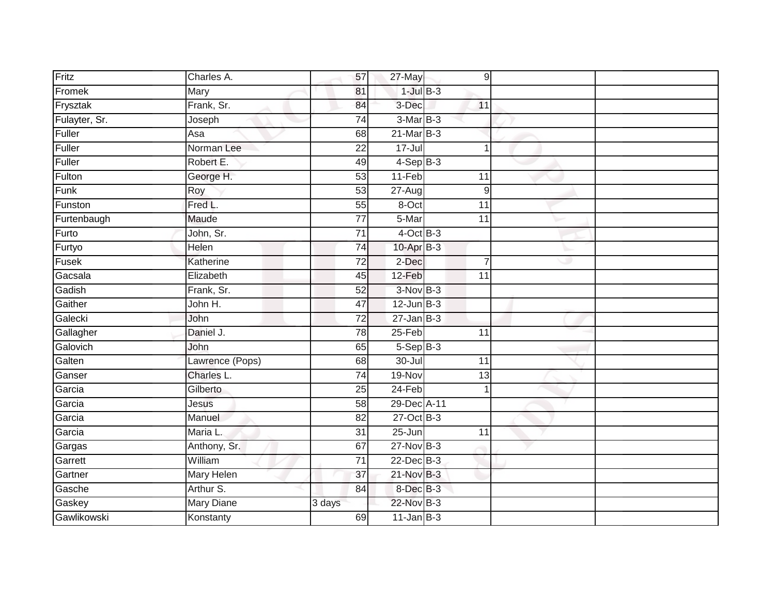| Fritz         | Charles A.        | 57              | $27$ -May       | 9               |   |  |
|---------------|-------------------|-----------------|-----------------|-----------------|---|--|
| Fromek        | Mary              | 81              | $1$ -Jul $B-3$  |                 |   |  |
| Frysztak      | Frank, Sr.        | 84              | 3-Dec           | 11              |   |  |
| Fulayter, Sr. | Joseph            | $\overline{74}$ | $3-Mar$ B-3     |                 |   |  |
| Fuller        | Asa               | 68              | $21$ -Mar $B-3$ |                 |   |  |
| Fuller        | Norman Lee        | 22              | $17 -$ Jul      | -1              |   |  |
| Fuller        | Robert E.         | 49              | $4-Sep$ B-3     |                 |   |  |
| Fulton        | George H.         | 53              | $11-Feb$        | 11              |   |  |
| Funk          | Roy               | 53              | $27 - Aug$      | $\mathsf 9$     |   |  |
| Funston       | Fred L.           | 55              | 8-Oct           | 11              |   |  |
| Furtenbaugh   | Maude             | $\overline{77}$ | 5-Mar           | $\overline{11}$ |   |  |
| Furto         | John, Sr.         | $\overline{71}$ | $4$ -Oct B-3    |                 |   |  |
| Furtyo        | Helen             | 74              | $10$ -Apr $B-3$ |                 |   |  |
| Fusek         | Katherine         | 72              | 2-Dec           | $\overline{7}$  | Ð |  |
| Gacsala       | Elizabeth         | 45              | $12-Feb$        | $\overline{11}$ |   |  |
| Gadish        | Frank, Sr.        | 52              | $3-NovB-3$      |                 |   |  |
| Gaither       | John H.           | 47              | $12$ -Jun $B-3$ |                 |   |  |
| Galecki       | John              | 72              | $27$ -Jan $B-3$ |                 |   |  |
| Gallagher     | Daniel J.         | 78              | $25$ -Feb       | 11              |   |  |
| Galovich      | John              | 65              | $5-$ Sep $B-3$  |                 |   |  |
| Galten        | Lawrence (Pops)   | 68              | $30 -$ Jul      | 11              |   |  |
| Ganser        | Charles L.        | $\overline{74}$ | 19-Nov          | 13              |   |  |
| Garcia        | Gilberto          | $\overline{25}$ | $24-Feb$        |                 |   |  |
| Garcia        | Jesus             | $\overline{58}$ | 29-Dec A-11     |                 |   |  |
| Garcia        | Manuel            | 82              | $27$ -Oct B-3   |                 |   |  |
| Garcia        | Maria L.          | 31              | $25 - Jun$      | $\overline{11}$ |   |  |
| Gargas        | Anthony, Sr.      | 67              | 27-Nov B-3      |                 |   |  |
| Garrett       | William           | 71              | $22$ -Dec $B-3$ |                 |   |  |
| Gartner       | Mary Helen        | 37              | 21-Nov B-3      |                 |   |  |
| Gasche        | Arthur S.         | 84              | 8-Dec B-3       |                 |   |  |
| Gaskey        | <b>Mary Diane</b> | 3 days          | 22-Nov B-3      |                 |   |  |
| Gawlikowski   | Konstanty         | 69              | $11$ -Jan B-3   |                 |   |  |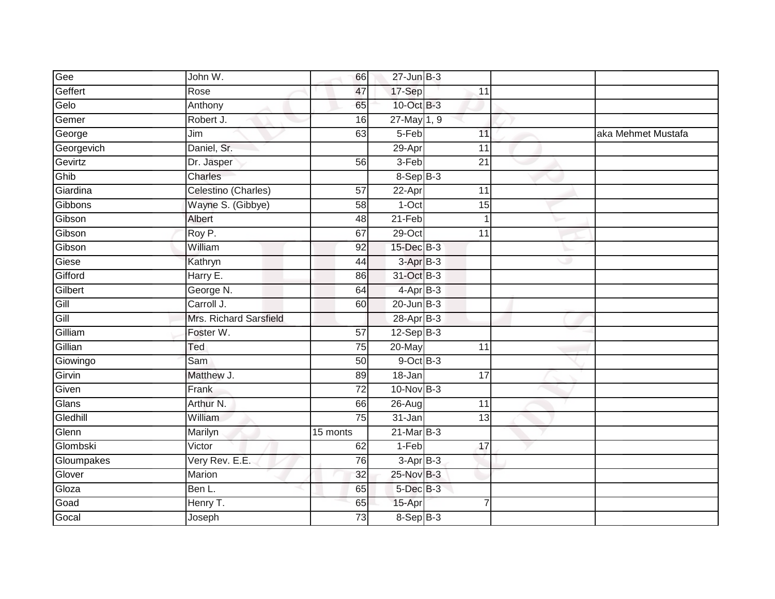| Gee        | John W.                | 66              | $27$ -Jun $B-3$ |                 |   |                    |
|------------|------------------------|-----------------|-----------------|-----------------|---|--------------------|
| Geffert    | Rose                   | 47              | 17-Sep          | 11              |   |                    |
| Gelo       | Anthony                | 65              | $10$ -Oct $B-3$ |                 |   |                    |
| Gemer      | Robert J.              | 16              | $27$ -May 1, 9  |                 |   |                    |
| George     | Jim                    | 63              | $5-Feb$         | 11              |   | aka Mehmet Mustafa |
| Georgevich | Daniel, Sr.            |                 | 29-Apr          | 11              |   |                    |
| Gevirtz    | Dr. Jasper             | 56              | 3-Feb           | 21              |   |                    |
| Ghib       | Charles                |                 | $8-$ Sep $B-3$  |                 |   |                    |
| Giardina   | Celestino (Charles)    | $\overline{57}$ | $22-Apr$        | 11              |   |                    |
| Gibbons    | Wayne S. (Gibbye)      | 58              | $1$ -Oct        | 15              |   |                    |
| Gibson     | Albert                 | 48              | $21-Feb$        |                 |   |                    |
| Gibson     | Roy P.                 | 67              | $29$ -Oct       | $\overline{11}$ |   |                    |
| Gibson     | William                | 92              | 15-Dec B-3      |                 |   |                    |
| Giese      | Kathryn                | 44              | $3-AprB-3$      |                 | æ |                    |
| Gifford    | Harry E.               | 86              | 31-Oct B-3      |                 |   |                    |
| Gilbert    | George N.              | 64              | $4-AprB-3$      |                 |   |                    |
| Gill       | Carroll J.             | 60              | $20$ -Jun $B-3$ |                 |   |                    |
| Gill       | Mrs. Richard Sarsfield |                 | 28-Apr B-3      |                 |   |                    |
| Gilliam    | Foster W.              | $\overline{57}$ | $12-Sep$ B-3    |                 |   |                    |
| Gillian    | Ted                    | 75              | $20$ -May       | $\overline{11}$ |   |                    |
| Giowingo   | Sam                    | 50              | $9$ -Oct $B$ -3 |                 |   |                    |
| Girvin     | Matthew J.             | 89              | 18-Jan          | 17              |   |                    |
| Given      | Frank                  | $\overline{72}$ | $10$ -Nov $B-3$ |                 |   |                    |
| Glans      | Arthur N.              | 66              | 26-Aug          | $\overline{11}$ |   |                    |
| Gledhill   | William                | 75              | 31-Jan          | 13              |   |                    |
| Glenn      | Marilyn                | 15 monts        | $21$ -Mar $B-3$ |                 |   |                    |
| Glombski   | Victor                 | 62              | $1-Feb$         | 17              |   |                    |
| Gloumpakes | Very Rev. E.E.         | 76              | $3-Apr$ $B-3$   |                 |   |                    |
| Glover     | <b>Marion</b>          | 32              | 25-Nov B-3      |                 |   |                    |
| Gloza      | Ben L.                 | 65              | 5-Dec B-3       |                 |   |                    |
| Goad       | Henry T.               | 65              | 15-Apr          | $\overline{7}$  |   |                    |
| Gocal      | Joseph                 | 73              | $8-Sep$ B-3     |                 |   |                    |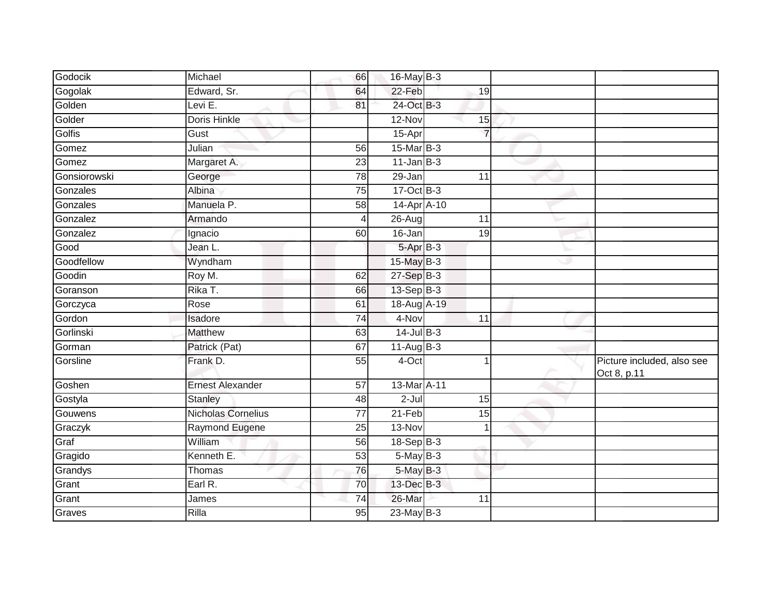| Godocik      | Michael                   | 66              | 16-May B-3      |                 |    |                                           |
|--------------|---------------------------|-----------------|-----------------|-----------------|----|-------------------------------------------|
| Gogolak      | Edward, Sr.               | 64              | 22-Feb          | 19              |    |                                           |
| Golden       | Levi E.                   | 81              | 24-Oct B-3      |                 |    |                                           |
| Golder       | <b>Doris Hinkle</b>       |                 | 12-Nov          | 15              |    |                                           |
| Golfis       | Gust                      |                 | 15-Apr          | $\overline{7}$  |    |                                           |
| Gomez        | Julian                    | 56              | $15$ -Mar $B-3$ |                 |    |                                           |
| Gomez        | Margaret A.               | 23              | $11$ -Jan $B-3$ |                 |    |                                           |
| Gonsiorowski | George                    | $\overline{78}$ | 29-Jan          | 11              |    |                                           |
| Gonzales     | Albina                    | 75              | 17-Oct B-3      |                 |    |                                           |
| Gonzales     | Manuela P.                | 58              | 14-Apr A-10     |                 |    |                                           |
| Gonzalez     | Armando                   | 4               | $26$ -Aug       | 11              |    |                                           |
| Gonzalez     | Ignacio                   | 60              | 16-Jan          | $\overline{19}$ |    |                                           |
| Good         | Jean L.                   |                 | $5-Apr$ B-3     |                 |    |                                           |
| Goodfellow   | Wyndham                   |                 | 15-May B-3      |                 | وی |                                           |
| Goodin       | Roy M.                    | 62              | $27-Sep$ $B-3$  |                 |    |                                           |
| Goranson     | Rika T.                   | 66              | $13-Sep$ B-3    |                 |    |                                           |
| Gorczyca     | Rose                      | 61              | 18-Aug A-19     |                 |    |                                           |
| Gordon       | Isadore                   | 74              | 4-Nov           | 11              |    |                                           |
| Gorlinski    | <b>Matthew</b>            | 63              | $14$ -Jul B-3   |                 |    |                                           |
| Gorman       | Patrick (Pat)             | 67              | $11-AugB-3$     |                 |    |                                           |
| Gorsline     | Frank D.                  | 55              | 4-Oct           |                 |    | Picture included, also see<br>Oct 8, p.11 |
| Goshen       | <b>Ernest Alexander</b>   | $\overline{57}$ | 13-Mar A-11     |                 |    |                                           |
| Gostyla      | <b>Stanley</b>            | 48              | $2-Jul$         | 15              |    |                                           |
| Gouwens      | <b>Nicholas Cornelius</b> | 77              | $21-Feb$        | 15              |    |                                           |
| Graczyk      | Raymond Eugene            | 25              | 13-Nov          |                 |    |                                           |
| Graf         | William                   | 56              | 18-Sep B-3      |                 |    |                                           |
| Gragido      | Kenneth E.                | 53              | $5-May$ B-3     |                 |    |                                           |
| Grandys      | Thomas                    | 76              | $5$ -May $B-3$  |                 |    |                                           |
| Grant        | Earl R.                   | 70              | 13-Dec B-3      |                 |    |                                           |
| Grant        | James                     | $\overline{74}$ | 26-Mar          | 11              |    |                                           |
| Graves       | Rilla                     | 95              | $23$ -May B-3   |                 |    |                                           |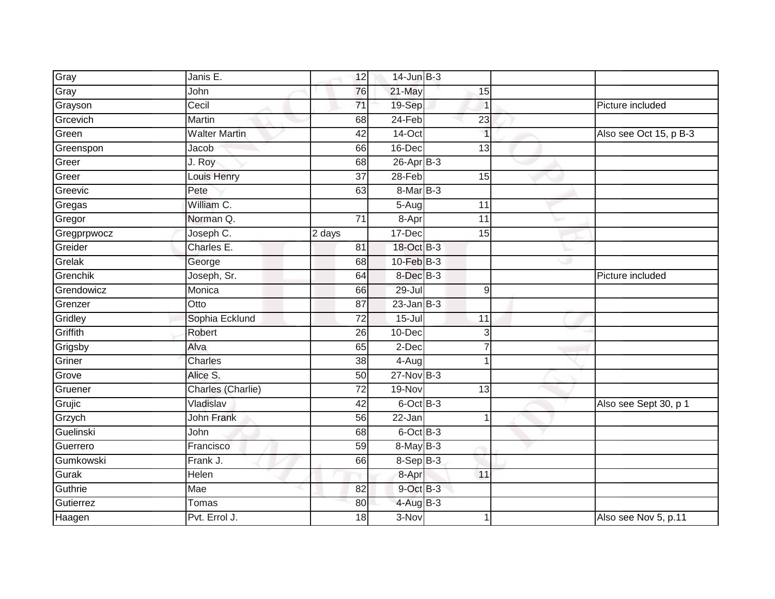| Gray        | Janis E.             | 12              | $14$ -Jun $B-3$            |                 |   |                        |
|-------------|----------------------|-----------------|----------------------------|-----------------|---|------------------------|
| Gray        | John                 | 76              | $21$ -May                  | 15              |   |                        |
| Grayson     | Cecil                | 71              | 19-Sep                     | 1               |   | Picture included       |
| Grcevich    | Martin               | 68              | 24-Feb                     | 23              |   |                        |
| Green       | <b>Walter Martin</b> | $\overline{42}$ | $14$ -Oct                  | $\overline{1}$  |   | Also see Oct 15, p B-3 |
| Greenspon   | Jacob                | 66              | 16-Dec                     | 13              |   |                        |
| Greer       | J. Roy               | 68              | $26$ -Apr $\overline{B-3}$ |                 |   |                        |
| Greer       | <b>Louis Henry</b>   | 37              | 28-Feb                     | 15              |   |                        |
| Greevic     | Pete                 | 63              | $8-MarB-3$                 |                 |   |                        |
| Gregas      | William C.           |                 | $5-Aug$                    | 11              |   |                        |
| Gregor      | Norman Q.            | 71              | 8-Apr                      | 11              |   |                        |
| Gregprpwocz | Joseph C.            | 2 days          | 17-Dec                     | 15              |   |                        |
| Greider     | Charles E.           | 81              | 18-Oct B-3                 |                 |   |                        |
| Grelak      | George               | 68              | $10$ -Feb $B-3$            |                 | Ð |                        |
| Grenchik    | Joseph, Sr.          | 64              | 8-Dec <sup>B-3</sup>       |                 |   | Picture included       |
| Grendowicz  | Monica               | 66              | 29-Jul                     | 9               |   |                        |
| Grenzer     | Otto                 | 87              | $23$ -Jan $B-3$            |                 |   |                        |
| Gridley     | Sophia Ecklund       | 72              | $15 -$ Jul                 | 11              |   |                        |
| Griffith    | Robert               | 26              | 10-Dec                     | 3               |   |                        |
| Grigsby     | Alva                 | 65              | $2$ -Dec                   |                 |   |                        |
| Griner      | Charles              | 38              | 4-Aug                      | 1               |   |                        |
| Grove       | Alice S.             | 50              | $27$ -Nov $B-3$            |                 |   |                        |
| Gruener     | Charles (Charlie)    | 72              | 19-Nov                     | $\overline{13}$ |   |                        |
| Grujic      | Vladislav            | 42              | $6$ -Oct $B-3$             |                 |   | Also see Sept 30, p 1  |
| Grzych      | <b>John Frank</b>    | 56              | 22-Jan                     | 1               |   |                        |
| Guelinski   | John                 | 68              | $6$ -Oct $B$ -3            |                 |   |                        |
| Guerrero    | Francisco            | 59              | 8-May B-3                  |                 |   |                        |
| Gumkowski   | Frank J.             | 66              | $8-Sep B-3$                |                 |   |                        |
| Gurak       | Helen                |                 | 8-Apr                      | 11              |   |                        |
| Guthrie     | Mae                  | $\overline{82}$ | 9-Oct B-3                  |                 |   |                        |
| Gutierrez   | Tomas                | 80              | $4$ -Aug B-3               |                 |   |                        |
| Haagen      | Pvt. Errol J.        | 18              | 3-Nov                      |                 |   | Also see Nov 5, p.11   |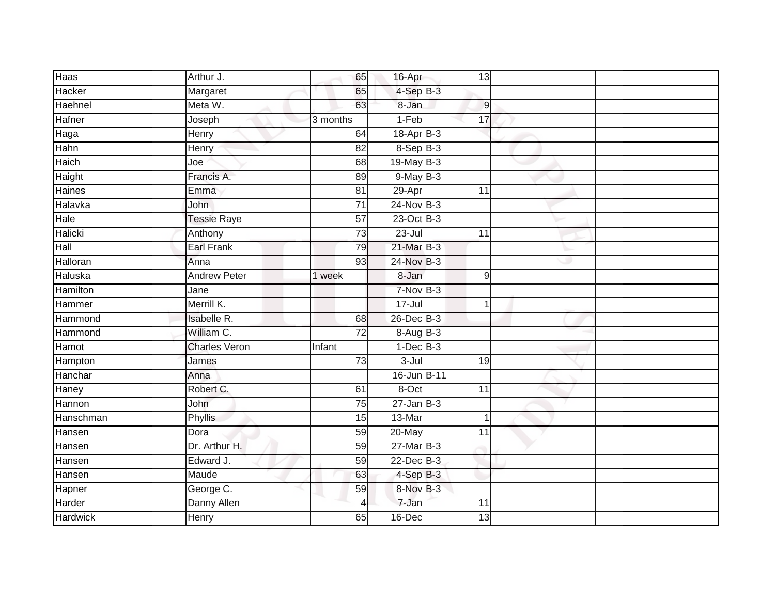| Haas            | Arthur J.            | 65              | 16-Apr           | 13              |   |  |
|-----------------|----------------------|-----------------|------------------|-----------------|---|--|
| Hacker          | Margaret             | 65              | $4-SepB-3$       |                 |   |  |
| Haehnel         | Meta W.              | 63              | 8-Jan            | 9               |   |  |
| Hafner          | Joseph               | 3 months        | $1-Feb$          | $\overline{17}$ |   |  |
| Haga            | Henry                | 64              | 18-Apr B-3       |                 |   |  |
| Hahn            | Henry                | 82              | $8-Sep$ B-3      |                 |   |  |
| Haich           | Joe                  | 68              | 19-May B-3       |                 |   |  |
| Haight          | Francis A.           | 89              | $9$ -May $B-3$   |                 |   |  |
| <b>Haines</b>   | Emma                 | 81              | 29-Apr           | $\overline{11}$ |   |  |
| Halavka         | <b>John</b>          | $\overline{71}$ | $24$ -Nov $B-3$  |                 |   |  |
| Hale            | <b>Tessie Raye</b>   | 57              | 23-Oct B-3       |                 |   |  |
| Halicki         | Anthony              | $\overline{73}$ | $23 -$ Jul       | $\overline{11}$ |   |  |
| Hall            | <b>Earl Frank</b>    | 79              | $21$ -Mar $B-3$  |                 |   |  |
| Halloran        | Anna                 | 93              | 24-Nov B-3       |                 | Ð |  |
| Haluska         | <b>Andrew Peter</b>  | 1 week          | 8-Jan            | $\mathsf g$     |   |  |
| Hamilton        | Jane                 |                 | $7-NovB-3$       |                 |   |  |
| Hammer          | Merrill K.           |                 | $17 -$ Jul       | 1               |   |  |
| Hammond         | <b>Isabelle R.</b>   | 68              | 26-Dec B-3       |                 |   |  |
| Hammond         | William C.           | $\overline{72}$ | 8-Aug B-3        |                 |   |  |
| Hamot           | <b>Charles Veron</b> | Infant          | $1-Dec$ B-3      |                 |   |  |
| Hampton         | James                | 73              | 3-Jul            | 19              |   |  |
| Hanchar         | Anna                 |                 | 16-Jun B-11      |                 |   |  |
| Haney           | Robert C.            | 61              | 8-Oct            | $\overline{11}$ |   |  |
| Hannon          | John                 | $\overline{75}$ | $27 - Jan$ $B-3$ |                 |   |  |
| Hanschman       | Phyllis              | 15              | 13-Mar           | -1              |   |  |
| Hansen          | Dora                 | 59              | 20-May           | $\overline{11}$ |   |  |
| Hansen          | Dr. Arthur H.        | 59              | $27$ -Mar $B-3$  |                 |   |  |
| Hansen          | Edward J.            | 59              | $22$ -Dec $B-3$  |                 |   |  |
| Hansen          | Maude                | 63              | $4-SepB-3$       |                 |   |  |
| Hapner          | George C.            | 59              | 8-Nov B-3        |                 |   |  |
| Harder          | Danny Allen          | 4               | 7-Jan            | 11              |   |  |
| <b>Hardwick</b> | Henry                | 65              | 16-Dec           | 13              |   |  |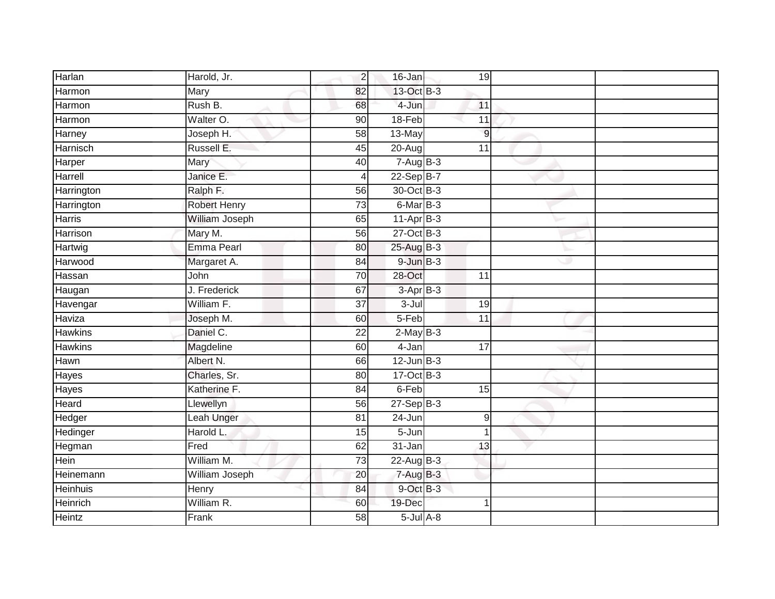| Harlan          | Harold, Jr.         | 2               | 16-Jan          | 19              |  |
|-----------------|---------------------|-----------------|-----------------|-----------------|--|
| Harmon          | Mary                | 82              | 13-Oct B-3      |                 |  |
| Harmon          | Rush B.             | 68              | 4-Jun           | 11              |  |
| Harmon          | Walter O.           | 90              | 18-Feb          | $\overline{11}$ |  |
| Harney          | Joseph H.           | 58              | 13-May          | $\overline{9}$  |  |
| Harnisch        | Russell E.          | 45              | $20 - Aug$      | 11              |  |
| Harper          | Mary                | 40              | $7-Aug$ B-3     |                 |  |
| Harrell         | Janice E.           | 4               | $22-SepB-7$     |                 |  |
| Harrington      | Ralph F.            | 56              | 30-Oct B-3      |                 |  |
| Harrington      | <b>Robert Henry</b> | 73              | $6$ -Mar $B-3$  |                 |  |
| <b>Harris</b>   | William Joseph      | 65              | $11-AprB-3$     |                 |  |
| <b>Harrison</b> | Mary M.             | 56              | 27-Oct B-3      |                 |  |
| Hartwig         | <b>Emma Pearl</b>   | 80              | $25$ -Aug $B-3$ |                 |  |
| Harwood         | Margaret A.         | 84              | $9$ -Jun $B-3$  |                 |  |
| Hassan          | John                | 70              | $28 - Oct$      | $\overline{11}$ |  |
| Haugan          | J. Frederick        | 67              | $3-AprB-3$      |                 |  |
| Havengar        | William F.          | 37              | $3-Jul$         | 19              |  |
| Haviza          | Joseph M.           | 60              | 5-Feb           | 11              |  |
| <b>Hawkins</b>  | Daniel C.           | $\overline{22}$ | $2-May$ B-3     |                 |  |
| <b>Hawkins</b>  | Magdeline           | 60              | 4-Jan           | 17              |  |
| Hawn            | Albert N.           | 66              | $12$ -Jun $B-3$ |                 |  |
| Hayes           | Charles, Sr.        | 80              | $17-Oct$ B-3    |                 |  |
| Hayes           | Katherine F.        | 84              | 6-Feb           | $\overline{15}$ |  |
| <b>Heard</b>    | Llewellyn           | 56              | $27 - SepB-3$   |                 |  |
| Hedger          | Leah Unger          | 81              | 24-Jun          | $\overline{9}$  |  |
| Hedinger        | Harold L.           | 15              | $5 - Jun$       | 1               |  |
| Hegman          | Fred                | 62              | $31 - Jan$      | 13              |  |
| Hein            | William M.          | 73              | $22$ -Aug $B-3$ |                 |  |
| Heinemann       | William Joseph      | 20              | $7 - Aug$ B-3   |                 |  |
| <b>Heinhuis</b> | Henry               | $\overline{84}$ | 9-Oct B-3       |                 |  |
| Heinrich        | William R.          | 60              | 19-Dec          | 1               |  |
| Heintz          | Frank               | 58              | $5$ -Jul $A$ -8 |                 |  |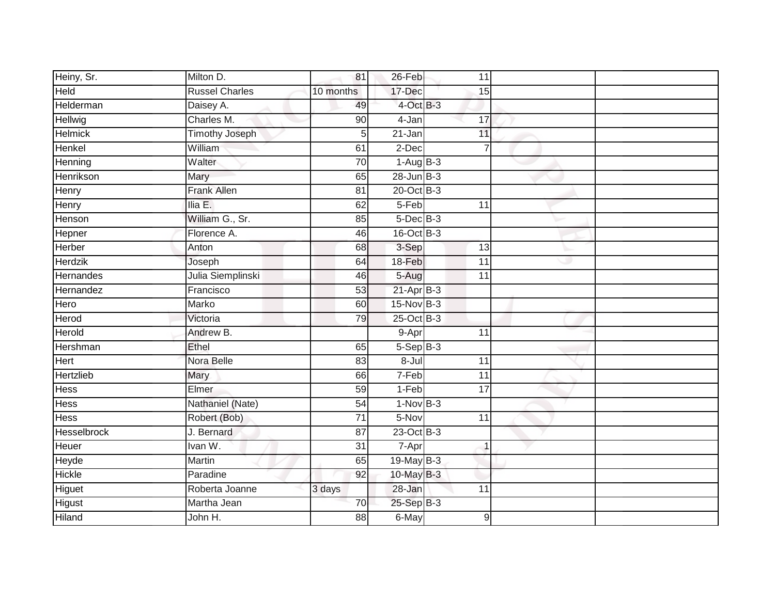| Heiny, Sr.     | Milton D.             | 81              | 26-Feb          | 11              |   |  |
|----------------|-----------------------|-----------------|-----------------|-----------------|---|--|
| <b>Held</b>    | <b>Russel Charles</b> | 10 months       | 17-Dec          | 15              |   |  |
| Helderman      | Daisey A.             | 49              | 4-Oct B-3       |                 |   |  |
| Hellwig        | Charles M.            | 90              | 4-Jan           | 17              |   |  |
| <b>Helmick</b> | <b>Timothy Joseph</b> | 5               | $21 - Jan$      | 11              |   |  |
| Henkel         | William               | 61              | 2-Dec           | $\overline{7}$  |   |  |
| Henning        | Walter                | $\overline{70}$ | $1-AugB-3$      |                 |   |  |
| Henrikson      | Mary                  | 65              | $28$ -Jun $B-3$ |                 |   |  |
| Henry          | <b>Frank Allen</b>    | 81              | 20-Oct B-3      |                 |   |  |
| Henry          | Ilia E.               | 62              | $5-Feb$         | 11              |   |  |
| Henson         | William G., Sr.       | 85              | $5$ -Dec $B$ -3 |                 |   |  |
| Hepner         | Florence A.           | 46              | 16-Oct B-3      |                 |   |  |
| <b>Herber</b>  | Anton                 | 68              | 3-Sep           | 13              |   |  |
| <b>Herdzik</b> | Joseph                | 64              | 18-Feb          | 11              | w |  |
| Hernandes      | Julia Siemplinski     | 46              | 5-Aug           | $\overline{11}$ |   |  |
| Hernandez      | Francisco             | 53              | $21-Apr$ B-3    |                 |   |  |
| Hero           | Marko                 | 60              | $15-Nov$ B-3    |                 |   |  |
| Herod          | Victoria              | 79              | $25$ -Oct B-3   |                 |   |  |
| Herold         | Andrew B.             |                 | 9-Apr           | 11              |   |  |
| Hershman       | Ethel                 | 65              | $5-Sep$ B-3     |                 |   |  |
| Hert           | Nora Belle            | 83              | $8 -$ Jul       | 11              |   |  |
| Hertzlieb      | Mary                  | 66              | 7-Feb           | 11              |   |  |
| <b>Hess</b>    | Elmer                 | 59              | $1-Feb$         | $\overline{17}$ |   |  |
| <b>Hess</b>    | Nathaniel (Nate)      | 54              | $1-NovB-3$      |                 |   |  |
| <b>Hess</b>    | Robert (Bob)          | $\overline{71}$ | 5-Nov           | 11              |   |  |
| Hesselbrock    | J. Bernard            | 87              | 23-Oct B-3      |                 |   |  |
| <b>Heuer</b>   | Ivan W.               | $\overline{31}$ | $7 - Apr$       | $\mathbf 1$     |   |  |
| Heyde          | Martin                | 65              | $19$ -May B-3   |                 |   |  |
| Hickle         | Paradine              | 92              | 10-May B-3      |                 |   |  |
| Higuet         | Roberta Joanne        | 3 days          | 28-Jan          | $\overline{11}$ |   |  |
| <b>Higust</b>  | Martha Jean           | 70              | 25-Sep B-3      |                 |   |  |
| <b>Hiland</b>  | John H.               | 88              | 6-May           | 9               |   |  |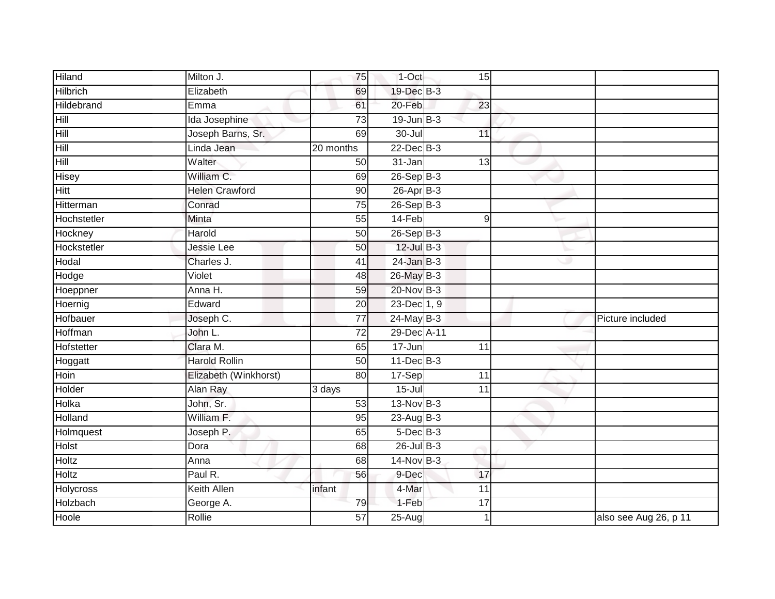| <b>Hiland</b>   | Milton J.             | 75              | 1-Oct                        | 15              |   |                       |
|-----------------|-----------------------|-----------------|------------------------------|-----------------|---|-----------------------|
| <b>Hilbrich</b> | Elizabeth             | 69              | 19-Dec B-3                   |                 |   |                       |
| Hildebrand      | Emma                  | 61              | 20-Feb                       | 23              |   |                       |
| Hill            | Ida Josephine         | $\overline{73}$ | $19$ -Jun $B-3$              |                 |   |                       |
| <b>Hill</b>     | Joseph Barns, Sr.     | 69              | $30 -$ Jul                   | 11              |   |                       |
| Hill            | Linda Jean            | 20 months       | $22$ -Dec $B-3$              |                 |   |                       |
| Hill            | Walter                | 50              | 31-Jan                       | 13              |   |                       |
| <b>Hisey</b>    | William C.            | 69              | 26-Sep B-3                   |                 |   |                       |
| <b>Hitt</b>     | <b>Helen Crawford</b> | 90              | $26$ -Apr $B-3$              |                 |   |                       |
| Hitterman       | Conrad                | 75              | $26-Sep$ B-3                 |                 |   |                       |
| Hochstetler     | Minta                 | 55              | $14-Feb$                     | 9               |   |                       |
| Hockney         | Harold                | 50              | $26-Sep$ B-3                 |                 |   |                       |
| Hockstetler     | Jessie Lee            | 50              | $12$ -Jul $B-3$              |                 |   |                       |
| Hodal           | Charles J.            | 41              | $24$ -Jan $B-3$              |                 | w |                       |
| Hodge           | Violet                | 48              | 26-May B-3                   |                 |   |                       |
| Hoeppner        | Anna H.               | 59              | 20-Nov B-3                   |                 |   |                       |
| Hoernig         | Edward                | 20              | $23$ -Dec $\overline{1}$ , 9 |                 |   |                       |
| Hofbauer        | Joseph C.             | 77              | $24$ -May B-3                |                 |   | Picture included      |
| Hoffman         | John L.               | 72              | 29-Dec A-11                  |                 |   |                       |
| Hofstetter      | Clara M.              | 65              | $17 - Jun$                   | 11              |   |                       |
| Hoggatt         | <b>Harold Rollin</b>  | 50              | $11 - Dec$ B-3               |                 |   |                       |
| Hoin            | Elizabeth (Winkhorst) | 80              | 17-Sep                       | 11              |   |                       |
| Holder          | Alan Ray              | 3 days          | $15 -$ Jul                   | $\overline{11}$ |   |                       |
| Holka           | John, Sr.             | 53              | 13-Nov B-3                   |                 |   |                       |
| Holland         | William F.            | 95              | $23-AugB-3$                  |                 |   |                       |
| Holmquest       | Joseph P.             | 65              | $5$ -Dec $B$ -3              |                 |   |                       |
| Holst           | Dora                  | 68              | $26$ -Jul $B-3$              |                 |   |                       |
| <b>Holtz</b>    | Anna                  | 68              | $14$ -Nov B-3                |                 |   |                       |
| Holtz           | Paul R.               | 56              | 9-Dec                        | 17              |   |                       |
| Holycross       | <b>Keith Allen</b>    | infant          | 4-Mar                        | $\overline{11}$ |   |                       |
| Holzbach        | George A.             | 79              | 1-Feb                        | 17              |   |                       |
| Hoole           | Rollie                | 57              | $25 - Aug$                   |                 |   | also see Aug 26, p 11 |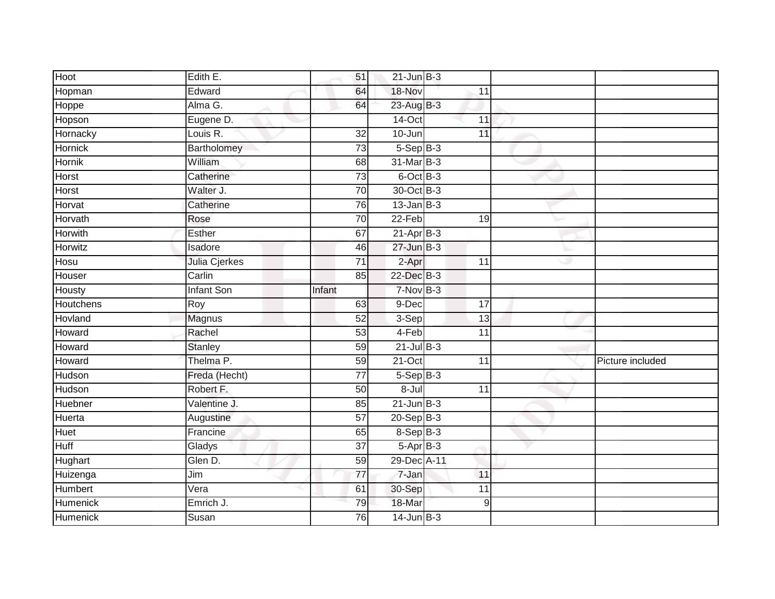| Hoot           | Edith E.          | 51              | $21$ -Jun $B-3$ |                 |    |                  |
|----------------|-------------------|-----------------|-----------------|-----------------|----|------------------|
| Hopman         | Edward            | 64              | 18-Nov          | 11              |    |                  |
| Hoppe          | Alma G.           | 64              | 23-Aug B-3      |                 |    |                  |
| Hopson         | Eugene D.         |                 | $14$ -Oct       | 11              |    |                  |
| Hornacky       | Louis R.          | $\overline{32}$ | 10-Jun          | 11              |    |                  |
| Hornick        | Bartholomey       | $\overline{73}$ | $5-Sep$ B-3     |                 |    |                  |
| Hornik         | <b>William</b>    | 68              | 31-Mar B-3      |                 |    |                  |
| Horst          | Catherine         | $\overline{73}$ | $6$ -Oct $B$ -3 |                 |    |                  |
| Horst          | Walter J.         | 70              | 30-Oct B-3      |                 |    |                  |
| Horvat         | Catherine         | 76              | $13$ -Jan $B-3$ |                 |    |                  |
| Horvath        | Rose              | 70              | $22-Feb$        | 19              |    |                  |
| <b>Horwith</b> | Esther            | 67              | $21-AprB-3$     |                 |    |                  |
| Horwitz        | Isadore           | 46              | $27$ -Jun $B-3$ |                 |    |                  |
| Hosu           | Julia Cjerkes     | 71              | 2-Apr           | 11              | هد |                  |
| Houser         | Carlin            | 85              | 22-Dec B-3      |                 |    |                  |
| Housty         | <b>Infant Son</b> | Infant          | $7-NovB-3$      |                 |    |                  |
| Houtchens      | Roy               | 63              | 9-Dec           | 17              |    |                  |
| Hovland        | Magnus            | 52              | 3-Sep           | 13              |    |                  |
| Howard         | Rachel            | 53              | 4-Feb           | 11              |    |                  |
| Howard         | <b>Stanley</b>    | 59              | $21$ -Jul $B-3$ |                 |    |                  |
| Howard         | Thelma P.         | 59              | $21-Oct$        | 11              |    | Picture included |
| Hudson         | Freda (Hecht)     | $\overline{77}$ | $5-Sep$ B-3     |                 |    |                  |
| Hudson         | Robert F.         | 50              | 8-Jul           | 11              |    |                  |
| Huebner        | Valentine J.      | $\overline{85}$ | $21$ -Jun $B-3$ |                 |    |                  |
| Huerta         | Augustine         | 57              | $20-Sep$ B-3    |                 |    |                  |
| <b>Huet</b>    | Francine          | 65              | $8-Sep$ B-3     |                 |    |                  |
| <b>Huff</b>    | Gladys            | $\overline{37}$ | $5-AprB-3$      |                 |    |                  |
| Hughart        | Glen D.           | 59              | 29-Dec A-11     |                 |    |                  |
| Huizenga       | Jim               | 77              | $7 - Jan$       | 11              |    |                  |
| <b>Humbert</b> | Vera              | 61              | 30-Sep          | $\overline{11}$ |    |                  |
| Humenick       | Emrich J.         | 79              | 18-Mar          | 9               |    |                  |
| Humenick       | Susan             | 76              | $14$ -Jun $B-3$ |                 |    |                  |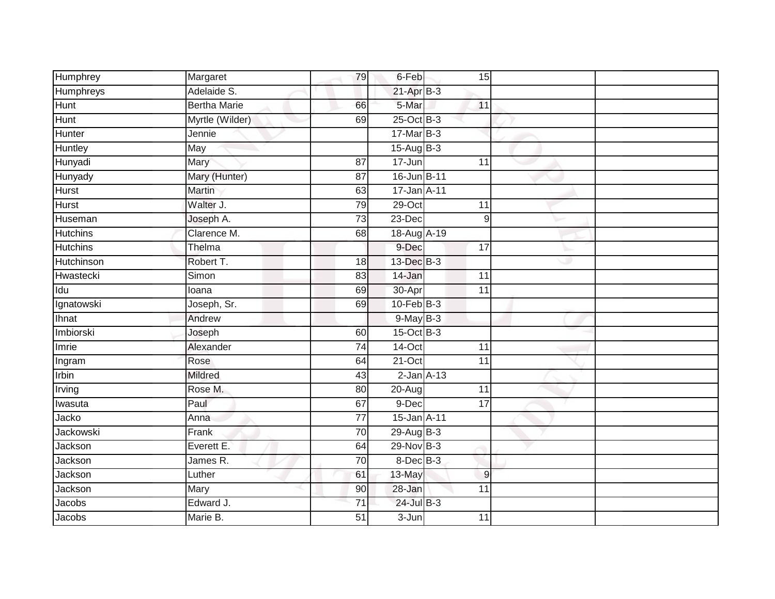| Humphrey        | Margaret            | 79              | 6-Feb<br>15                |
|-----------------|---------------------|-----------------|----------------------------|
| Humphreys       | Adelaide S.         |                 | $21-AprB-3$                |
| Hunt            | <b>Bertha Marie</b> | 66              | 5-Mar<br>11                |
| <b>Hunt</b>     | Myrtle (Wilder)     | 69              | $25$ -Oct B-3              |
| Hunter          | Jennie              |                 | $17$ -Mar $B-3$            |
| Huntley         | May                 |                 | $15-Aug$ B-3               |
| Hunyadi         | Mary                | 87              | 17-Jun<br>11               |
| Hunyady         | Mary (Hunter)       | 87              | 16-Jun B-11                |
| <b>Hurst</b>    | <b>Martin</b>       | 63              | 17-Jan A-11                |
| <b>Hurst</b>    | Walter J.           | 79              | 29-Oct<br>11               |
| Huseman         | Joseph A.           | 73              | 23-Dec<br>$\overline{9}$   |
| <b>Hutchins</b> | Clarence M.         | 68              | 18-Aug A-19                |
| <b>Hutchins</b> | Thelma              |                 | 9-Dec<br>17                |
| Hutchinson      | Robert T.           | 18              | 13-Dec B-3<br>w            |
| Hwastecki       | Simon               | 83              | 14-Jan<br>$\overline{11}$  |
| Idu             | loana               | 69              | 30-Apr<br>11               |
| Ignatowski      | Joseph, Sr.         | 69              | $10$ -Feb $B-3$            |
| Ihnat           | Andrew              |                 | $9$ -May $B-3$             |
| Imbiorski       | Joseph              | 60              | $15-Oct$ B-3               |
| Imrie           | Alexander           | 74              | $14$ -Oct<br>11            |
| Ingram          | Rose                | 64              | $21-Oct$<br>11             |
| Irbin           | <b>Mildred</b>      | 43              | $2$ -Jan $A-13$            |
| Irving          | Rose M.             | $\overline{80}$ | 20-Aug<br>$\overline{11}$  |
| Iwasuta         | Paul                | 67              | 9-Dec<br>$\overline{17}$   |
| Jacko           | Anna                | $\overline{77}$ | 15-Jan A-11                |
| Jackowski       | Frank               | 70              | $29$ -Aug $B-3$            |
| Jackson         | Everett E.          | 64              | 29-Nov B-3                 |
| <b>Jackson</b>  | James R.            | $\overline{70}$ | $8$ -Dec $B$ -3            |
| Jackson         | Luther              | 61              | 13-May<br>$\boldsymbol{9}$ |
| Jackson         | Mary                | 90              | 28-Jan<br>$\overline{11}$  |
| Jacobs          | Edward J.           | 71              | 24-Jul B-3                 |
| Jacobs          | Marie B.            | 51              | $3 - Jun$<br>11            |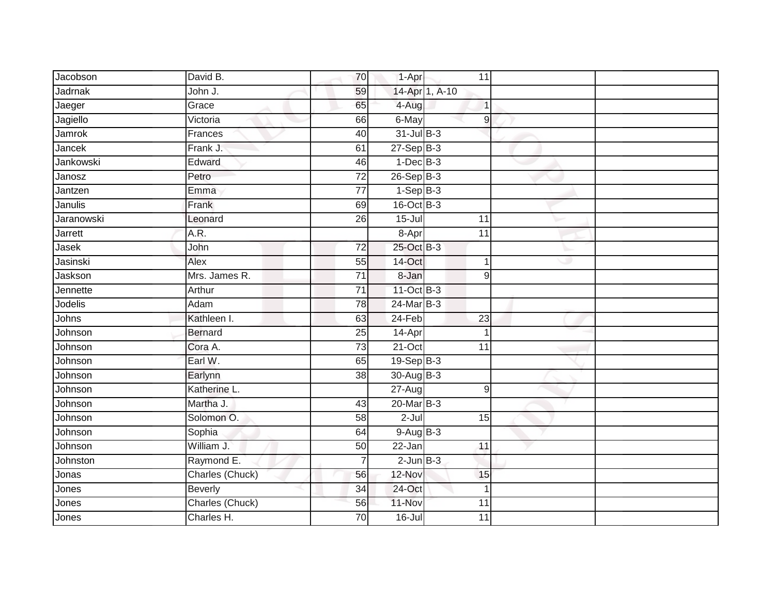| Jacobson   | David B.        | 70              | 1-Apr           | 11              |  |
|------------|-----------------|-----------------|-----------------|-----------------|--|
| Jadrnak    | John J.         | 59              |                 | 14-Apr 1, A-10  |  |
| Jaeger     | Grace           | 65              | 4-Aug           | $\overline{1}$  |  |
| Jagiello   | Victoria        | 66              | $6$ -May        | $\vert 9 \vert$ |  |
| Jamrok     | Frances         | 40              | $31$ -Jul B-3   |                 |  |
| Jancek     | Frank J.        | 61              | $27-Sep$ B-3    |                 |  |
| Jankowski  | Edward          | 46              | $1-Dec$ B-3     |                 |  |
| Janosz     | Petro           | $\overline{72}$ | $26-Sep$ B-3    |                 |  |
| Jantzen    | Emma            | $\overline{77}$ | $1-Sep$ B-3     |                 |  |
| Janulis    | Frank           | 69              | 16-Oct B-3      |                 |  |
| Jaranowski | Leonard         | 26              | $15 -$ Jul      | 11              |  |
| Jarrett    | A.R.            |                 | 8-Apr           | $\overline{11}$ |  |
| Jasek      | John            | 72              | 25-Oct B-3      |                 |  |
| Jasinski   | Alex            | 55              | 14-Oct          | $\overline{1}$  |  |
| Jaskson    | Mrs. James R.   | $\overline{71}$ | 8-Jan           | 9               |  |
| Jennette   | Arthur          | $\overline{71}$ | 11-Oct B-3      |                 |  |
| Jodelis    | Adam            | 78              | $24$ -Mar $B-3$ |                 |  |
| Johns      | Kathleen I.     | 63              | 24-Feb          | 23              |  |
| Johnson    | <b>Bernard</b>  | 25              | 14-Apr          | $\overline{1}$  |  |
| Johnson    | Cora A.         | 73              | $21-Oct$        | 11              |  |
| Johnson    | Earl W.         | 65              | $19-Sep$ B-3    |                 |  |
| Johnson    | Earlynn         | 38              | $30-AugB-3$     |                 |  |
| Johnson    | Katherine L.    |                 | $27 - Aug$      | 9               |  |
| Johnson    | Martha J.       | 43              | $20$ -Mar $B-3$ |                 |  |
| Johnson    | Solomon O.      | 58              | $2-Jul$         | 15              |  |
| Johnson    | Sophia          | 64              | $9-Aug$ B-3     |                 |  |
| Johnson    | William J.      | 50              | 22-Jan          | 11              |  |
| Johnston   | Raymond E.      | $\overline{7}$  | $2$ -Jun $B-3$  |                 |  |
| Jonas      | Charles (Chuck) | 56              | 12-Nov          | 15              |  |
| Jones      | <b>Beverly</b>  | 34              | 24-Oct          | $\overline{1}$  |  |
| Jones      | Charles (Chuck) | 56              | 11-Nov          | $\overline{11}$ |  |
| Jones      | Charles H.      | 70              | 16-Jul          | 11              |  |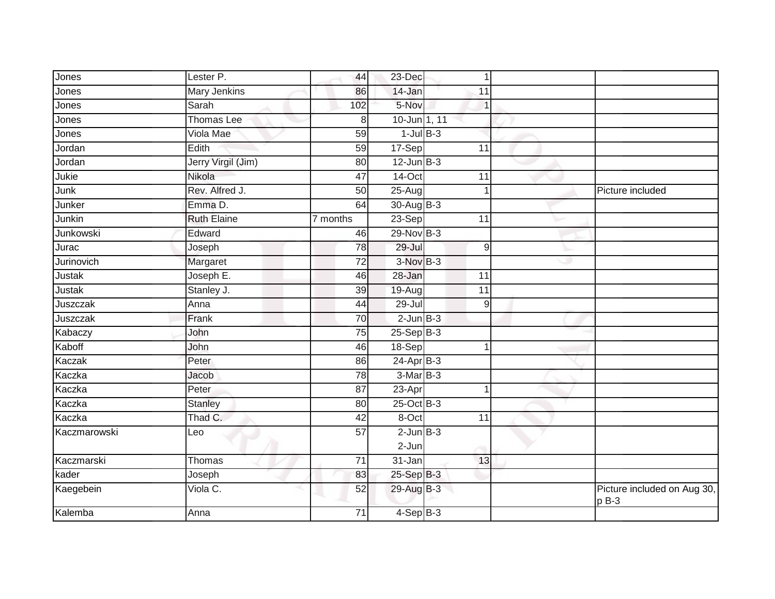| Jones        | Lester P.           | 44              | 23-Dec          | $\overline{1}$  |   |                                       |
|--------------|---------------------|-----------------|-----------------|-----------------|---|---------------------------------------|
| Jones        | <b>Mary Jenkins</b> | 86              | 14-Jan          | 11              |   |                                       |
| Jones        | Sarah               | 102             | 5-Nov           | $\vert$ 1       |   |                                       |
| Jones        | Thomas Lee          | 8               | 10-Jun 1, 11    |                 |   |                                       |
| Jones        | Viola Mae           | 59              | $1$ -Jul $B-3$  |                 |   |                                       |
| Jordan       | Edith               | 59              | 17-Sep          | 11              |   |                                       |
| Jordan       | Jerry Virgil (Jim)  | 80              | $12$ -Jun $B-3$ |                 |   |                                       |
| Jukie        | Nikola              | 47              | $14$ -Oct       | 11              |   |                                       |
| Junk         | Rev. Alfred J.      | 50              | $25 - Aug$      |                 |   | Picture included                      |
| Junker       | Emma D.             | 64              | $30-AugB-3$     |                 |   |                                       |
| Junkin       | <b>Ruth Elaine</b>  | 7 months        | $23-Sep$        | 11              |   |                                       |
| Junkowski    | Edward              | 46              | 29-Nov B-3      |                 |   |                                       |
| Jurac        | Joseph              | 78              | $29 -$ Jul      | 9               |   |                                       |
| Jurinovich   | Margaret            | 72              | $3-NovB-3$      |                 | ت |                                       |
| Justak       | Joseph E.           | 46              | 28-Jan          | 11              |   |                                       |
| Justak       | Stanley J.          | 39              | 19-Aug          | $\overline{11}$ |   |                                       |
| Juszczak     | Anna                | 44              | 29-Jul          | 9               |   |                                       |
| Juszczak     | Frank               | 70              | $2$ -Jun $B-3$  |                 |   |                                       |
| Kabaczy      | John                | 75              | $25-Sep$ B-3    |                 |   |                                       |
| Kaboff       | John                | 46              | 18-Sep          |                 |   |                                       |
| Kaczak       | Peter               | 86              | $24-Apr$ B-3    |                 |   |                                       |
| Kaczka       | Jacob               | 78              | $3-MarB-3$      |                 |   |                                       |
| Kaczka       | Peter               | 87              | 23-Apr          |                 |   |                                       |
| Kaczka       | <b>Stanley</b>      | 80              | 25-Oct B-3      |                 |   |                                       |
| Kaczka       | Thad C.             | 42              | 8-Oct           | 11              |   |                                       |
| Kaczmarowski | Leo                 | $\overline{57}$ | $2$ -Jun $B-3$  |                 |   |                                       |
|              |                     |                 | $2$ -Jun        |                 |   |                                       |
| Kaczmarski   | Thomas              | 71              | 31-Jan          | 13              |   |                                       |
| kader        | Joseph              | 83              | 25-Sep B-3      |                 |   |                                       |
| Kaegebein    | Viola C.            | 52              | $29$ -Aug B-3   |                 |   | Picture included on Aug 30,<br>$pB-3$ |
| Kalemba      | Anna                | 71              | $4-SepB-3$      |                 |   |                                       |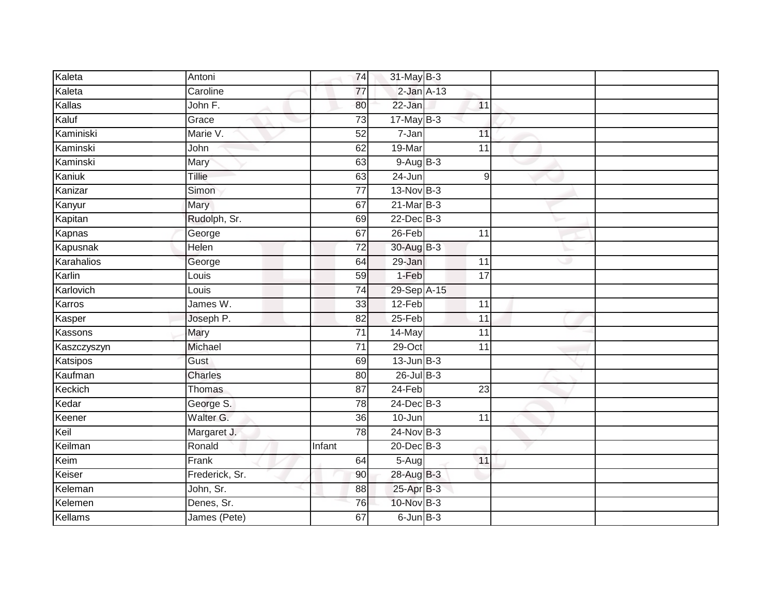| Kaleta      | Antoni         | 74              | 31-May B-3      |                 |   |  |
|-------------|----------------|-----------------|-----------------|-----------------|---|--|
| Kaleta      | Caroline       | $\overline{77}$ | $2$ -Jan $A-13$ |                 |   |  |
| Kallas      | John F.        | 80              | 22-Jan          | 11              |   |  |
| Kaluf       | Grace          | $\overline{73}$ | $17$ -May B-3   |                 |   |  |
| Kaminiski   | Marie V.       | $\overline{52}$ | 7-Jan           | 11              |   |  |
| Kaminski    | John           | 62              | 19-Mar          | 11              |   |  |
| Kaminski    | Mary           | 63              | $9-AugB-3$      |                 |   |  |
| Kaniuk      | Tillie         | 63              | 24-Jun          | 9               |   |  |
| Kanizar     | Simon          | $\overline{77}$ | $13-Nov$ B-3    |                 |   |  |
| Kanyur      | Mary           | 67              | $21$ -Mar $B-3$ |                 |   |  |
| Kapitan     | Rudolph, Sr.   | 69              | $22$ -Dec $B-3$ |                 |   |  |
| Kapnas      | George         | 67              | $26$ -Feb       | 11              |   |  |
| Kapusnak    | Helen          | $\overline{72}$ | $30$ -Aug $B-3$ |                 |   |  |
| Karahalios  | George         | 64              | 29-Jan          | $\overline{11}$ | Ð |  |
| Karlin      | Louis          | 59              | $1-Feb$         | $\overline{17}$ |   |  |
| Karlovich   | Louis          | $\overline{74}$ | 29-Sep A-15     |                 |   |  |
| Karros      | James W.       | 33              | 12-Feb          | 11              |   |  |
| Kasper      | Joseph P.      | 82              | $25-Feb$        | 11              |   |  |
| Kassons     | Mary           | 71              | 14-May          | 11              |   |  |
| Kaszczyszyn | Michael        | $\overline{71}$ | $29$ -Oct       | $\overline{11}$ |   |  |
| Katsipos    | Gust           | 69              | $13$ -Jun $B-3$ |                 |   |  |
| Kaufman     | <b>Charles</b> | 80              | $26$ -Jul $B-3$ |                 |   |  |
| Keckich     | Thomas         | $\overline{87}$ | $24-Feb$        | $\overline{23}$ |   |  |
| Kedar       | George S.      | 78              | $24$ -Dec $B-3$ |                 |   |  |
| Keener      | Walter G.      | 36              | 10-Jun          | 11              |   |  |
| Keil        | Margaret J.    | 78              | 24-Nov B-3      |                 |   |  |
| Keilman     | Ronald         | Infant          | $20$ -Dec $B-3$ |                 |   |  |
| Keim        | Frank          | 64              | $5 - Aug$       | 11              |   |  |
| Keiser      | Frederick, Sr. | 90              | 28-Aug B-3      |                 |   |  |
| Keleman     | John, Sr.      | 88              | 25-Apr B-3      |                 |   |  |
| Kelemen     | Denes, Sr.     | 76              | 10-Nov B-3      |                 |   |  |
| Kellams     | James (Pete)   | 67              | $6$ -Jun $B-3$  |                 |   |  |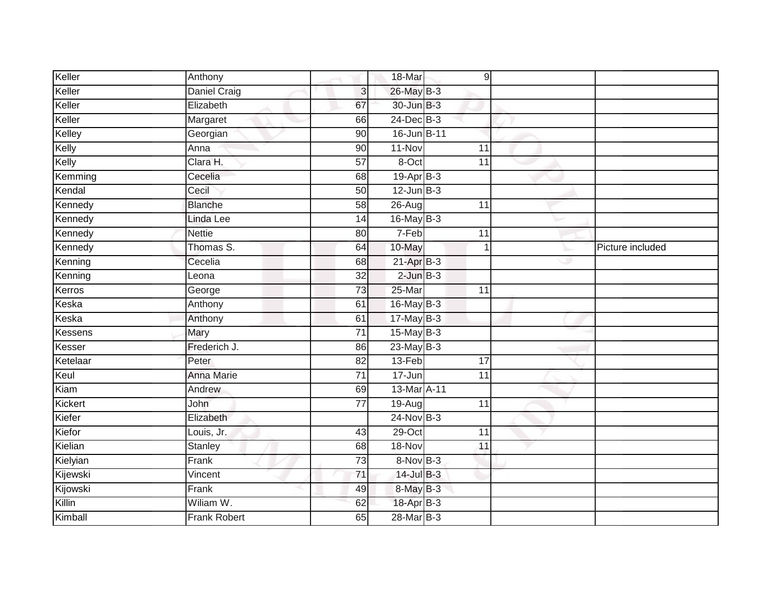| Keller         | Anthony             |                 | 18-Mar          | 9               |                  |
|----------------|---------------------|-----------------|-----------------|-----------------|------------------|
| Keller         | <b>Daniel Craig</b> | 3               | $26$ -May B-3   |                 |                  |
| Keller         | Elizabeth           | 67              | 30-Jun B-3      |                 |                  |
| Keller         | Margaret            | 66              | $24$ -Dec $B-3$ |                 |                  |
| Kelley         | Georgian            | 90              | 16-Jun B-11     |                 |                  |
| Kelly          | Anna                | 90              | 11-Nov          | 11              |                  |
| Kelly          | Clara H.            | 57              | 8-Oct           | 11              |                  |
| Kemming        | Cecelia             | 68              | 19-Apr B-3      |                 |                  |
| Kendal         | Cecil               | $\overline{50}$ | $12$ -Jun $B-3$ |                 |                  |
| Kennedy        | <b>Blanche</b>      | 58              | $26$ -Aug       | 11              |                  |
| Kennedy        | Linda Lee           | 14              | $16$ -May $B-3$ |                 |                  |
| Kennedy        | <b>Nettie</b>       | 80              | $7-Feb$         | 11              |                  |
| Kennedy        | Thomas S.           | 64              | 10-May          | 1               | Picture included |
| Kenning        | Cecelia             | 68              | $21-AprB-3$     |                 |                  |
| Kenning        | Leona               | $\overline{32}$ | $2$ -Jun $B-3$  |                 |                  |
| Kerros         | George              | $\overline{73}$ | 25-Mar          | 11              |                  |
| Keska          | Anthony             | 61              | 16-May B-3      |                 |                  |
| Keska          | Anthony             | 61              | $17$ -May B-3   |                 |                  |
| <b>Kessens</b> | Mary                | 71              | $15$ -May B-3   |                 |                  |
| Kesser         | Frederich J.        | 86              | $23$ -May B-3   |                 |                  |
| Ketelaar       | Peter               | 82              | 13-Feb          | 17              |                  |
| Keul           | Anna Marie          | 71              | 17-Jun          | 11              |                  |
| Kiam           | Andrew              | 69              | 13-Mar A-11     |                 |                  |
| Kickert        | John                | $\overline{77}$ | $19-Auq$        | $\overline{11}$ |                  |
| Kiefer         | Elizabeth           |                 | $24$ -Nov B-3   |                 |                  |
| Kiefor         | Louis, Jr.          | 43              | $29$ -Oct       | 11              |                  |
| Kielian        | Stanley             | 68              | 18-Nov          | 11              |                  |
| Kielyian       | Frank               | $\overline{73}$ | 8-Nov B-3       |                 |                  |
| Kijewski       | Vincent             | 71              | 14-Jul B-3      |                 |                  |
| Kijowski       | Frank               | 49              | 8-May B-3       |                 |                  |
| Killin         | Wiliam W.           | 62              | 18-Apr B-3      |                 |                  |
| Kimball        | <b>Frank Robert</b> | 65              | 28-Mar B-3      |                 |                  |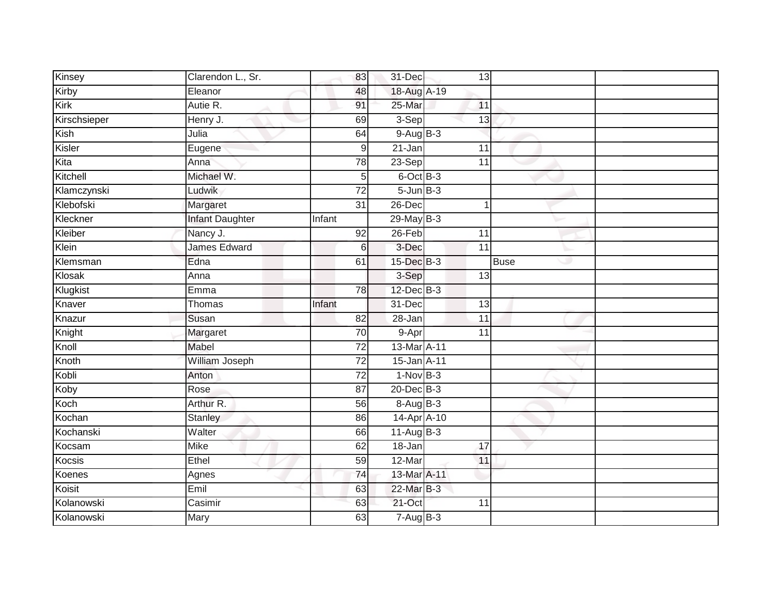| Kinsey       | Clarendon L., Sr.      | 83              | 31-Dec          | 13              |                   |
|--------------|------------------------|-----------------|-----------------|-----------------|-------------------|
| Kirby        | Eleanor                | 48              | 18-Aug A-19     |                 |                   |
| Kirk         | Autie R.               | 91              | 25-Mar          | 11              |                   |
| Kirschsieper | Henry J.               | 69              | $3-Sep$         | 13              |                   |
| Kish         | Julia                  | 64              | $9-AugB-3$      |                 |                   |
| Kisler       | Eugene                 | $\mathsf 9$     | $21 - Jan$      | 11              |                   |
| Kita         | Anna                   | 78              | $23-Sep$        | 11              |                   |
| Kitchell     | Michael W.             | 5               | 6-Oct B-3       |                 |                   |
| Klamczynski  | Ludwik                 | $\overline{72}$ | $5 - Jun$ $B-3$ |                 |                   |
| Klebofski    | Margaret               | 31              | 26-Dec          |                 |                   |
| Kleckner     | <b>Infant Daughter</b> | Infant          | $29$ -May $B-3$ |                 |                   |
| Kleiber      | Nancy J.               | 92              | $26$ -Feb       | 11              |                   |
| Klein        | James Edward           | 6               | 3-Dec           | $\overline{11}$ |                   |
| Klemsman     | Edna                   | 61              | 15-Dec B-3      |                 | <b>Buse</b><br>وی |
| Klosak       | Anna                   |                 | 3-Sep           | 13              |                   |
| Klugkist     | Emma                   | 78              | $12$ -Dec $B-3$ |                 |                   |
| Knaver       | Thomas                 | Infant          | 31-Dec          | 13              |                   |
| Knazur       | Susan                  | 82              | 28-Jan          | 11              |                   |
| Knight       | Margaret               | 70              | 9-Apr           | 11              |                   |
| Knoll        | Mabel                  | 72              | 13-Mar A-11     |                 |                   |
| Knoth        | William Joseph         | $\overline{72}$ | 15-Jan A-11     |                 |                   |
| Kobli        | Anton                  | 72              | $1-Nov$ B-3     |                 |                   |
| Koby         | Rose                   | $\overline{87}$ | $20$ -Dec $B-3$ |                 |                   |
| Koch         | Arthur R.              | 56              | 8-Aug B-3       |                 |                   |
| Kochan       | <b>Stanley</b>         | 86              | 14-Apr A-10     |                 |                   |
| Kochanski    | Walter                 | 66              | $11-Aug B-3$    |                 |                   |
| Kocsam       | <b>Mike</b>            | 62              | $18 - Jan$      | 17              |                   |
| Kocsis       | Ethel                  | 59              | 12-Mar          | 11              |                   |
| Koenes       | Agnes                  | 74              | 13-Mar A-11     |                 |                   |
| Koisit       | Emil                   | 63              | 22-Mar B-3      |                 |                   |
| Kolanowski   | Casimir                | 63              | $21$ -Oct       | 11              |                   |
| Kolanowski   | Mary                   | 63              | $7 - Aug$ B-3   |                 |                   |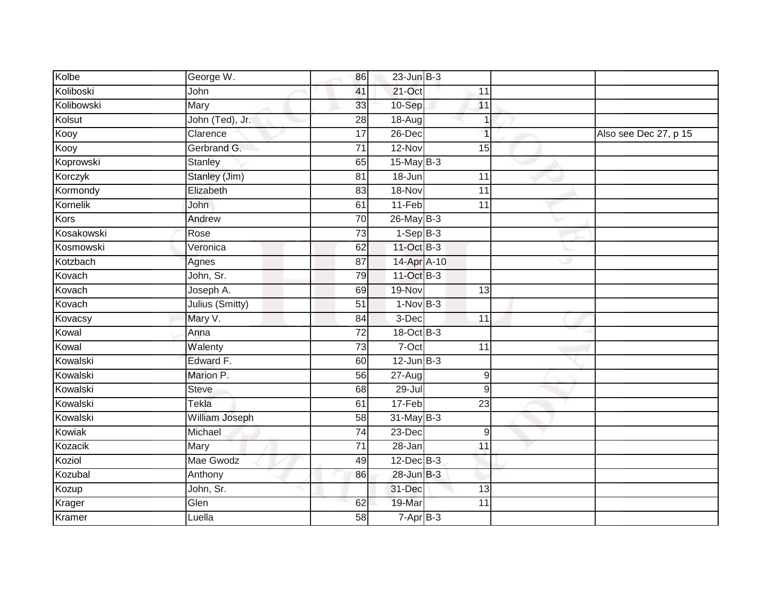| Kolbe      | George W.       | 86              | $23$ -Jun $B-3$ |                 |   |                       |
|------------|-----------------|-----------------|-----------------|-----------------|---|-----------------------|
| Koliboski  | John            | 41              | $21$ -Oct       | 11              |   |                       |
| Kolibowski | Mary            | 33              | 10-Sep          | 11              |   |                       |
| Kolsut     | John (Ted), Jr. | $\overline{28}$ | $18 - Aug$      |                 |   |                       |
| Kooy       | Clarence        | $\overline{17}$ | 26-Dec          | $\overline{1}$  |   | Also see Dec 27, p 15 |
| Kooy       | Gerbrand G.     | 71              | 12-Nov          | 15              |   |                       |
| Koprowski  | <b>Stanley</b>  | 65              | $15$ -May B-3   |                 |   |                       |
| Korczyk    | Stanley (Jim)   | 81              | 18-Jun          | 11              |   |                       |
| Kormondy   | Elizabeth       | 83              | 18-Nov          | $\overline{11}$ |   |                       |
| Kornelik   | <b>John</b>     | 61              | 11-Feb          | 11              |   |                       |
| Kors       | Andrew          | 70              | $26$ -May $B-3$ |                 |   |                       |
| Kosakowski | Rose            | $\overline{73}$ | $1-Sep$ B-3     |                 |   |                       |
| Kosmowski  | Veronica        | 62              | 11-Oct B-3      |                 |   |                       |
| Kotzbach   | Agnes           | 87              | 14-Apr A-10     |                 | w |                       |
| Kovach     | John, Sr.       | 79              | 11-Oct B-3      |                 |   |                       |
| Kovach     | Joseph A.       | 69              | 19-Nov          | 13              |   |                       |
| Kovach     | Julius (Smitty) | 51              | $1-NovB-3$      |                 |   |                       |
| Kovacsy    | Mary V.         | 84              | 3-Dec           | 11              |   |                       |
| Kowal      | Anna            | 72              | 18-Oct B-3      |                 |   |                       |
| Kowal      | Walenty         | 73              | $7-Oct$         | 11              |   |                       |
| Kowalski   | Edward F.       | 60              | $12$ -Jun $B-3$ |                 |   |                       |
| Kowalski   | Marion P.       | 56              | $27 - Aug$      | $\mathsf 9$     |   |                       |
| Kowalski   | <b>Steve</b>    | 68              | $29 -$ Jul      | 9               |   |                       |
| Kowalski   | Tekla           | 61              | 17-Feb          | $\overline{23}$ |   |                       |
| Kowalski   | William Joseph  | 58              | $31$ -May B-3   |                 |   |                       |
| Kowiak     | Michael         | 74              | 23-Dec          | 9               |   |                       |
| Kozacik    | Mary            | $\overline{71}$ | $28 - Jan$      | 11              |   |                       |
| Koziol     | Mae Gwodz       | 49              | $12$ -Dec $B-3$ |                 |   |                       |
| Kozubal    | Anthony         | 86              | 28-Jun B-3      |                 |   |                       |
| Kozup      | John, Sr.       |                 | 31-Dec          | $\overline{13}$ |   |                       |
| Krager     | Glen            | 62              | 19-Mar          | 11              |   |                       |
| Kramer     | Luella          | 58              | $7 - Apr$ B-3   |                 |   |                       |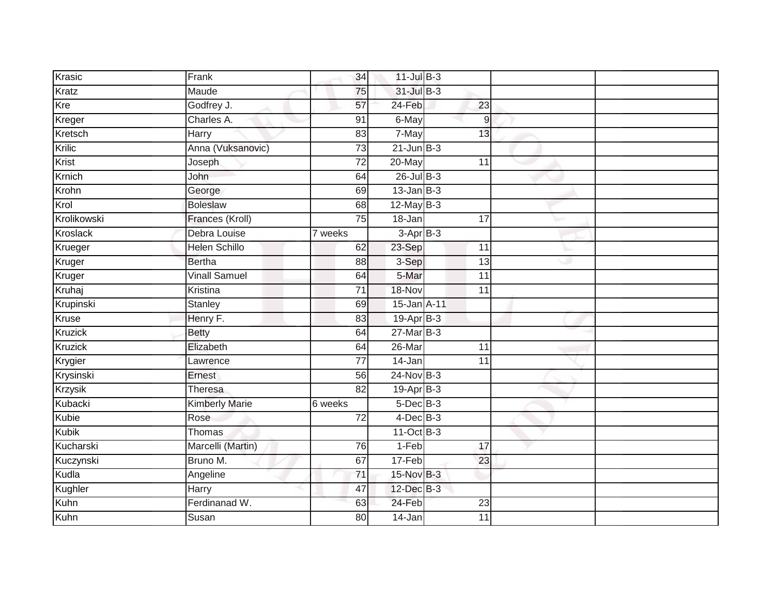| Krasic       | Frank                 | 34              | $11$ -Jul $B-3$ |    |   |  |
|--------------|-----------------------|-----------------|-----------------|----|---|--|
| Kratz        | Maude                 | 75              | 31-Jul B-3      |    |   |  |
| Kre          | Godfrey J.            | 57              | 24-Feb          | 23 |   |  |
| Kreger       | Charles A.            | 91              | 6-May           | 9  |   |  |
| Kretsch      | Harry                 | 83              | 7-May           | 13 |   |  |
| Krilic       | Anna (Vuksanovic)     | 73              | $21$ -Jun $B-3$ |    |   |  |
| Krist        | Joseph                | 72              | 20-May          | 11 |   |  |
| Krnich       | John                  | 64              | $26$ -Jul $B-3$ |    |   |  |
| Krohn        | George                | 69              | $13$ -Jan $B-3$ |    |   |  |
| Krol         | <b>Boleslaw</b>       | 68              | $12$ -May B-3   |    |   |  |
| Krolikowski  | Frances (Kroll)       | 75              | 18-Jan          | 17 |   |  |
| Kroslack     | Debra Louise          | 7 weeks         | $3-AprB-3$      |    |   |  |
| Krueger      | <b>Helen Schillo</b>  | 62              | 23-Sep          | 11 |   |  |
| Kruger       | <b>Bertha</b>         | 88              | 3-Sep           | 13 | w |  |
| Kruger       | <b>Vinall Samuel</b>  | 64              | 5-Mar           | 11 |   |  |
| Kruhaj       | Kristina              | $\overline{71}$ | 18-Nov          | 11 |   |  |
| Krupinski    | Stanley               | 69              | 15-Jan A-11     |    |   |  |
| Kruse        | Henry F.              | 83              | $19-AprB-3$     |    |   |  |
| Kruzick      | <b>Betty</b>          | 64              | $27$ -Mar $B-3$ |    |   |  |
| Kruzick      | Elizabeth             | 64              | $26$ -Mar       | 11 |   |  |
| Krygier      | Lawrence              | $\overline{77}$ | 14-Jan          | 11 |   |  |
| Krysinski    | Ernest                | 56              | 24-Nov B-3      |    |   |  |
| Krzysik      | Theresa               | $\overline{82}$ | $19-Apr$ B-3    |    |   |  |
| Kubacki      | <b>Kimberly Marie</b> | 6 weeks         | $5$ -Dec $B$ -3 |    |   |  |
| Kubie        | Rose                  | 72              | $4$ -Dec $B$ -3 |    |   |  |
| <b>Kubik</b> | Thomas                |                 | $11-Oct$ B-3    |    |   |  |
| Kucharski    | Marcelli (Martin)     | 76              | $1-Feb$         | 17 |   |  |
| Kuczynski    | Bruno M.              | 67              | 17-Feb          | 23 |   |  |
| Kudla        | Angeline              | 71              | 15-Nov B-3      |    |   |  |
| Kughler      | Harry                 | 47              | 12-Dec B-3      |    |   |  |
| Kuhn         | Ferdinanad W.         | 63              | 24-Feb          | 23 |   |  |
| Kuhn         | Susan                 | 80              | 14-Jan          | 11 |   |  |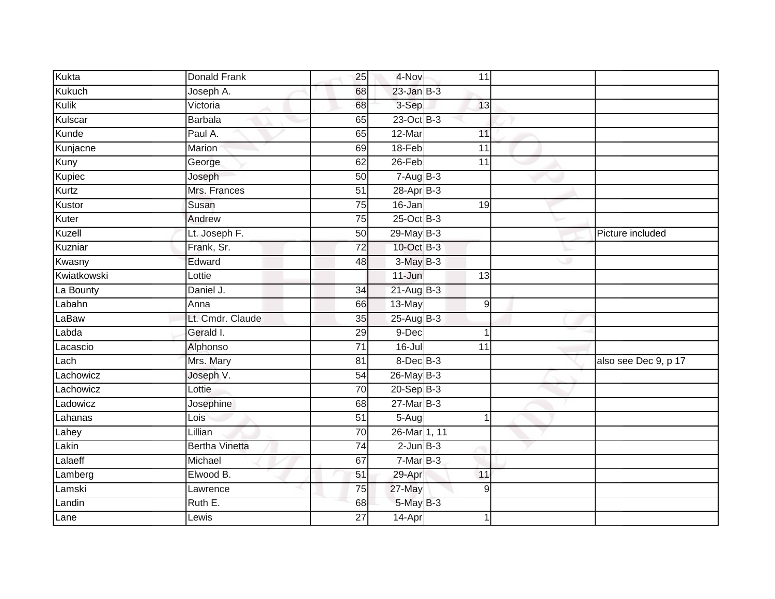| Kukta       | Donald Frank          | 25              | 4-Nov                | 11              |   |                      |
|-------------|-----------------------|-----------------|----------------------|-----------------|---|----------------------|
| Kukuch      | Joseph A.             | 68              | $23$ -Jan $B-3$      |                 |   |                      |
| Kulik       | Victoria              | 68              | 3-Sep                | 13              |   |                      |
| Kulscar     | <b>Barbala</b>        | 65              | $23-Oct$ B-3         |                 |   |                      |
| Kunde       | Paul A.               | 65              | 12-Mar               | 11              |   |                      |
| Kunjacne    | Marion                | 69              | 18-Feb               | 11              |   |                      |
| Kuny        | George                | 62              | 26-Feb               | 11              |   |                      |
| Kupiec      | Joseph                | 50              | $7 - \text{AugB-3}$  |                 |   |                      |
| Kurtz       | Mrs. Frances          | $\overline{51}$ | 28-Apr B-3           |                 |   |                      |
| Kustor      | Susan                 | $\overline{75}$ | 16-Jan               | 19              |   |                      |
| Kuter       | Andrew                | 75              | $25$ -Oct B-3        |                 |   |                      |
| Kuzell      | Lt. Joseph F.         | $\overline{50}$ | 29-May B-3           |                 |   | Picture included     |
| Kuzniar     | Frank, Sr.            | $\overline{72}$ | 10-Oct B-3           |                 |   |                      |
| Kwasny      | Edward                | 48              | $3-MayB-3$           |                 | Ð |                      |
| Kwiatkowski | Lottie                |                 | $11 - Jun$           | $\overline{13}$ |   |                      |
| La Bounty   | Daniel J.             | 34              | $21 - Aug$ $B-3$     |                 |   |                      |
| Labahn      | Anna                  | 66              | 13-May               | $\mathsf g$     |   |                      |
| LaBaw       | Lt. Cmdr. Claude      | 35              | $25 - \text{AugB-3}$ |                 |   |                      |
| Labda       | Gerald I.             | 29              | 9-Dec                |                 |   |                      |
| Lacascio    | Alphonso              | $\overline{71}$ | $16 -$ Jul           | $\overline{11}$ |   |                      |
| Lach        | Mrs. Mary             | 81              | $8$ -Dec $B$ -3      |                 |   | also see Dec 9, p 17 |
| Lachowicz   | Joseph V.             | $\overline{54}$ | $26$ -May B-3        |                 |   |                      |
| Lachowicz   | Lottie                | $\overline{70}$ | $20 - SepB-3$        |                 |   |                      |
| Ladowicz    | Josephine             | 68              | $27$ -Mar $B-3$      |                 |   |                      |
| Lahanas     | Lois                  | 51              | $5 -$ Aug            |                 |   |                      |
| Lahey       | Lillian               | 70              | 26-Mar 1, 11         |                 |   |                      |
| Lakin       | <b>Bertha Vinetta</b> | $\overline{74}$ | $2$ -Jun $B-3$       |                 |   |                      |
| Lalaeff     | Michael               | 67              | $7-Mar$ B-3          |                 |   |                      |
| Lamberg     | Elwood B.             | 51              | 29-Apr               | 11              |   |                      |
| Lamski      | Lawrence              | $\overline{75}$ | 27-May               | 9               |   |                      |
| Landin      | Ruth E.               | 68              | 5-May B-3            |                 |   |                      |
| Lane        | Lewis                 | $\overline{27}$ | 14-Apr               |                 |   |                      |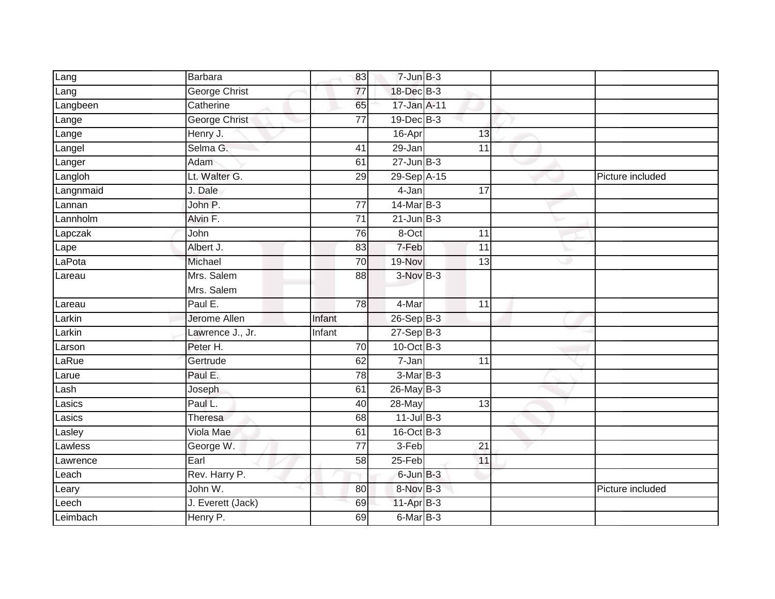| Lang      | Barbara              | 83              | $7$ -Jun $B-3$  |                 |   |                  |
|-----------|----------------------|-----------------|-----------------|-----------------|---|------------------|
| Lang      | <b>George Christ</b> | 77              | 18-Dec B-3      |                 |   |                  |
| Langbeen  | Catherine            | 65              | 17-Jan A-11     |                 |   |                  |
| Lange     | <b>George Christ</b> | $\overline{77}$ | $19$ -Dec $B-3$ |                 |   |                  |
| Lange     | Henry J.             |                 | 16-Apr          | 13              |   |                  |
| Langel    | Selma G.             | 41              | 29-Jan          | 11              |   |                  |
| Langer    | Adam                 | 61              | $27$ -Jun $B-3$ |                 |   |                  |
| Langloh   | Lt. Walter G.        | 29              | 29-Sep A-15     |                 |   | Picture included |
| Langnmaid | J. Dale              |                 | 4-Jan           | $\overline{17}$ |   |                  |
| Lannan    | John P.              | 77              | $14$ -Mar $B-3$ |                 |   |                  |
| Lannholm  | Alvin F.             | 71              | $21$ -Jun $B-3$ |                 |   |                  |
| Lapczak   | John                 | 76              | 8-Oct           | $\overline{11}$ |   |                  |
| Lape      | Albert J.            | 83              | 7-Feb           | 11              |   |                  |
| LaPota    | Michael              | 70              | 19-Nov          | 13              | ٠ |                  |
| Lareau    | Mrs. Salem           | 88              | 3-Nov B-3       |                 |   |                  |
|           | Mrs. Salem           |                 |                 |                 |   |                  |
| Lareau    | Paul E.              | 78              | 4-Mar           | 11              |   |                  |
| Larkin    | Jerome Allen         | Infant          | $26 - SepB-3$   |                 |   |                  |
| Larkin    | Lawrence J., Jr.     | Infant          | $27-SepB-3$     |                 |   |                  |
| Larson    | Peter H.             | 70              | $10$ -Oct $B-3$ |                 |   |                  |
| LaRue     | Gertrude             | 62              | 7-Jan           | 11              |   |                  |
| Larue     | Paul E.              | 78              | $3-MarB-3$      |                 |   |                  |
| Lash      | Joseph               | 61              | $26$ -May B-3   |                 |   |                  |
| Lasics    | Paul L.              | 40              | $28 - May$      | $\overline{13}$ |   |                  |
| asics     | Theresa              | 68              | $11$ -Jul $B-3$ |                 |   |                  |
| Lasley    | Viola Mae            | 61              | 16-Oct B-3      |                 |   |                  |
| Lawless   | George W.            | $\overline{77}$ | $3-Feb$         | $\overline{21}$ |   |                  |
| Lawrence  | Earl                 | 58              | 25-Feb          | 11              |   |                  |
| Leach     | Rev. Harry P.        |                 | 6-Jun B-3       |                 |   |                  |
| Leary     | John W.              | 80              | 8-Nov B-3       |                 |   | Picture included |
| Leech     | J. Everett (Jack)    | 69              | 11-Apr B-3      |                 |   |                  |
| Leimbach  | Henry P.             | 69              | $6$ -Mar $B-3$  |                 |   |                  |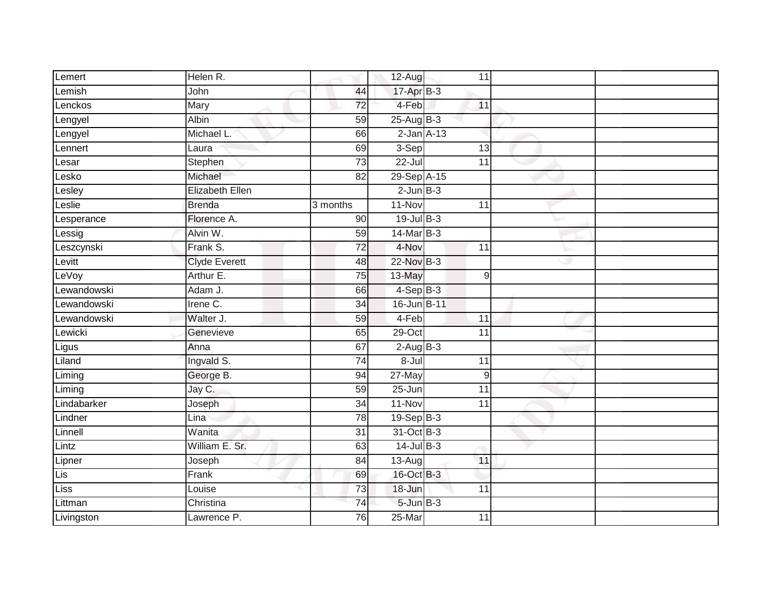| Lemert      | Helen R.               |                 | $12-Aug$             | 11              |   |  |
|-------------|------------------------|-----------------|----------------------|-----------------|---|--|
| Lemish      | John                   | 44              | $17 - Apr$ B-3       |                 |   |  |
| Lenckos     | Mary                   | 72              | 4-Feb                | 11              |   |  |
| Lengyel     | Albin                  | 59              | $25-Aug$ B-3         |                 |   |  |
| Lengyel     | Michael L.             | 66              | $2$ -Jan $A-13$      |                 |   |  |
| Lennert     | Laura                  | 69              | $3-Sep$              | 13              |   |  |
| _esar       | Stephen                | $\overline{73}$ | $\overline{2}$ 2-Jul | 11              |   |  |
| Lesko       | Michael                | 82              | 29-Sep A-15          |                 |   |  |
| Lesley      | <b>Elizabeth Ellen</b> |                 | $2$ -Jun $B-3$       |                 |   |  |
| _eslie      | <b>Brenda</b>          | 3 months        | $11-Nov$             | 11              |   |  |
| Lesperance  | Florence A.            | 90              | $19$ -Jul $B-3$      |                 |   |  |
| Lessig      | Alvin W.               | $\overline{59}$ | $14$ -Mar $B-3$      |                 |   |  |
| Leszcynski  | Frank S.               | 72              | 4-Nov                | 11              |   |  |
| Levitt      | <b>Clyde Everett</b>   | 48              | 22-Nov B-3           |                 | D |  |
| LeVoy       | Arthur E.              | 75              | 13-May               | $\mathsf g$     |   |  |
| Lewandowski | Adam J.                | 66              | $4-SepB-3$           |                 |   |  |
| Lewandowski | Irene C.               | 34              | 16-Jun B-11          |                 |   |  |
| Lewandowski | Walter J.              | 59              | 4-Feb                | 11              |   |  |
| Lewicki     | Genevieve              | 65              | $29$ -Oct            | $\overline{11}$ |   |  |
| Ligus       | Anna                   | 67              | $2-AugB-3$           |                 |   |  |
| Liland      | Ingvald S.             | 74              | $8 -$ Jul            | 11              |   |  |
| Liming      | George B.              | 94              | 27-May               | 9               |   |  |
| Liming      | Jay C.                 | 59              | $25 - Jun$           | $\overline{11}$ |   |  |
| Lindabarker | Joseph                 | $\overline{34}$ | $11-Nov$             | $\overline{11}$ |   |  |
| Lindner     | Lina                   | $\overline{78}$ | $19-Sep$ B-3         |                 |   |  |
| Linnell     | Wanita                 | $\overline{31}$ | 31-Oct B-3           |                 |   |  |
| Lintz       | William E. Sr.         | 63              | $14$ -Jul $B-3$      |                 |   |  |
| Lipner      | Joseph                 | 84              | $\overline{1}$ 3-Aug | 11              |   |  |
| Lis         | Frank                  | 69              | 16-Oct B-3           |                 |   |  |
| Liss        | Louise                 | 73              | 18-Jun               | $\overline{11}$ |   |  |
| Littman     | Christina              | 74              | $5 - Jun$ $B - 3$    |                 |   |  |
| Livingston  | Lawrence P.            | 76              | $25 - Mar$           | 11              |   |  |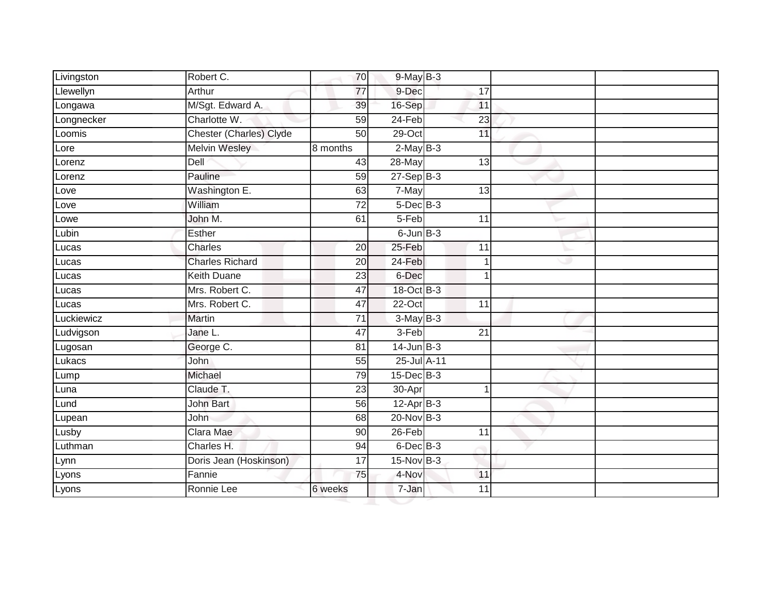| Livingston | Robert C.               | 70              | $9$ -May $B-3$  |                 |    |  |
|------------|-------------------------|-----------------|-----------------|-----------------|----|--|
| Llewellyn  | Arthur                  | $\overline{77}$ | 9-Dec           | 17              |    |  |
| Longawa    | M/Sgt. Edward A.        | 39              | 16-Sep          | 11              |    |  |
| Longnecker | Charlotte W.            | 59              | $24-Feb$        | 23              |    |  |
| Loomis     | Chester (Charles) Clyde | 50              | $29$ -Oct       | 11              |    |  |
| Lore       | Melvin Wesley           | 8 months        | $2-MayB-3$      |                 |    |  |
| Lorenz     | Dell                    | 43              | 28-May          | 13              |    |  |
| Lorenz     | Pauline                 | 59              | $27-SepB-3$     |                 |    |  |
| Love       | Washington E.           | 63              | 7-May           | 13              |    |  |
| Love       | William                 | $\overline{72}$ | $5$ -Dec $B$ -3 |                 |    |  |
| Lowe       | John M.                 | 61              | 5-Feb           | 11              |    |  |
| Lubin      | Esther                  |                 | $6$ -Jun $B$ -3 |                 |    |  |
| Lucas      | Charles                 | 20              | $25 - Feb$      | $\overline{11}$ |    |  |
| Lucas      | <b>Charles Richard</b>  | 20              | 24-Feb          | 1               | رن |  |
| Lucas      | <b>Keith Duane</b>      | $\overline{23}$ | 6-Dec           | 1               |    |  |
| Lucas      | Mrs. Robert C.          | 47              | 18-Oct B-3      |                 |    |  |
| Lucas      | Mrs. Robert C.          | 47              | $22-Oct$        | 11              |    |  |
| Luckiewicz | <b>Martin</b>           | 71              | $3-May$ B-3     |                 |    |  |
| Ludvigson  | Jane L.                 | 47              | $3-Feb$         | 21              |    |  |
| Lugosan    | George C.               | 81              | $14$ -Jun $B-3$ |                 |    |  |
| Lukacs     | John                    | 55              | 25-Jul A-11     |                 |    |  |
| Lump       | Michael                 | 79              | $15$ -Dec $B-3$ |                 |    |  |
| Luna       | Claude T.               | 23              | 30-Apr          | 1               |    |  |
| Lund       | <b>John Bart</b>        | 56              | $12-Apr$ B-3    |                 |    |  |
| Lupean     | John                    | 68              | $20$ -Nov $B-3$ |                 |    |  |
| Lusby      | Clara Mae               | 90              | $26$ -Feb       | 11              |    |  |
| Luthman    | Charles H.              | 94              | $6$ -Dec $B$ -3 |                 |    |  |
| Lynn       | Doris Jean (Hoskinson)  | 17              | 15-Nov B-3      |                 |    |  |
| Lyons      | Fannie                  | 75              | 4-Nov           | 11              |    |  |
| Lyons      | Ronnie Lee              | 6 weeks         | 7-Jan           | 11              |    |  |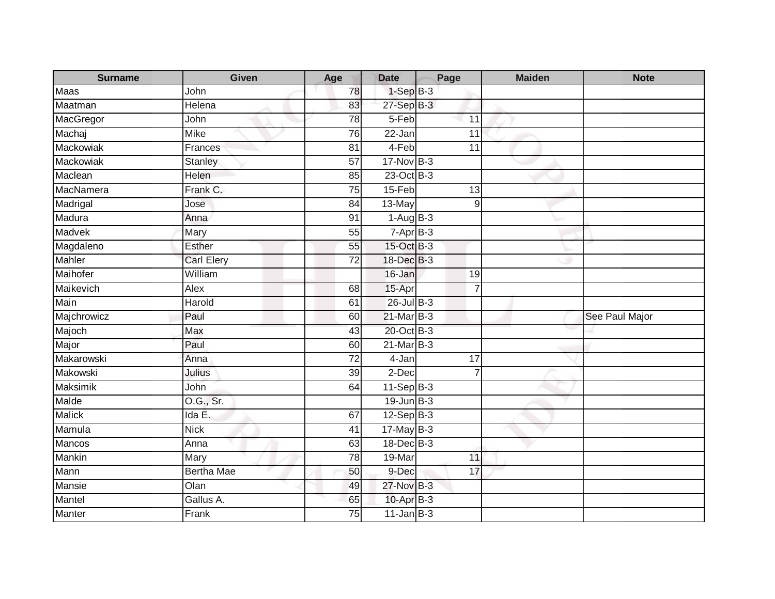| <b>Surname</b> | Given             | Age             | <b>Date</b>               | Page            | <b>Maiden</b> | <b>Note</b>    |
|----------------|-------------------|-----------------|---------------------------|-----------------|---------------|----------------|
| Maas           | John              | 78              | $1-SepB-3$                |                 |               |                |
| Maatman        | Helena            | 83              | 27-Sep B-3                |                 |               |                |
| MacGregor      | John              | 78              | 5-Feb                     | 11              |               |                |
| Machaj         | <b>Mike</b>       | 76              | 22-Jan                    | 11              |               |                |
| Mackowiak      | Frances           | 81              | 4-Feb                     | 11              |               |                |
| Mackowiak      | <b>Stanley</b>    | 57              | $17$ -Nov B-3             |                 |               |                |
| Maclean        | Helen             | 85              | 23-Oct B-3                |                 |               |                |
| MacNamera      | Frank C.          | $\overline{75}$ | 15-Feb                    | 13              |               |                |
| Madrigal       | Jose              | 84              | 13-May                    | 9               |               |                |
| Madura         | Anna              | 91              | $1-AugB-3$                |                 |               |                |
| Madvek         | Mary              | 55              | $7-AprB-3$                |                 |               |                |
| Magdaleno      | Esther            | 55              | 15-Oct B-3                |                 |               |                |
| Mahler         | <b>Carl Elery</b> | 72              | 18-Dec B-3                |                 |               |                |
| Maihofer       | William           |                 | 16-Jan                    | 19              |               |                |
| Maikevich      | Alex              | 68              | 15-Apr                    | 7               |               |                |
| Main           | Harold            | 61              | 26-Jul B-3                |                 |               |                |
| Majchrowicz    | Paul              | 60              | $21$ -Mar B-3             |                 |               | See Paul Major |
| Majoch         | Max               | 43              | 20-Oct B-3                |                 |               |                |
| Major          | Paul              | 60              | $21$ -Mar $B-3$           |                 |               |                |
| Makarowski     | Anna              | $\overline{72}$ | 4-Jan                     | $\overline{17}$ |               |                |
| Makowski       | Julius            | 39              | 2-Dec                     | $\overline{7}$  |               |                |
| Maksimik       | John              | 64              | $11-Sep B-3$              |                 |               |                |
| Malde          | O.G., Sr.         |                 | $19$ -Jun $B-3$           |                 |               |                |
| <b>Malick</b>  | Ida E.            | 67              | $12-Sep$ B-3              |                 |               |                |
| Mamula         | <b>Nick</b>       | 41              | $17 - \overline{May}$ B-3 |                 |               |                |
| <b>Mancos</b>  | Anna              | 63              | 18-Dec B-3                |                 |               |                |
| Mankin         | Mary              | $\overline{78}$ | 19-Mar                    | 11              |               |                |
| Mann           | Bertha Mae        | 50              | 9-Dec                     | 17              |               |                |
| Mansie         | Olan              | 49              | 27-Nov B-3                |                 |               |                |
| Mantel         | Gallus A.         | 65              | 10-Apr B-3                |                 |               |                |
| Manter         | Frank             | $\overline{75}$ | $11$ -Jan B-3             |                 |               |                |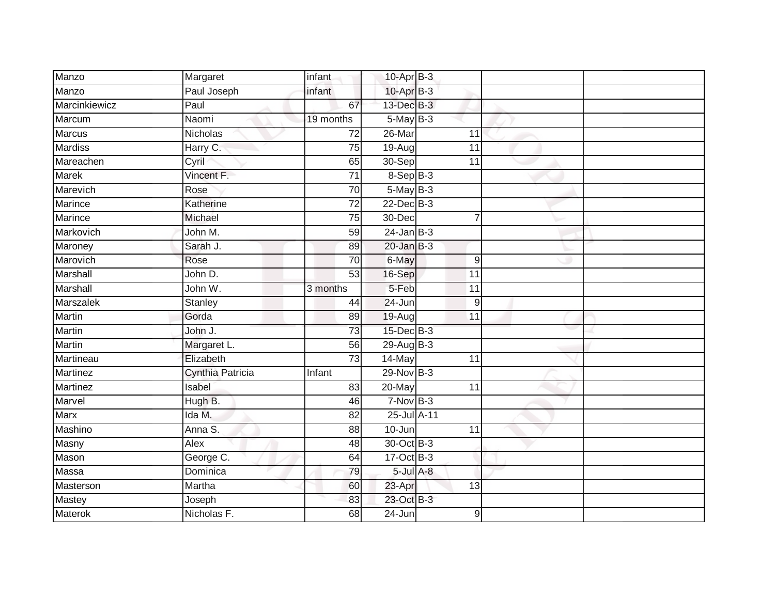| Manzo            | Margaret         | infant          | 10-Apr B-3      |                 |  |
|------------------|------------------|-----------------|-----------------|-----------------|--|
| Manzo            | Paul Joseph      | infant          | 10-Apr B-3      |                 |  |
| Marcinkiewicz    | Paul             | 67              | 13-Dec B-3      |                 |  |
| Marcum           | Naomi            | 19 months       | $5-MayB-3$      |                 |  |
| Marcus           | Nicholas         | $\overline{72}$ | $26$ -Mar       | 11              |  |
| <b>Mardiss</b>   | Harry C.         | 75              | 19-Aug          | $\overline{11}$ |  |
| Mareachen        | Cyril            | 65              | 30-Sep          | 11              |  |
| Marek            | Vincent F.       | $\overline{71}$ | $8-Sep$ B-3     |                 |  |
| Marevich         | Rose             | 70              | 5-May B-3       |                 |  |
| <b>Marince</b>   | Katherine        | $\overline{72}$ | 22-Dec B-3      |                 |  |
| Marince          | Michael          | 75              | 30-Dec          | 7               |  |
| Markovich        | John M.          | 59              | $24$ -Jan B-3   |                 |  |
| Maroney          | Sarah J.         | 89              | $20$ -Jan B-3   |                 |  |
| Marovich         | Rose             | 70              | 6-May           | 9               |  |
| Marshall         | John D.          | 53              | 16-Sep          | 11              |  |
| Marshall         | John W.          | 3 months        | 5-Feb           | 11              |  |
| <b>Marszalek</b> | Stanley          | 44              | 24-Jun          | 9               |  |
| <b>Martin</b>    | Gorda            | 89              | $19-Auq$        | 11              |  |
| Martin           | John J.          | 73              | 15-Dec B-3      |                 |  |
| Martin           | Margaret L.      | 56              | 29-Aug B-3      |                 |  |
| Martineau        | Elizabeth        | 73              | 14-May          | 11              |  |
| <b>Martinez</b>  | Cynthia Patricia | Infant          | 29-Nov B-3      |                 |  |
| <b>Martinez</b>  | Isabel           | 83              | 20-May          | 11              |  |
| Marvel           | Hugh B.          | 46              | $7-Nov$ B-3     |                 |  |
| Marx             | Ida M.           | 82              | 25-Jul A-11     |                 |  |
| Mashino          | Anna S.          | 88              | $10 - Jun$      | $\overline{11}$ |  |
| <b>Masny</b>     | Alex             | 48              | 30-Oct B-3      |                 |  |
| Mason            | George C.        | 64              | 17-Oct B-3      |                 |  |
| Massa            | Dominica         | 79              | $5$ -Jul $A$ -8 |                 |  |
| Masterson        | Martha           | 60              | 23-Apr          | 13              |  |
| Mastey           | Joseph           | 83              | 23-Oct B-3      |                 |  |
| <b>Materok</b>   | Nicholas F.      | 68              | 24-Jun          | 9               |  |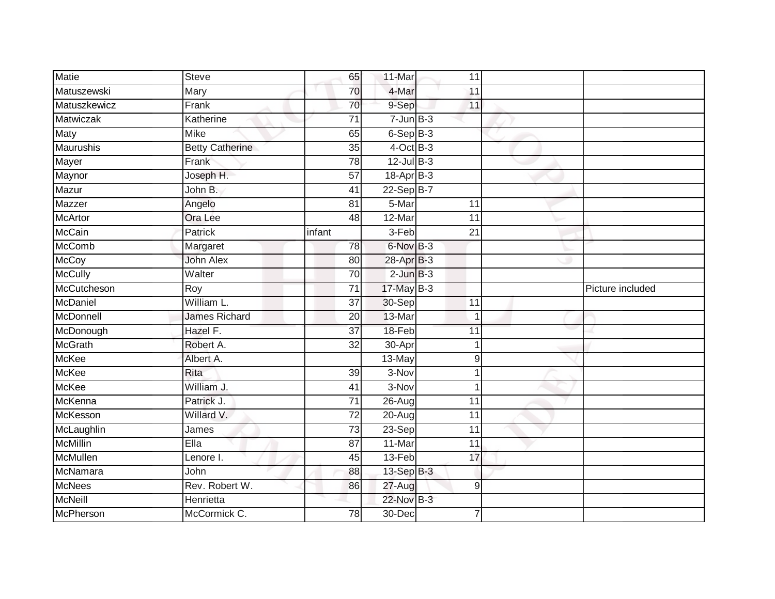| <b>Matie</b>     | <b>Steve</b>           | 65              | 11-Mar         | 11              |   |                  |
|------------------|------------------------|-----------------|----------------|-----------------|---|------------------|
| Matuszewski      | Mary                   | 70              | 4-Mar          | 11              |   |                  |
| Matuszkewicz     | Frank                  | 70              | 9-Sep          | 11              |   |                  |
| Matwiczak        | Katherine              | 71              | $7 - Jun$ B-3  |                 |   |                  |
| Maty             | <b>Mike</b>            | 65              | $6-Sep$ $B-3$  |                 |   |                  |
| Maurushis        | <b>Betty Catherine</b> | 35              | $4$ -Oct B-3   |                 |   |                  |
| Mayer            | Frank                  | $\overline{78}$ | $12$ -Jul B-3  |                 |   |                  |
| Maynor           | Joseph H.              | 57              | 18-Apr B-3     |                 |   |                  |
| Mazur            | John B.                | 41              | $22-Sep$ B-7   |                 |   |                  |
| Mazzer           | Angelo                 | 81              | 5-Mar          | 11              |   |                  |
| <b>McArtor</b>   | Ora Lee                | 48              | 12-Mar         | $\overline{11}$ |   |                  |
| <b>McCain</b>    | Patrick                | infant          | 3-Feb          | 21              |   |                  |
| <b>McComb</b>    | Margaret               | 78              | 6-Nov B-3      |                 |   |                  |
| McCoy            | <b>John Alex</b>       | 80              | 28-Apr B-3     |                 |   |                  |
| <b>McCully</b>   | Walter                 | 70              | $2$ -Jun $B-3$ |                 |   |                  |
| McCutcheson      | Roy                    | $\overline{71}$ | 17-May B-3     |                 |   | Picture included |
| McDaniel         | William L.             | $\overline{37}$ | 30-Sep         | $\overline{11}$ |   |                  |
| McDonnell        | <b>James Richard</b>   | 20              | 13-Mar         | $\overline{1}$  |   |                  |
| McDonough        | Hazel F.               | $\overline{37}$ | 18-Feb         | 11              |   |                  |
| <b>McGrath</b>   | Robert A.              | $\overline{32}$ | 30-Apr         | 1               |   |                  |
| <b>McKee</b>     | Albert A.              |                 | 13-May         | 9               |   |                  |
| <b>McKee</b>     | Rita                   | 39              | 3-Nov          | 1               |   |                  |
| <b>McKee</b>     | William J.             | 41              | 3-Nov          | 1               |   |                  |
| McKenna          | Patrick J.             | 71              | $26 - Aug$     | 11              |   |                  |
| McKesson         | Willard V.             | $\overline{72}$ | $20 - Aug$     | 11              |   |                  |
| McLaughlin       | James                  | 73              | 23-Sep         | $\overline{11}$ |   |                  |
| <b>McMillin</b>  | Ella                   | $\overline{87}$ | 11-Mar         | $\overline{11}$ |   |                  |
| McMullen         | Lenore I.              | 45              | 13-Feb         | 17              |   |                  |
| McNamara         | John                   | 88              | 13-Sep B-3     |                 |   |                  |
| <b>McNees</b>    | Rev. Robert W.         | 86              | 27-Aug         |                 | 9 |                  |
| <b>McNeill</b>   | Henrietta              |                 | 22-Nov B-3     |                 |   |                  |
| <b>McPherson</b> | McCormick C.           | $\overline{78}$ | 30-Dec         |                 |   |                  |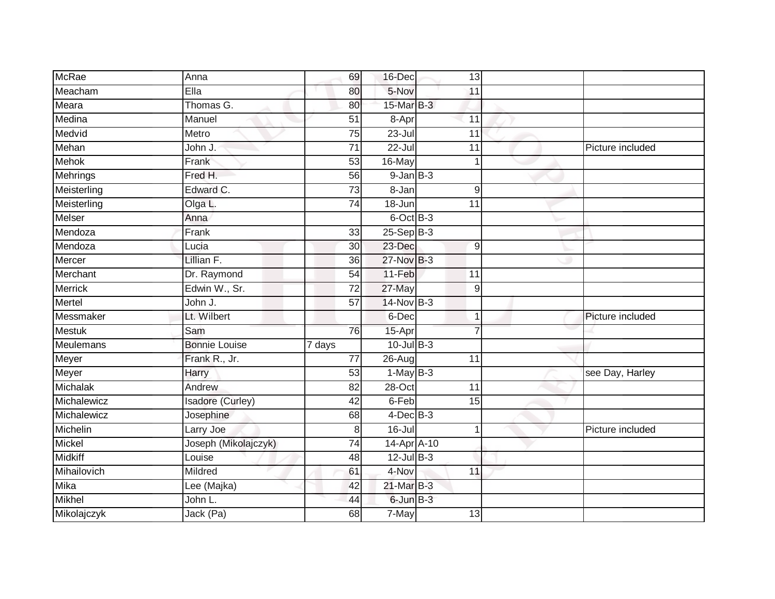| <b>McRae</b>    | Anna                    | 69                  | 16-Dec           | 13              |                  |
|-----------------|-------------------------|---------------------|------------------|-----------------|------------------|
| Meacham         | Ella                    | 80                  | 5-Nov            | 11              |                  |
| Meara           | Thomas G.               | 80                  | 15-Mar B-3       |                 |                  |
| Medina          | Manuel                  | 51                  | 8-Apr            | 11              |                  |
| Medvid          | Metro                   | $\overline{75}$     | $23 -$ Jul       | $\overline{11}$ |                  |
| Mehan           | John J.                 | 71                  | $22 -$ Jul       | 11              | Picture included |
| <b>Mehok</b>    | Frank                   | 53                  | 16-May           |                 |                  |
| <b>Mehrings</b> | Fred H.                 | 56                  | $9$ -Jan $B$ -3  |                 |                  |
| Meisterling     | Edward C.               | 73                  | 8-Jan            | 9               |                  |
| Meisterling     | Olga L.                 | $\overline{74}$     | 18-Jun           | 11              |                  |
| <b>Melser</b>   | Anna                    |                     | 6-Oct B-3        |                 |                  |
| Mendoza         | Frank                   | 33                  | $25 - Sep$ $B-3$ |                 |                  |
| Mendoza         | Lucia                   | 30                  | 23-Dec           | 9               |                  |
| Mercer          | Lillian F.              | 36                  | 27-Nov B-3       |                 |                  |
| Merchant        | Dr. Raymond             | 54                  | 11-Feb           | 11              |                  |
| <b>Merrick</b>  | Edwin W., Sr.           | 72                  | 27-May           | $9\,$           |                  |
| Mertel          | John J.                 | $\overline{57}$     | 14-Nov B-3       |                 |                  |
| Messmaker       | Lt. Wilbert             |                     | 6-Dec            | $\mathbf 1$     | Picture included |
| <b>Mestuk</b>   | Sam                     | 76                  | 15-Apr           |                 |                  |
| Meulemans       | <b>Bonnie Louise</b>    | $\overline{7}$ days | $10$ -Jul B-3    |                 |                  |
| Meyer           | Frank R., Jr.           | 77                  | 26-Aug           | 11              |                  |
| Meyer           | Harry                   | 53                  | $1-May$ B-3      |                 | see Day, Harley  |
| Michalak        | Andrew                  | 82                  | 28-Oct           | 11              |                  |
| Michalewicz     | <b>Isadore (Curley)</b> | 42                  | 6-Feb            | 15              |                  |
| Michalewicz     | Josephine               | 68                  | $4$ -Dec $B-3$   |                 |                  |
| Michelin        | Larry Joe               | 8                   | $16 -$ Jul       | -1              | Picture included |
| Mickel          | Joseph (Mikolajczyk)    | 74                  | 14-Apr A-10      |                 |                  |
| <b>Midkiff</b>  | Louise                  | 48                  | $12$ -Jul $B-3$  |                 |                  |
| Mihailovich     | Mildred                 | 61                  | 4-Nov            | 11              |                  |
| Mika            | Lee (Majka)             | 42                  | 21-Mar B-3       |                 |                  |
| Mikhel          | John L.                 | 44                  | 6-Jun B-3        |                 |                  |
| Mikolajczyk     | Jack (Pa)               | 68                  | 7-May            | 13              |                  |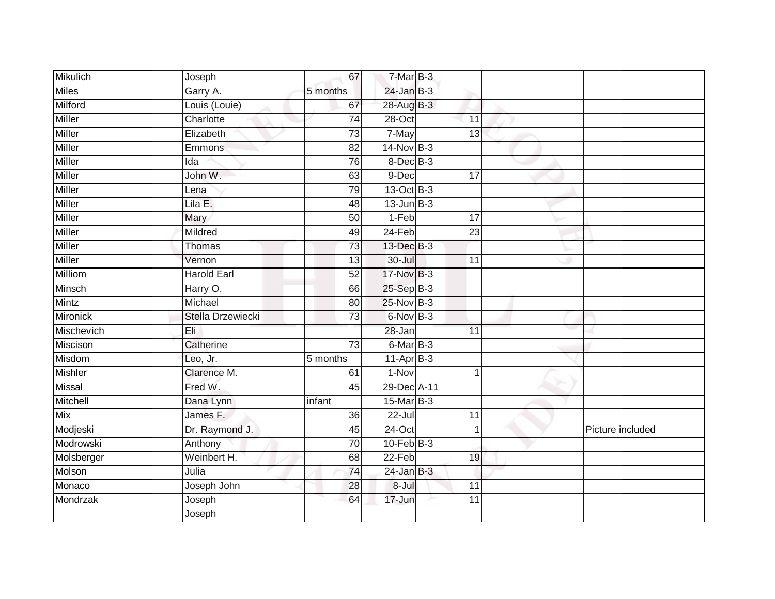| <b>Mikulich</b> | Joseph             | 67              | 7-Mar B-3       |                 |                  |
|-----------------|--------------------|-----------------|-----------------|-----------------|------------------|
| <b>Miles</b>    | Garry A.           | 5 months        | $24$ -Jan B-3   |                 |                  |
| Milford         | Louis (Louie)      | 67              | 28-Aug B-3      |                 |                  |
| Miller          | Charlotte          | 74              | $28 - Oct$      | 11              |                  |
| Miller          | Elizabeth          | 73              | 7-May           | 13              |                  |
| <b>Miller</b>   | Emmons             | $\overline{82}$ | $14$ -Nov $B-3$ |                 |                  |
| Miller          | Ida                | 76              | 8-Dec B-3       |                 |                  |
| <b>Miller</b>   | John W.            | 63              | 9-Dec           | 17              |                  |
| Miller          | Lena               | 79              | 13-Oct B-3      |                 |                  |
| <b>Miller</b>   | Lila E.            | 48              | $13$ -Jun $B-3$ |                 |                  |
| Miller          | Mary               | 50              | 1-Feb           | 17              |                  |
| <b>Miller</b>   | Mildred            | 49              | $24-Feb$        | $\overline{23}$ |                  |
| Miller          | Thomas             | 73              | 13-Dec B-3      |                 |                  |
| <b>Miller</b>   | Vernon             | 13              | 30-Jul          | 11              |                  |
| Milliom         | <b>Harold Earl</b> | 52              | 17-Nov B-3      |                 |                  |
| Minsch          | Harry O.           | 66              | 25-Sep B-3      |                 |                  |
| Mintz           | Michael            | 80              | $25$ -Nov $B-3$ |                 |                  |
| <b>Mironick</b> | Stella Drzewiecki  | 73              | 6-Nov B-3       |                 |                  |
| Mischevich      | Eli                |                 | 28-Jan          | 11              |                  |
| Miscison        | Catherine          | 73              | 6-Mar B-3       |                 |                  |
| Misdom          | Leo, Jr.           | 5 months        | 11-Apr B-3      |                 |                  |
| <b>Mishler</b>  | Clarence M.        | 61              | $1-Nov$         |                 |                  |
| <b>Missal</b>   | Fred W.            | 45              | 29-Dec A-11     |                 |                  |
| Mitchell        | Dana Lynn          | infant          | 15-Mar B-3      |                 |                  |
| <b>Mix</b>      | James F.           | 36              | 22-Jul          | 11              |                  |
| Modjeski        | Dr. Raymond J.     | 45              | $24$ -Oct       |                 | Picture included |
| Modrowski       | Anthony            | 70              | $10$ -Feb $B-3$ |                 |                  |
| Molsberger      | Weinbert H.        | 68              | 22-Feb          | 19              |                  |
| Molson          | Julia              | 74              | $24$ -Jan B-3   |                 |                  |
| Monaco          | Joseph John        | 28              | 8-Jul           | 11              |                  |
| Mondrzak        | Joseph<br>Joseph   | 64              | 17-Jun          | 11              |                  |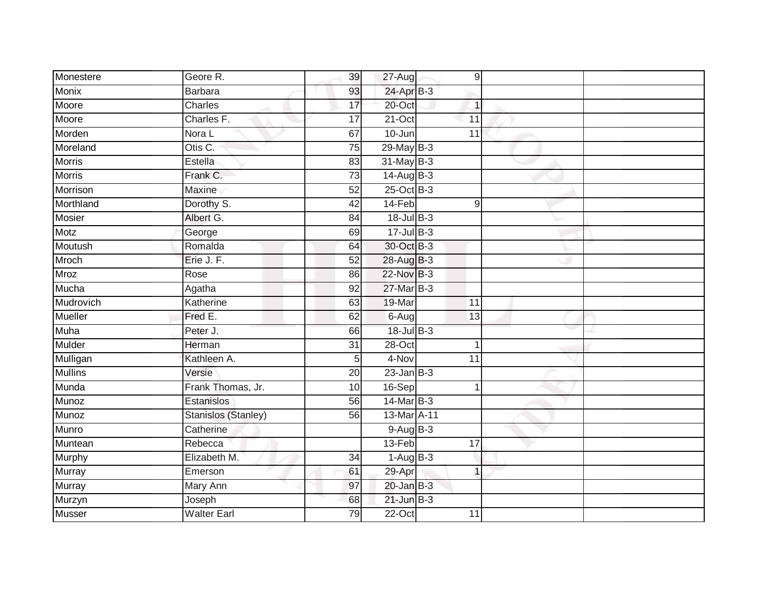| Monestere      | Geore R.            | 39              | 27-Aug          | $\overline{9}$  |  |
|----------------|---------------------|-----------------|-----------------|-----------------|--|
| <b>Monix</b>   | <b>Barbara</b>      | 93              | 24-Apr B-3      |                 |  |
| Moore          | Charles             | 17              | 20-Oct          | $\mathbf{1}$    |  |
| Moore          | Charles F.          | 17              | 21-Oct          | 11              |  |
| Morden         | Nora L              | 67              | $10 - Jun$      | 11              |  |
| Moreland       | Otis C.             | 75              | 29-May B-3      |                 |  |
| <b>Morris</b>  | Estella             | 83              | 31-May B-3      |                 |  |
| <b>Morris</b>  | Frank C.            | 73              | $14$ -Aug B-3   |                 |  |
| Morrison       | <b>Maxine</b>       | 52              | 25-Oct B-3      |                 |  |
| Morthland      | Dorothy S.          | 42              | 14-Feb          | 9               |  |
| <b>Mosier</b>  | Albert G.           | 84              | $18 -$ Jul B-3  |                 |  |
| <b>Motz</b>    | George              | 69              | $17 -$ Jul B-3  |                 |  |
| Moutush        | Romalda             | 64              | 30-Oct B-3      |                 |  |
| Mroch          | Erie J. F.          | 52              | 28-Aug B-3      |                 |  |
| <b>Mroz</b>    | Rose                | 86              | 22-Nov B-3      |                 |  |
| Mucha          | Agatha              | 92              | 27-Mar B-3      |                 |  |
| Mudrovich      | Katherine           | 63              | 19-Mar          | $\overline{11}$ |  |
| Mueller        | Fred E.             | 62              | $6 - Aug$       | 13              |  |
| Muha           | Peter J.            | 66              | 18-Jul B-3      |                 |  |
| Mulder         | Herman              | $\overline{31}$ | $28 - Oct$      | 1               |  |
| Mulligan       | Kathleen A.         | 5               | 4-Nov           | 11              |  |
| <b>Mullins</b> | Versie              | 20              | $23$ -Jan B-3   |                 |  |
| Munda          | Frank Thomas, Jr.   | 10              | 16-Sep          | 1               |  |
| Munoz          | Estanislos          | 56              | 14-Mar B-3      |                 |  |
| Munoz          | Stanislos (Stanley) | 56              | 13-Mar A-11     |                 |  |
| Munro          | Catherine           |                 | 9-Aug B-3       |                 |  |
| Muntean        | Rebecca             |                 | $13-Feb$        | $\overline{17}$ |  |
| Murphy         | Elizabeth M.        | 34              | $1-Aug$ B-3     |                 |  |
| Murray         | Emerson             | 61              | 29-Apr          | $\overline{1}$  |  |
| Murray         | Mary Ann            | 97              | $20$ -Jan $B-3$ |                 |  |
| Murzyn         | Joseph              | 68              | $21$ -Jun $B-3$ |                 |  |
| <b>Musser</b>  | <b>Walter Earl</b>  | $\overline{79}$ | $22-Oct$        | $\overline{11}$ |  |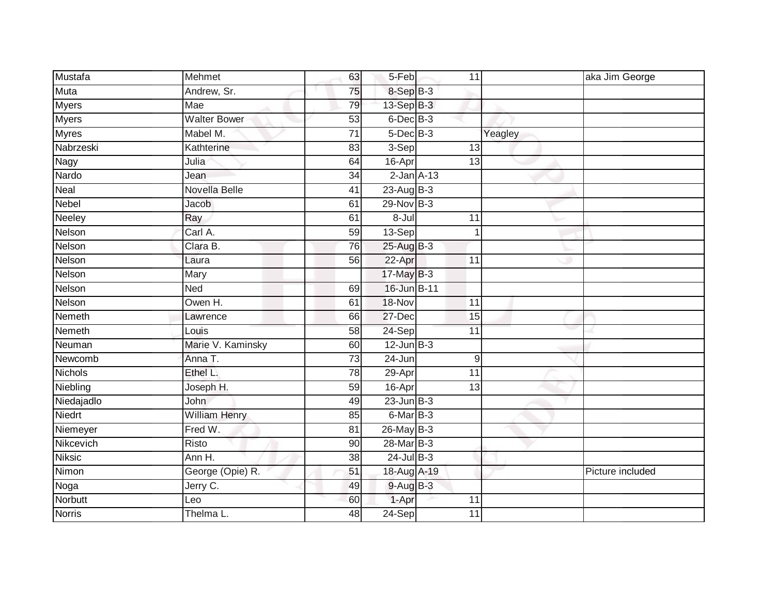| Mustafa        | Mehmet               | 63              | 5-Feb           | 11              |         | aka Jim George   |
|----------------|----------------------|-----------------|-----------------|-----------------|---------|------------------|
| Muta           | Andrew, Sr.          | 75              | 8-Sep B-3       |                 |         |                  |
| <b>Myers</b>   | Mae                  | 79              | 13-Sep B-3      |                 |         |                  |
| Myers          | <b>Walter Bower</b>  | 53              | 6-Dec B-3       |                 |         |                  |
| <b>Myres</b>   | Mabel M.             | $\overline{71}$ | $5$ -Dec $B$ -3 |                 | Yeagley |                  |
| Nabrzeski      | Kathterine           | 83              | 3-Sep           | 13              |         |                  |
| Nagy           | Julia                | 64              | 16-Apr          | $\overline{13}$ |         |                  |
| Nardo          | Jean                 | $\overline{34}$ |                 | $2$ -Jan $A-13$ |         |                  |
| Neal           | Novella Belle        | 41              | 23-Aug B-3      |                 |         |                  |
| <b>Nebel</b>   | <b>Jacob</b>         | 61              | $29-Nov$ B-3    |                 |         |                  |
| Neeley         | Ray                  | 61              | $8 -$ Jul       | 11              |         |                  |
| Nelson         | Carl A.              | 59              | 13-Sep          |                 |         |                  |
| Nelson         | Clara B.             | 76              | 25-Aug B-3      |                 |         |                  |
| Nelson         | Laura                | 56              | 22-Apr          | 11              |         |                  |
| Nelson         | Mary                 |                 | 17-May B-3      |                 |         |                  |
| <b>Nelson</b>  | <b>Ned</b>           | 69              | 16-Jun B-11     |                 |         |                  |
| Nelson         | Owen H.              | 61              | 18-Nov          | $\overline{11}$ |         |                  |
| Nemeth         | Lawrence             | 66              | 27-Dec          | 15              |         |                  |
| Nemeth         | Louis                | 58              | 24-Sep          | $\overline{11}$ |         |                  |
| Neuman         | Marie V. Kaminsky    | 60              | $12$ -Jun $B-3$ |                 |         |                  |
| Newcomb        | Anna T.              | $\overline{73}$ | 24-Jun          |                 | 9       |                  |
| <b>Nichols</b> | Ethel L.             | 78              | 29-Apr          | $\overline{11}$ |         |                  |
| Niebling       | Joseph H.            | 59              | 16-Apr          | $\overline{13}$ |         |                  |
| Niedajadlo     | <b>John</b>          | 49              | $23$ -Jun $B-3$ |                 |         |                  |
| Niedrt         | <b>William Henry</b> | 85              | 6-Mar B-3       |                 |         |                  |
| Niemeyer       | Fred W.              | 81              | 26-May B-3      |                 |         |                  |
| Nikcevich      | Risto                | 90              | 28-Mar B-3      |                 |         |                  |
| <b>Niksic</b>  | Ann H.               | 38              | $24$ -Jul B-3   |                 |         |                  |
| Nimon          | George (Opie) R.     | 51              | 18-Aug A-19     |                 |         | Picture included |
| Noga           | Jerry C.             | 49              | $9$ -Aug B-3    |                 |         |                  |
| Norbutt        | Leo                  | 60              | 1-Apr           | 11              |         |                  |
| <b>Norris</b>  | Thelma L.            | 48              | $24-Sep$        | 11              |         |                  |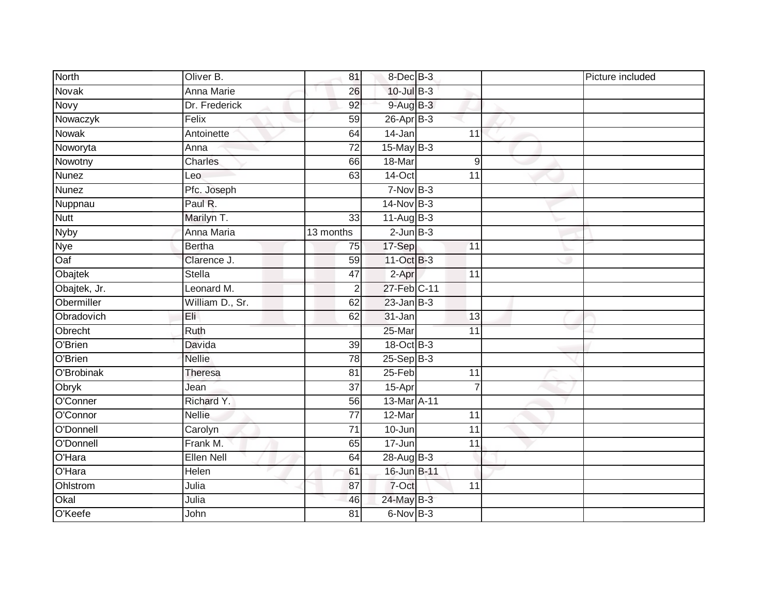| <b>North</b> | Oliver B.         | 81              | 8-Dec B-3       |                 | Picture included |
|--------------|-------------------|-----------------|-----------------|-----------------|------------------|
| Novak        | <b>Anna Marie</b> | 26              | 10-Jul B-3      |                 |                  |
| Novy         | Dr. Frederick     | 92              | $9-AugB-3$      |                 |                  |
| Nowaczyk     | Felix             | 59              | $26$ -Apr $B-3$ |                 |                  |
| <b>Nowak</b> | Antoinette        | 64              | $14 - Jan$      | $\overline{11}$ |                  |
| Noworyta     | Anna              | $\overline{72}$ | $15$ -May $B-3$ |                 |                  |
| Nowotny      | Charles           | 66              | 18-Mar          | 9               |                  |
| <b>Nunez</b> | Leo               | 63              | 14-Oct          | 11              |                  |
| <b>Nunez</b> | Pfc. Joseph       |                 | $7-Nov$ B-3     |                 |                  |
| Nuppnau      | Paul R.           |                 | $14$ -Nov B-3   |                 |                  |
| <b>Nutt</b>  | Marilyn T.        | 33              | 11-Aug B-3      |                 |                  |
| Nyby         | Anna Maria        | 13 months       | $2$ -Jun $B-3$  |                 |                  |
| Nye          | <b>Bertha</b>     | 75              | 17-Sep          | 11              |                  |
| Oaf          | Clarence J.       | 59              | 11-Oct B-3      |                 |                  |
| Obajtek      | <b>Stella</b>     | $\overline{47}$ | 2-Apr           | $\overline{11}$ |                  |
| Obajtek, Jr. | Leonard M.        | 2               | 27-Feb C-11     |                 |                  |
| Obermiller   | William D., Sr.   | 62              | $23$ -Jan $B-3$ |                 |                  |
| Obradovich   | Eli               | 62              | $31 - Jan$      | 13              |                  |
| Obrecht      | Ruth              |                 | 25-Mar          | 11              |                  |
| O'Brien      | <b>Davida</b>     | 39              | 18-Oct B-3      |                 |                  |
| O'Brien      | <b>Nellie</b>     | 78              | $25-Sep$ B-3    |                 |                  |
| O'Brobinak   | <b>Theresa</b>    | 81              | $25 - Feb$      | $\overline{11}$ |                  |
| Obryk        | Jean              | 37              | 15-Apr          | $\overline{7}$  |                  |
| O'Conner     | Richard Y.        | 56              | 13-Mar A-11     |                 |                  |
| O'Connor     | <b>Nellie</b>     | 77              | 12-Mar          | 11              |                  |
| O'Donnell    | Carolyn           | 71              | 10-Jun          | 11              |                  |
| O'Donnell    | Frank M.          | 65              | $17 - Jun$      | $\overline{11}$ |                  |
| O'Hara       | Ellen Nell        | 64              | $28-AugB-3$     |                 |                  |
| O'Hara       | Helen             | 61              | 16-Jun B-11     |                 |                  |
| Ohlstrom     | Julia             | 87              | 7-Oct           | 11              |                  |
| Okal         | Julia             | 46              | 24-May B-3      |                 |                  |
| O'Keefe      | John              | $\overline{81}$ | 6-Nov B-3       |                 |                  |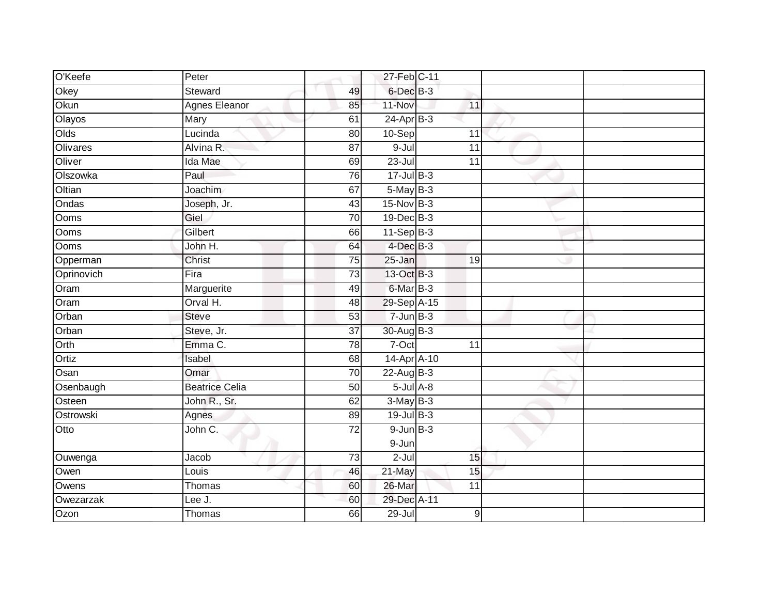| O'Keefe    | Peter                 |                 | 27-Feb C-11        |                  |  |
|------------|-----------------------|-----------------|--------------------|------------------|--|
| Okey       | <b>Steward</b>        | 49              | 6-Dec B-3          |                  |  |
| Okun       | <b>Agnes Eleanor</b>  | 85              | 11-Nov             | 11               |  |
| Olayos     | Mary                  | 61              | $24-Apr$ B-3       |                  |  |
| Olds       | Lucinda               | 80              | 10-Sep             | 11               |  |
| Olivares   | Alvina R.             | 87              | $9 -$ Jul          | 11               |  |
| Oliver     | Ida Mae               | 69              | $23 -$ Jul         | 11               |  |
| Olszowka   | Paul                  | 76              | $17 -$ Jul $B - 3$ |                  |  |
| Oltian     | Joachim               | 67              | 5-May B-3          |                  |  |
| Ondas      | Joseph, Jr.           | 43              | $15-Nov$ B-3       |                  |  |
| Ooms       | Giel                  | 70              | 19-Dec B-3         |                  |  |
| Ooms       | Gilbert               | 66              | $11-Sep$ B-3       |                  |  |
| Ooms       | John H.               | 64              | $4$ -Dec $B-3$     |                  |  |
| Opperman   | Christ                | 75              | 25-Jan             | 19               |  |
| Oprinovich | Fira                  | $\overline{73}$ | 13-Oct B-3         |                  |  |
| Oram       | Marguerite            | 49              | 6-Mar B-3          |                  |  |
| Oram       | Orval H.              | 48              | 29-Sep A-15        |                  |  |
| Orban      | <b>Steve</b>          | 53              | $7 - Jun$ B-3      |                  |  |
| Orban      | Steve, Jr.            | $\overline{37}$ | 30-Aug B-3         |                  |  |
| Orth       | Emma C.               | 78              | 7-Oct              | $\overline{11}$  |  |
| Ortiz      | Isabel                | 68              | $14-Apr$ $A-10$    |                  |  |
| Osan       | Omar                  | $\overline{70}$ | 22-Aug B-3         |                  |  |
| Osenbaugh  | <b>Beatrice Celia</b> | 50              | $5$ -Jul $A$ -8    |                  |  |
| Osteen     | John R., Sr.          | 62              | $3-May$ B-3        |                  |  |
| Ostrowski  | Agnes                 | 89              | $19$ -Jul B-3      |                  |  |
| Otto       | John C.               | 72              | $9$ -Jun $B$ -3    |                  |  |
|            |                       |                 | 9-Jun              |                  |  |
| Ouwenga    | Jacob                 | 73              | $2$ -Jul           | 15               |  |
| Owen       | Louis                 | 46              | 21-May             | 15               |  |
| Owens      | Thomas                | 60              | 26-Mar             | 11               |  |
| Owezarzak  | Lee J.                | 60              | 29-Dec A-11        |                  |  |
| Ozon       | Thomas                | 66              | $29 -$ Jul         | $\boldsymbol{9}$ |  |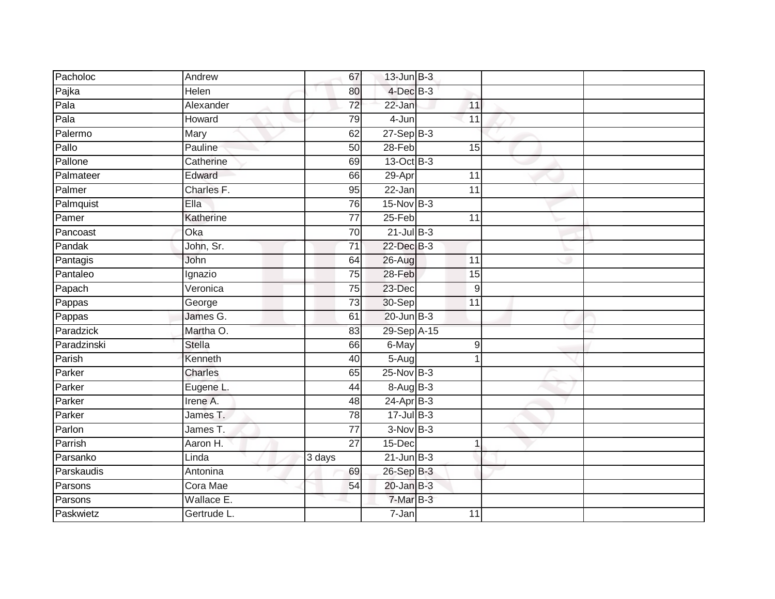| Pacholoc    | Andrew         | 67              | $13$ -Jun $B-3$ |                 |  |
|-------------|----------------|-----------------|-----------------|-----------------|--|
| Pajka       | Helen          | 80              | $4$ -Dec $B-3$  |                 |  |
| Pala        | Alexander      | $\overline{72}$ | 22-Jan          | 11              |  |
| Pala        | Howard         | 79              | 4-Jun           | 11              |  |
| Palermo     | Mary           | 62              | $27-Sep$ $B-3$  |                 |  |
| Pallo       | Pauline        | 50              | $28-Feb$        | 15              |  |
| Pallone     | Catherine      | 69              | 13-Oct B-3      |                 |  |
| Palmateer   | Edward         | 66              | 29-Apr          | 11              |  |
| Palmer      | Charles F.     | 95              | 22-Jan          | $\overline{11}$ |  |
| Palmquist   | Ella           | 76              | 15-Nov B-3      |                 |  |
| Pamer       | Katherine      | 77              | 25-Feb          | 11              |  |
| Pancoast    | Oka            | 70              | $21$ -Jul B-3   |                 |  |
| Pandak      | John, Sr.      | $\overline{71}$ | 22-Dec B-3      |                 |  |
| Pantagis    | John           | 64              | 26-Aug          | 11              |  |
| Pantaleo    | Ignazio        | $\overline{75}$ | 28-Feb          | 15              |  |
| Papach      | Veronica       | 75              | 23-Dec          | $9\,$           |  |
| Pappas      | George         | $\overline{73}$ | 30-Sep          | 11              |  |
| Pappas      | James G.       | 61              | $20$ -Jun $B-3$ |                 |  |
| Paradzick   | Martha O.      | 83              | 29-Sep A-15     |                 |  |
| Paradzinski | <b>Stella</b>  | 66              | 6-May           | 9               |  |
| Parish      | Kenneth        | 40              | 5-Aug           | 1               |  |
| Parker      | <b>Charles</b> | 65              | 25-Nov B-3      |                 |  |
| Parker      | Eugene L.      | 44              | 8-Aug B-3       |                 |  |
| Parker      | Irene A.       | 48              | $24-Apr$ B-3    |                 |  |
| Parker      | James T.       | 78              | $17 -$ Jul B-3  |                 |  |
| Parlon      | James T.       | 77              | $3-Nov$ B-3     |                 |  |
| Parrish     | Aaron H.       | $\overline{27}$ | 15-Dec          | 1               |  |
| Parsanko    | Linda          | 3 days          | $21$ -Jun $B-3$ |                 |  |
| Parskaudis  | Antonina       | 69              | 26-Sep B-3      |                 |  |
| Parsons     | Cora Mae       | 54              | $20$ -Jan $B-3$ |                 |  |
| Parsons     | Wallace E.     |                 | 7-Mar B-3       |                 |  |
| Paskwietz   | Gertrude L.    |                 | $7 - Jan$       | 11              |  |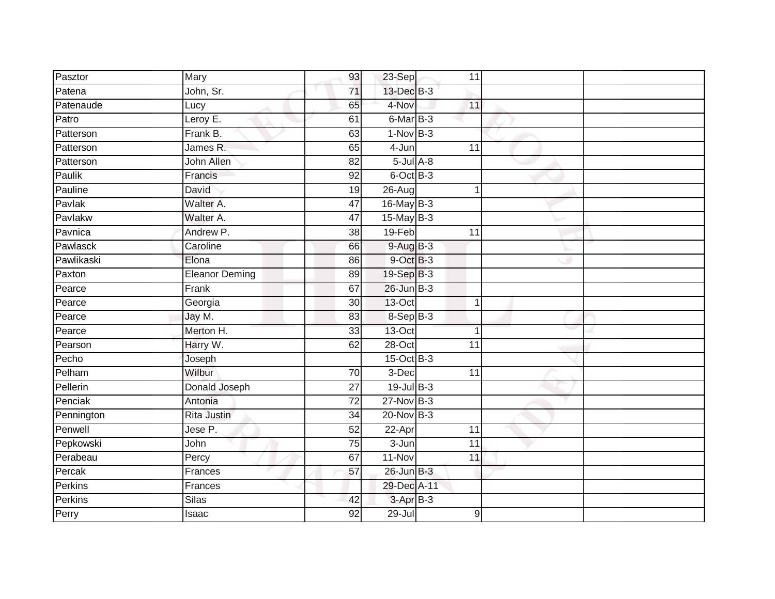| Pasztor    | Mary                  | 93              | 23-Sep          | 11              |  |
|------------|-----------------------|-----------------|-----------------|-----------------|--|
| Patena     | John, Sr.             | 71              | 13-Dec B-3      |                 |  |
| Patenaude  | Lucy                  | 65              | 4-Nov           | 11              |  |
| Patro      | Leroy E.              | 61              | 6-Mar B-3       |                 |  |
| Patterson  | Frank B.              | 63              | $1-Nov$ B-3     |                 |  |
| Patterson  | James R.              | 65              | 4-Jun           | 11              |  |
| Patterson  | John Allen            | 82              | $5$ -Jul $A$ -8 |                 |  |
| Paulik     | Francis               | 92              | 6-Oct B-3       |                 |  |
| Pauline    | David                 | 19              | 26-Aug          | 1               |  |
| Pavlak     | Walter A.             | 47              | 16-May B-3      |                 |  |
| Pavlakw    | Walter A.             | 47              | $15$ -May B-3   |                 |  |
| Pavnica    | Andrew P.             | 38              | 19-Feb          | 11              |  |
| Pawlasck   | Caroline              | 66              | $9-AugB-3$      |                 |  |
| Pawlikaski | Elona                 | 86              | 9-Oct B-3       |                 |  |
| Paxton     | <b>Eleanor Deming</b> | 89              | 19-Sep B-3      |                 |  |
| Pearce     | Frank                 | 67              | 26-Jun B-3      |                 |  |
| Pearce     | Georgia               | $\overline{30}$ | $13-Oct$        | $\mathbf{1}$    |  |
| Pearce     | Jay M.                | 83              | 8-Sep B-3       |                 |  |
| Pearce     | Merton H.             | 33              | $13$ -Oct       | 1               |  |
| Pearson    | Harry W.              | 62              | $28 - Oct$      | $\overline{11}$ |  |
| Pecho      | Joseph                |                 | 15-Oct B-3      |                 |  |
| Pelham     | Wilbur                | 70              | 3-Dec           | 11              |  |
| Pellerin   | Donald Joseph         | 27              | $19$ -Jul B-3   |                 |  |
| Penciak    | Antonia               | 72              | $27$ -Nov $B-3$ |                 |  |
| Pennington | Rita Justin           | 34              | 20-Nov B-3      |                 |  |
| Penwell    | Jese P.               | 52              | 22-Apr          | 11              |  |
| Pepkowski  | John                  | 75              | $3 - Jun$       | $\overline{11}$ |  |
| Perabeau   | Percy                 | 67              | 11-Nov          | 11              |  |
| Percak     | Frances               | 57              | 26-Jun B-3      |                 |  |
| Perkins    | Frances               |                 | 29-Dec A-11     |                 |  |
| Perkins    | Silas                 | 42              | 3-Apr B-3       |                 |  |
| Perry      | Isaac                 | 92              | $29 -$ Jul      | 9               |  |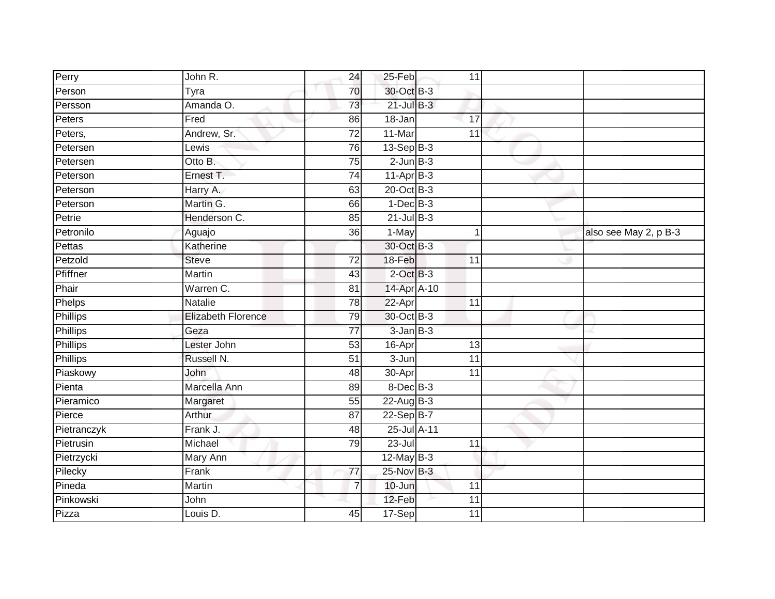| Perry           | John R.                   | 24              | 25-Feb          | 11              |   |                       |
|-----------------|---------------------------|-----------------|-----------------|-----------------|---|-----------------------|
| Person          | Tyra                      | 70              | 30-Oct B-3      |                 |   |                       |
| Persson         | Amanda O.                 | 73              | $21$ -Jul $B-3$ |                 |   |                       |
| Peters          | Fred                      | 86              | 18-Jan          | 17              |   |                       |
| Peters,         | Andrew, Sr.               | $\overline{72}$ | 11-Mar          | 11              |   |                       |
| Petersen        | Lewis                     | 76              | $13-Sep$ B-3    |                 |   |                       |
| Petersen        | Otto B.                   | 75              | $2$ -Jun $B-3$  |                 |   |                       |
| Peterson        | Ernest T.                 | $\overline{74}$ | $11-AprB-3$     |                 |   |                       |
| Peterson        | Harry A.                  | 63              | 20-Oct B-3      |                 |   |                       |
| Peterson        | Martin G.                 | 66              | $1-Dec$ B-3     |                 |   |                       |
| Petrie          | Henderson C.              | 85              | $21$ -Jul B-3   |                 |   |                       |
| Petronilo       | Aguajo                    | 36              | 1-May           |                 | 1 | also see May 2, p B-3 |
| Pettas          | Katherine                 |                 | 30-Oct B-3      |                 |   |                       |
| Petzold         | <b>Steve</b>              | $\overline{72}$ | 18-Feb          | 11              |   |                       |
| Pfiffner        | Martin                    | 43              | $2$ -Oct $B-3$  |                 |   |                       |
| Phair           | Warren C.                 | $\overline{81}$ | 14-Apr A-10     |                 |   |                       |
| Phelps          | Natalie                   | 78              | 22-Apr          | $\overline{11}$ |   |                       |
| <b>Phillips</b> | <b>Elizabeth Florence</b> | 79              | 30-Oct B-3      |                 |   |                       |
| Phillips        | Geza                      | $\overline{77}$ | $3$ -Jan $B-3$  |                 |   |                       |
| <b>Phillips</b> | Lester John               | 53              | 16-Apr          | $\overline{13}$ |   |                       |
| Phillips        | Russell N.                | $\overline{51}$ | 3-Jun           | 11              |   |                       |
| Piaskowy        | John                      | 48              | 30-Apr          | $\overline{11}$ |   |                       |
| Pienta          | Marcella Ann              | 89              | 8-Dec B-3       |                 |   |                       |
| Pieramico       | Margaret                  | 55              | $22$ -Aug B-3   |                 |   |                       |
| Pierce          | Arthur                    | $\overline{87}$ | 22-Sep B-7      |                 |   |                       |
| Pietranczyk     | Frank J.                  | 48              | 25-Jul A-11     |                 |   |                       |
| Pietrusin       | Michael                   | 79              | $23 -$ Jul      | $\overline{11}$ |   |                       |
| Pietrzycki      | Mary Ann                  |                 | $12$ -May B-3   |                 |   |                       |
| Pilecky         | Frank                     | 77              | 25-Nov B-3      |                 |   |                       |
| Pineda          | Martin                    | $\overline{7}$  | 10-Jun          | 11              |   |                       |
| Pinkowski       | John                      |                 | 12-Feb          | 11              |   |                       |
| Pizza           | Louis D.                  | 45              | 17-Sep          | 11              |   |                       |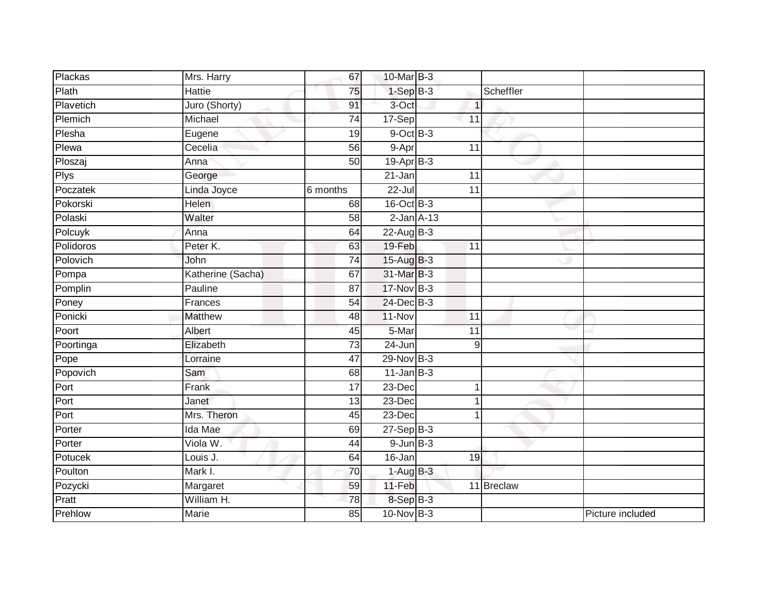| Plackas   | Mrs. Harry        | 67              | 10-Mar B-3      |              |                  |
|-----------|-------------------|-----------------|-----------------|--------------|------------------|
| Plath     | Hattie            | 75              | $1-SepB-3$      | Scheffler    |                  |
| Plavetich | Juro (Shorty)     | 91              | 3-Oct           | $\mathbf{1}$ |                  |
| Plemich   | Michael           | 74              | 17-Sep          | 11           |                  |
| Plesha    | Eugene            | $\overline{19}$ | $9$ -Oct $B$ -3 |              |                  |
| Plewa     | Cecelia           | 56              | 9-Apr           | 11           |                  |
| Ploszaj   | Anna              | $\overline{50}$ | $19-Apr$ B-3    |              |                  |
| Plys      | George            |                 | 21-Jan          | 11           |                  |
| Poczatek  | Linda Joyce       | 6 months        | $22 -$ Jul      | 11           |                  |
| Pokorski  | <b>Helen</b>      | 68              | $16$ -Oct B-3   |              |                  |
| Polaski   | Walter            | 58              | $2-Jan A-13$    |              |                  |
| Polcuyk   | Anna              | 64              | 22-Aug B-3      |              |                  |
| Polidoros | Peter K.          | 63              | 19-Feb          | 11           |                  |
| Polovich  | John              | 74              | 15-Aug B-3      |              |                  |
| Pompa     | Katherine (Sacha) | 67              | 31-Mar B-3      |              |                  |
| Pomplin   | Pauline           | 87              | $17$ -Nov $B-3$ |              |                  |
| Poney     | Frances           | 54              | 24-Dec B-3      |              |                  |
| Ponicki   | <b>Matthew</b>    | 48              | 11-Nov          | 11           |                  |
| Poort     | Albert            | 45              | 5-Mar           | 11           |                  |
| Poortinga | Elizabeth         | $\overline{73}$ | $24 - Jun$      | 9            |                  |
| Pope      | Lorraine          | 47              | 29-Nov B-3      |              |                  |
| Popovich  | Sam               | 68              | $11$ -Jan B-3   |              |                  |
| Port      | Frank             | 17              | 23-Dec          | 1            |                  |
| Port      | Janet             | 13              | 23-Dec          | 1            |                  |
| Port      | Mrs. Theron       | 45              | 23-Dec          |              |                  |
| Porter    | Ida Mae           | 69              | $27-Sep$ $B-3$  |              |                  |
| Porter    | Viola W.          | 44              | $9$ -Jun $B-3$  |              |                  |
| Potucek   | Louis J.          | 64              | 16-Jan          | 19           |                  |
| Poulton   | Mark I.           | 70              | $1-Aug$ B-3     |              |                  |
| Pozycki   | Margaret          | 59              | $11-Feb$        | 11 Breclaw   |                  |
| Pratt     | William H.        | 78              | 8-Sep B-3       |              |                  |
| Prehlow   | <b>Marie</b>      | $\overline{85}$ | 10-Nov B-3      |              | Picture included |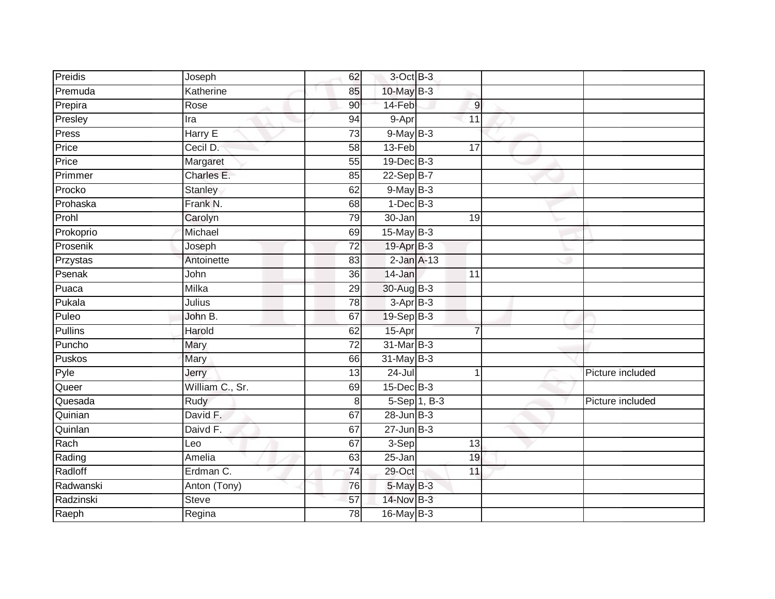| Preidis             | Joseph          | 62              | $3$ -Oct $B-3$    |              |                |                  |
|---------------------|-----------------|-----------------|-------------------|--------------|----------------|------------------|
| Premuda             | Katherine       | 85              | 10-May B-3        |              |                |                  |
| Prepira             | Rose            | 90              | 14-Feb            |              | $\overline{9}$ |                  |
| Presley             | Ira             | 94              | 9-Apr             |              | 11             |                  |
| Press               | Harry E         | $\overline{73}$ | $9$ -May $B-3$    |              |                |                  |
| Price               | Cecil D:        | 58              | 13-Feb            |              | 17             |                  |
| Price               | Margaret        | 55              | $19$ -Dec $B - 3$ |              |                |                  |
| Primmer             | Charles E.      | 85              | 22-Sep B-7        |              |                |                  |
| Procko              | <b>Stanley</b>  | 62              | 9-May B-3         |              |                |                  |
| Prohaska            | Frank N.        | 68              | $1-Dec$ B-3       |              |                |                  |
| Prohl               | Carolyn         | 79              | 30-Jan            |              | 19             |                  |
| Prokoprio           | Michael         | 69              | $15$ -May B-3     |              |                |                  |
| Prosenik            | Joseph          | 72              | 19-Apr B-3        |              |                |                  |
| Przystas            | Antoinette      | 83              | $2$ -Jan $A-13$   |              |                |                  |
| Psenak              | John            | 36              | 14-Jan            |              | 11             |                  |
| $\overline{P}$ uaca | Milka           | 29              | 30-Aug B-3        |              |                |                  |
| Pukala              | Julius          | 78              | $3-AprB-3$        |              |                |                  |
| Puleo               | John B.         | 67              | $19-Sep$ B-3      |              |                |                  |
| <b>Pullins</b>      | Harold          | 62              | 15-Apr            |              | $\overline{7}$ |                  |
| Puncho              | Mary            | 72              | 31-Mar B-3        |              |                |                  |
| Puskos              | Mary            | 66              | 31-May B-3        |              |                |                  |
| Pyle                | Jerry           | 13              | $24 -$ Jul        |              | 1              | Picture included |
| Queer               | William C., Sr. | 69              | $15$ -Dec $B$ -3  |              |                |                  |
| Quesada             | Rudy            | $\,8\,$         |                   | 5-Sep 1, B-3 |                | Picture included |
| Quinian             | David F.        | 67              | $28$ -Jun $B-3$   |              |                |                  |
| Quinlan             | Daivd F.        | 67              | $27 - Jun$ B-3    |              |                |                  |
| Rach                | Leo             | 67              | 3-Sep             |              | 13             |                  |
| Rading              | Amelia          | 63              | 25-Jan            |              | 19             |                  |
| Radloff             | Erdman C.       | 74              | 29-Oct            |              | 11             |                  |
| Radwanski           | Anton (Tony)    | 76              | 5-May B-3         |              |                |                  |
| Radzinski           | Steve           | 57              | 14-Nov B-3        |              |                |                  |
| Raeph               | Regina          | $\overline{78}$ | 16-May B-3        |              |                |                  |
|                     |                 |                 |                   |              |                |                  |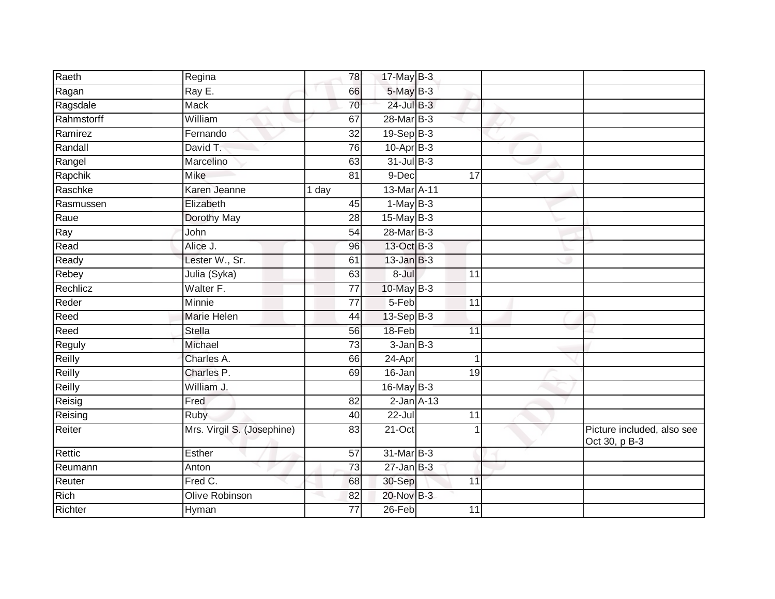| Raeth         | Regina                     | 78              | 17-May B-3      |                 |                                             |
|---------------|----------------------------|-----------------|-----------------|-----------------|---------------------------------------------|
| Ragan         | Ray E.                     | 66              | 5-May B-3       |                 |                                             |
| Ragsdale      | <b>Mack</b>                | 70              | 24-Jul B-3      |                 |                                             |
| Rahmstorff    | William                    | 67              | 28-Mar B-3      |                 |                                             |
| Ramirez       | Fernando                   | $\overline{32}$ | 19-Sep B-3      |                 |                                             |
| Randall       | David T.                   | 76              | $10-Apr$ B-3    |                 |                                             |
| Rangel        | Marcelino                  | 63              | $31$ -Jul B-3   |                 |                                             |
| Rapchik       | <b>Mike</b>                | 81              | 9-Dec           | 17              |                                             |
| Raschke       | Karen Jeanne               | 1 day           | 13-Mar A-11     |                 |                                             |
| Rasmussen     | Elizabeth                  | 45              | $1-May$ B-3     |                 |                                             |
| Raue          | Dorothy May                | 28              | $15$ -May B-3   |                 |                                             |
| Ray           | John                       | 54              | 28-Mar B-3      |                 |                                             |
| Read          | Alice J.                   | 96              | 13-Oct B-3      |                 |                                             |
| Ready         | Lester W., Sr.             | 61              | $13$ -Jan $B-3$ |                 |                                             |
| Rebey         | Julia (Syka)               | 63              | 8-Jul           | 11              |                                             |
| Rechlicz      | Walter F.                  | 77              | 10-May B-3      |                 |                                             |
| Reder         | Minnie                     | $\overline{77}$ | $5-Feb$         | $\overline{11}$ |                                             |
| Reed          | Marie Helen                | 44              | $13-Sep B-3$    |                 |                                             |
| Reed          | <b>Stella</b>              | 56              | 18-Feb          | $\overline{11}$ |                                             |
| <b>Reguly</b> | Michael                    | $\overline{73}$ | $3$ -Jan $B-3$  |                 |                                             |
| Reilly        | Charles A.                 | 66              | 24-Apr          |                 |                                             |
| Reilly        | Charles P.                 | 69              | 16-Jan          | 19              |                                             |
| Reilly        | William J.                 |                 | 16-May B-3      |                 |                                             |
| Reisig        | Fred                       | 82              | $2$ -Jan $A-13$ |                 |                                             |
| Reising       | Ruby                       | 40              | $22 -$ Jul      | 11              |                                             |
| Reiter        | Mrs. Virgil S. (Josephine) | 83              | 21-Oct          |                 | Picture included, also see<br>Oct 30, p B-3 |
| Rettic        | Esther                     | $\overline{57}$ | 31-Mar B-3      |                 |                                             |
| Reumann       | Anton                      | $\overline{73}$ | $27$ -Jan $B-3$ |                 |                                             |
| Reuter        | Fred C.                    | 68              | 30-Sep          | 11              |                                             |
| <b>Rich</b>   | Olive Robinson             | 82              | 20-Nov B-3      |                 |                                             |
| Richter       | Hyman                      | 77              | 26-Feb          | 11              |                                             |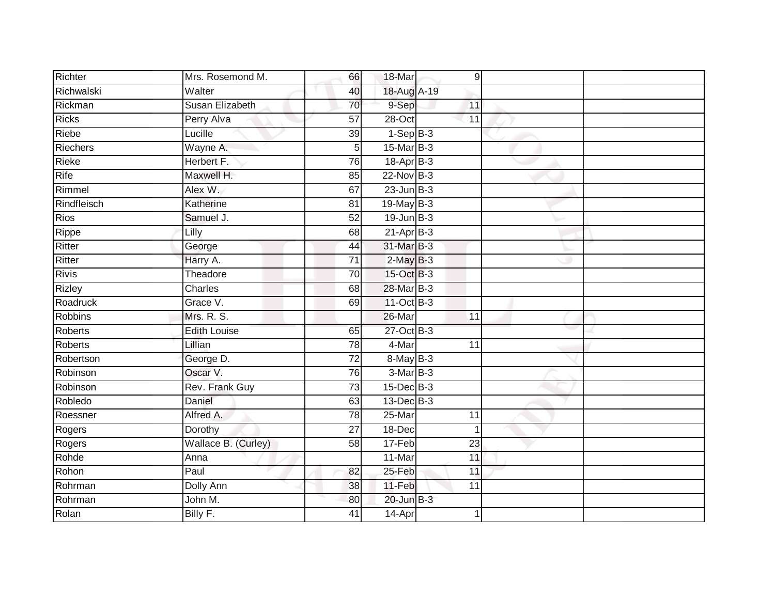| Richter       | Mrs. Rosemond M.    | 66              | 18-Mar           | 9 <sup>1</sup>  |  |
|---------------|---------------------|-----------------|------------------|-----------------|--|
| Richwalski    | Walter              | 40              | 18-Aug A-19      |                 |  |
| Rickman       | Susan Elizabeth     | 70              | 9-Sep            | 11              |  |
| Ricks         | Perry Alva          | 57              | 28-Oct           | 11              |  |
| Riebe         | Lucille             | 39              | $1-SepB-3$       |                 |  |
| Riechers      | Wayne A.            | 5               | 15-Mar B-3       |                 |  |
| Rieke         | Herbert F.          | 76              | 18-Apr B-3       |                 |  |
| Rife          | Maxwell H.          | 85              | $22$ -Nov $B-3$  |                 |  |
| Rimmel        | Alex W.             | 67              | $23$ -Jun $B-3$  |                 |  |
| Rindfleisch   | Katherine           | 81              | 19-May B-3       |                 |  |
| <b>Rios</b>   | Samuel J.           | 52              | $19$ -Jun $B-3$  |                 |  |
| Rippe         | Lilly               | 68              | $21-Apr$ B-3     |                 |  |
| Ritter        | George              | 44              | 31-Mar B-3       |                 |  |
| Ritter        | Harry A.            | 71              | $2-MayB-3$       |                 |  |
| <b>Rivis</b>  | Theadore            | $\overline{70}$ | 15-Oct B-3       |                 |  |
| <b>Rizley</b> | Charles             | 68              | 28-Mar B-3       |                 |  |
| Roadruck      | Grace V.            | 69              | 11-Oct B-3       |                 |  |
| Robbins       | Mrs. R. S.          |                 | 26-Mar           | 11              |  |
| Roberts       | <b>Edith Louise</b> | 65              | 27-Oct B-3       |                 |  |
| Roberts       | Lillian             | 78              | 4-Mar            | 11              |  |
| Robertson     | George D.           | 72              | 8-May B-3        |                 |  |
| Robinson      | Oscar V.            | 76              | $3-MarB-3$       |                 |  |
| Robinson      | Rev. Frank Guy      | 73              | $15$ -Dec $B$ -3 |                 |  |
| Robledo       | Daniel              | 63              | $13$ -Dec $B-3$  |                 |  |
| Roessner      | Alfred A.           | 78              | 25-Mar           | 11              |  |
| Rogers        | Dorothy             | 27              | 18-Dec           | $\mathbf 1$     |  |
| Rogers        | Wallace B. (Curley) | $\overline{58}$ | 17-Feb           | $\overline{23}$ |  |
| Rohde         | Anna                |                 | 11-Mar           | 11              |  |
| Rohon         | Paul                | 82              | 25-Feb           | 11              |  |
| Rohrman       | Dolly Ann           | 38              | $11-Feb$         | 11              |  |
| Rohrman       | John M.             | 80              | 20-Jun B-3       |                 |  |
| Rolan         | Billy F.            | 41              | 14-Apr           | 1               |  |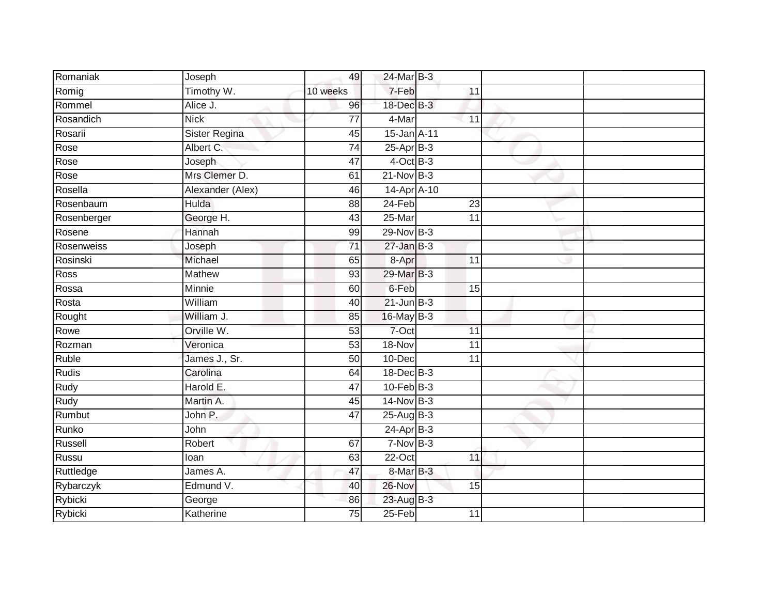| Romaniak    | Joseph               | 49              | 24-Mar B-3       |                 |  |
|-------------|----------------------|-----------------|------------------|-----------------|--|
| Romig       | Timothy W.           | 10 weeks        | 7-Feb            | 11              |  |
| Rommel      | Alice J.             | 96              | 18-Dec B-3       |                 |  |
| Rosandich   | <b>Nick</b>          | $\overline{77}$ | 4-Mar            | 11              |  |
| Rosarii     | <b>Sister Regina</b> | 45              | 15-Jan A-11      |                 |  |
| Rose        | Albert C.            | 74              | $25$ -Apr $B-3$  |                 |  |
| Rose        | Joseph               | 47              | $4$ -Oct B-3     |                 |  |
| Rose        | Mrs Clemer D.        | 61              | $21-Nov$ B-3     |                 |  |
| Rosella     | Alexander (Alex)     | 46              | 14-Apr A-10      |                 |  |
| Rosenbaum   | <b>Hulda</b>         | 88              | $24-Feb$         | 23              |  |
| Rosenberger | George H.            | 43              | $25 - $ Mar      | $\overline{11}$ |  |
| Rosene      | Hannah               | 99              | $29$ -Nov $B-3$  |                 |  |
| Rosenweiss  | Joseph               | 71              | $27 - Jan$ $B-3$ |                 |  |
| Rosinski    | Michael              | 65              | 8-Apr            | 11              |  |
| <b>Ross</b> | <b>Mathew</b>        | 93              | 29-Mar B-3       |                 |  |
| Rossa       | Minnie               | 60              | 6-Feb            | 15              |  |
| Rosta       | William              | 40              | $21$ -Jun $B-3$  |                 |  |
| Rought      | William J.           | 85              | 16-May B-3       |                 |  |
| Rowe        | Orville W.           | 53              | 7-Oct            | 11              |  |
| Rozman      | Veronica             | 53              | 18-Nov           | 11              |  |
| Ruble       | James J., Sr.        | 50              | 10-Dec           | 11              |  |
| Rudis       | Carolina             | 64              | 18-Dec B-3       |                 |  |
| Rudy        | Harold E.            | 47              | $10$ -Feb $B-3$  |                 |  |
| <b>Rudy</b> | Martin A.            | 45              | $14$ -Nov B-3    |                 |  |
| Rumbut      | John P.              | 47              | 25-Aug B-3       |                 |  |
| Runko       | John                 |                 | $24$ -Apr $B-3$  |                 |  |
| Russell     | Robert               | 67              | $7-Nov$ B-3      |                 |  |
| Russu       | loan                 | 63              | 22-Oct           | 11              |  |
| Ruttledge   | James A.             | 47              | 8-Mar B-3        |                 |  |
| Rybarczyk   | Edmund V.            | 40              | 26-Nov           | 15              |  |
| Rybicki     | George               | 86              | 23-Aug B-3       |                 |  |
| Rybicki     | Katherine            | $\overline{75}$ | $25-Feb$         | 11              |  |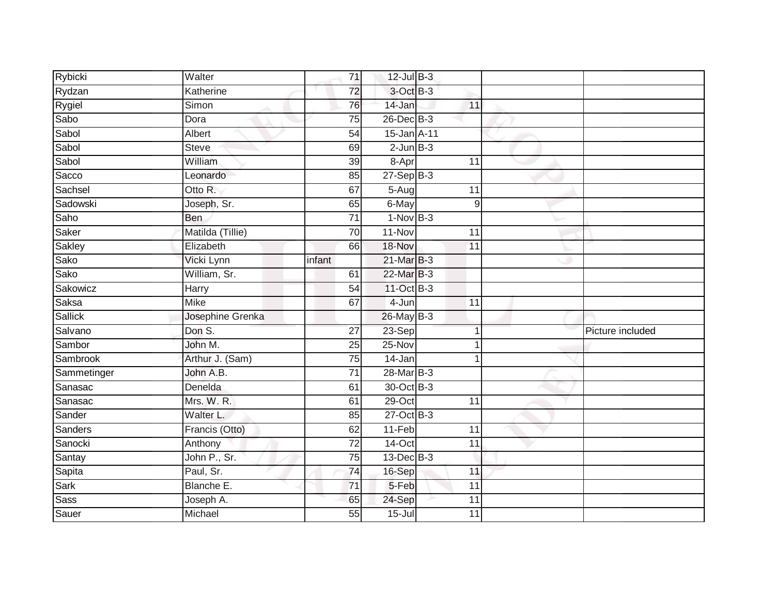| Rybicki     | Walter           |        | $\overline{71}$ | 12-Jul B-3      |                 |                  |
|-------------|------------------|--------|-----------------|-----------------|-----------------|------------------|
| Rydzan      | Katherine        |        | $\overline{72}$ | 3-Oct B-3       |                 |                  |
| Rygiel      | Simon            |        | 76              | 14-Jan          | 11              |                  |
| Sabo        | Dora             |        | 75              | 26-Dec B-3      |                 |                  |
| Sabol       | Albert           |        | 54              | 15-Jan A-11     |                 |                  |
| Sabol       | <b>Steve</b>     |        | 69              | $2$ -Jun $B-3$  |                 |                  |
| Sabol       | William          |        | 39              | 8-Apr           | 11              |                  |
| Sacco       | Leonardo         |        | 85              | $27-Sep$ B-3    |                 |                  |
| Sachsel     | Otto R.          |        | 67              | 5-Aug           | 11              |                  |
| Sadowski    | Joseph, Sr.      |        | 65              | 6-May           | 9               |                  |
| Saho        | <b>Ben</b>       |        | $\overline{71}$ | $1-Nov$ B-3     |                 |                  |
| Saker       | Matilda (Tillie) |        | 70              | 11-Nov          | 11              |                  |
| Sakley      | Elizabeth        |        | 66              | 18-Nov          | 11              |                  |
| Sako        | Vicki Lynn       | infant |                 | 21-Mar B-3      |                 |                  |
| Sako        | William, Sr.     |        | 61              | 22-Mar B-3      |                 |                  |
| Sakowicz    | Harry            |        | 54              | 11-Oct B-3      |                 |                  |
| Saksa       | <b>Mike</b>      |        | 67              | 4-Jun           | $\overline{11}$ |                  |
| Sallick     | Josephine Grenka |        |                 | 26-May B-3      |                 |                  |
| Salvano     | Don S.           |        | 27              | 23-Sep          |                 | Picture included |
| Sambor      | John M.          |        | $\overline{25}$ | $25-Nov$        |                 |                  |
| Sambrook    | Arthur J. (Sam)  |        | 75              | 14-Jan          |                 |                  |
| Sammetinger | John A.B.        |        | $\overline{71}$ | 28-Mar B-3      |                 |                  |
| Sanasac     | Denelda          |        | 61              | 30-Oct B-3      |                 |                  |
| Sanasac     | Mrs. W. R.       |        | 61              | 29-Oct          | 11              |                  |
| Sander      | Walter L.        |        | 85              | 27-Oct B-3      |                 |                  |
| Sanders     | Francis (Otto)   |        | 62              | 11-Feb          | 11              |                  |
| Sanocki     | Anthony          |        | $\overline{72}$ | $14$ -Oct       | 11              |                  |
| Santay      | John P., Sr.     |        | 75              | $13$ -Dec $B-3$ |                 |                  |
| Sapita      | Paul, Sr.        |        | 74              | 16-Sep          | 11              |                  |
| Sark        | Blanche E.       |        | 71              | 5-Feb           | 11              |                  |
| <b>Sass</b> | Joseph A.        |        | 65              | 24-Sep          | 11              |                  |
| Sauer       | Michael          |        | 55              | $15 -$ Jul      | 11              |                  |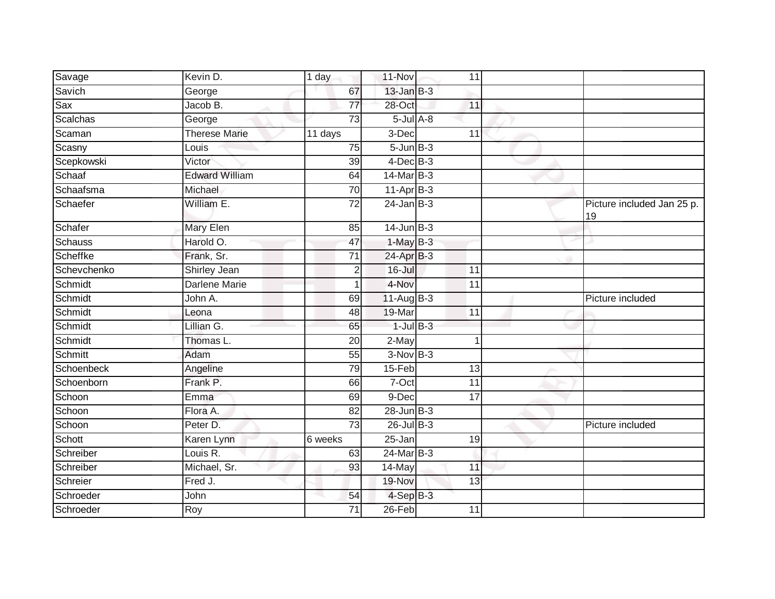| Savage          | Kevin D.              | 1 day                | 11-Nov          | 11              |                                  |
|-----------------|-----------------------|----------------------|-----------------|-----------------|----------------------------------|
| Savich          | George                | 67                   | $13$ -Jan $B-3$ |                 |                                  |
| Sax             | Jacob B.              | 77                   | $28 - Oct$      | 11              |                                  |
| <b>Scalchas</b> | George                | 73                   | $5$ -Jul $A$ -8 |                 |                                  |
| Scaman          | <b>Therese Marie</b>  | $\overline{11}$ days | 3-Dec           | $\overline{11}$ |                                  |
| Scasny          | Louis                 | 75                   | $5 - Jun$ $B-3$ |                 |                                  |
| Scepkowski      | Victor                | 39                   | $4$ -Dec $B-3$  |                 |                                  |
| Schaaf          | <b>Edward William</b> | 64                   | 14-Mar B-3      |                 |                                  |
| Schaafsma       | Michael               | $\overline{70}$      | $11-AprB-3$     |                 |                                  |
| Schaefer        | William E.            | $\overline{72}$      | $24$ -Jan B-3   |                 | Picture included Jan 25 p.<br>19 |
| Schafer         | <b>Mary Elen</b>      | 85                   | $14$ -Jun $B-3$ |                 |                                  |
| Schauss         | Harold O.             | 47                   | $1-MayB-3$      |                 |                                  |
| Scheffke        | Frank, Sr.            | $\overline{71}$      | $24$ -Apr $B-3$ |                 |                                  |
| Schevchenko     | Shirley Jean          | 2                    | $16 -$ Jul      | 11              |                                  |
| Schmidt         | <b>Darlene Marie</b>  |                      | 4-Nov           | 11              |                                  |
| Schmidt         | John A.               | 69                   | 11-Aug B-3      |                 | Picture included                 |
| Schmidt         | Leona                 | 48                   | 19-Mar          | 11              |                                  |
| Schmidt         | Lillian G.            | 65                   | $1$ -Jul $B$ -3 |                 |                                  |
| Schmidt         | Thomas L.             | 20                   | 2-May           |                 |                                  |
| Schmitt         | Adam                  | 55                   | $3-NovB-3$      |                 |                                  |
| Schoenbeck      | Angeline              | 79                   | 15-Feb          | 13              |                                  |
| Schoenborn      | Frank P.              | 66                   | 7-Oct           | 11              |                                  |
| Schoon          | Emma                  | 69                   | 9-Dec           | 17              |                                  |
| Schoon          | Flora A.              | 82                   | $28$ -Jun $B-3$ |                 |                                  |
| Schoon          | Peter D.              | $\overline{73}$      | $26$ -Jul B-3   |                 | Picture included                 |
| Schott          | Karen Lynn            | 6 weeks              | 25-Jan          | 19              |                                  |
| Schreiber       | Louis R.              | 63                   | 24-Mar B-3      |                 |                                  |
| Schreiber       | Michael, Sr.          | 93                   | 14-May          | 11              |                                  |
| Schreier        | Fred J.               |                      | 19-Nov          | 13              |                                  |
| Schroeder       | John                  | 54                   | $4-SepB-3$      |                 |                                  |
| Schroeder       | Roy                   | 71                   | 26-Feb          | 11              |                                  |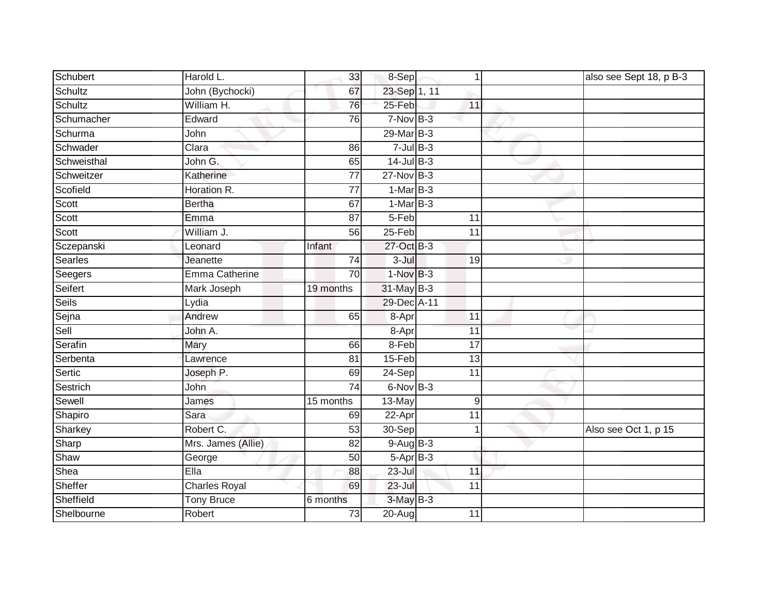| Schubert     | Harold L.            | 33              | 8-Sep           | 1               | also see Sept 18, p B-3 |
|--------------|----------------------|-----------------|-----------------|-----------------|-------------------------|
| Schultz      | John (Bychocki)      | 67              | 23-Sep 1, 11    |                 |                         |
| Schultz      | William H.           | 76              | 25-Feb          | 11              |                         |
| Schumacher   | Edward               | 76              | $7-Nov$ B-3     |                 |                         |
| Schurma      | John                 |                 | 29-Mar B-3      |                 |                         |
| Schwader     | Clara                | 86              | $7$ -Jul $B-3$  |                 |                         |
| Schweisthal  | John G.              | 65              | $14$ -Jul B-3   |                 |                         |
| Schweitzer   | Katherine            | 77              | $27$ -Nov $B-3$ |                 |                         |
| Scofield     | Horation R.          | 77              | $1-MarB-3$      |                 |                         |
| Scott        | Bertha               | 67              | $1-MarB-3$      |                 |                         |
| Scott        | Emma                 | 87              | 5-Feb           | 11              |                         |
| Scott        | William J.           | 56              | 25-Feb          | 11              |                         |
| Sczepanski   | Leonard              | Infant          | 27-Oct B-3      |                 |                         |
| Searles      | Jeanette             | 74              | $3 -$ Jul       | 19              |                         |
| Seegers      | Emma Catherine       | 70              | $1-NovB-3$      |                 |                         |
| Seifert      | Mark Joseph          | 19 months       | 31-May B-3      |                 |                         |
| <b>Seils</b> | Lydia                |                 | 29-Dec A-11     |                 |                         |
| Sejna        | Andrew               | 65              | 8-Apr           | 11              |                         |
| Sell         | John A.              |                 | 8-Apr           | 11              |                         |
| Serafin      | Mary                 | 66              | 8-Feb           | $\overline{17}$ |                         |
| Serbenta     | Lawrence             | 81              | $15-Feb$        | 13              |                         |
| Sertic       | Joseph P.            | 69              | 24-Sep          | $\overline{11}$ |                         |
| Sestrich     | John                 | 74              | 6-Nov B-3       |                 |                         |
| Sewell       | James                | 15 months       | 13-May          | 9               |                         |
| Shapiro      | Sara                 | 69              | 22-Apr          | 11              |                         |
| Sharkey      | Robert C.            | 53              | 30-Sep          | 1               | Also see Oct 1, p 15    |
| Sharp        | Mrs. James (Allie)   | $\overline{82}$ | $9-AugB-3$      |                 |                         |
| Shaw         | George               | 50              | $5-Apr$ B-3     |                 |                         |
| Shea         | Ella                 | 88              | 23-Jul          | 11              |                         |
| Sheffer      | <b>Charles Royal</b> | 69              | $23 -$ Jul      | 11              |                         |
| Sheffield    | <b>Tony Bruce</b>    | 6 months        | 3-May B-3       |                 |                         |
| Shelbourne   | Robert               | 73              | 20-Aug          | 11              |                         |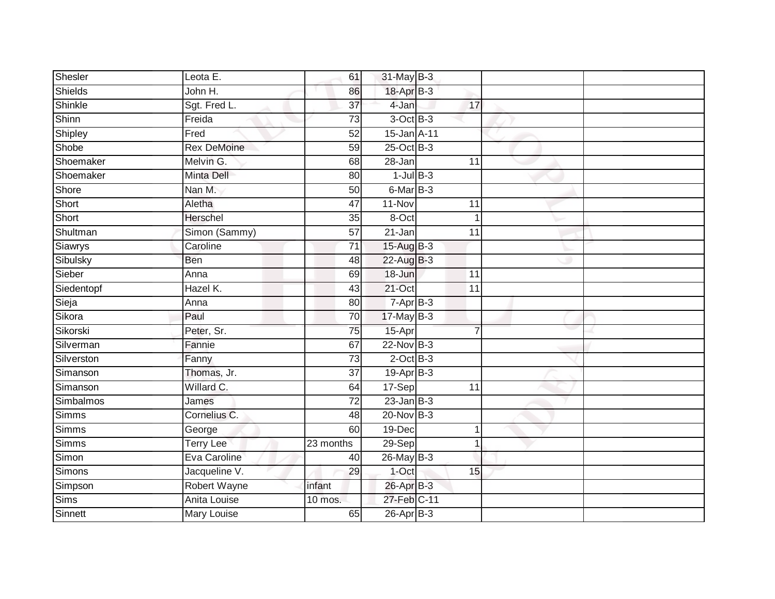| Shesler      | Leota E.           | 61              | 31-May B-3      |                 |  |
|--------------|--------------------|-----------------|-----------------|-----------------|--|
| Shields      | John H.            | 86              | 18-Apr B-3      |                 |  |
| Shinkle      | Sgt. Fred L.       | $\overline{37}$ | 4-Jan           | 17              |  |
| Shinn        | Freida             | 73              | $3$ -Oct $B-3$  |                 |  |
| Shipley      | Fred               | 52              | 15-Jan A-11     |                 |  |
| Shobe        | <b>Rex DeMoine</b> | 59              | 25-Oct B-3      |                 |  |
| Shoemaker    | Melvin G.          | 68              | 28-Jan          | 11              |  |
| Shoemaker    | <b>Minta Dell</b>  | 80              | $1$ -Jul $B-3$  |                 |  |
| Shore        | Nan M.             | 50              | 6-Mar B-3       |                 |  |
| Short        | Aletha             | 47              | 11-Nov          | 11              |  |
| Short        | Herschel           | 35              | 8-Oct           | $\overline{1}$  |  |
| Shultman     | Simon (Sammy)      | 57              | 21-Jan          | 11              |  |
| Siawrys      | Caroline           | 71              | 15-Aug B-3      |                 |  |
| Sibulsky     | <b>Ben</b>         | 48              | 22-Aug B-3      |                 |  |
| Sieber       | Anna               | 69              | 18-Jun          | $\overline{11}$ |  |
| Siedentopf   | Hazel K.           | 43              | 21-Oct          | 11              |  |
| Sieja        | Anna               | $\overline{80}$ | $7-AprB-3$      |                 |  |
| Sikora       | Paul               | 70              | $17$ -May B-3   |                 |  |
| Sikorski     | Peter, Sr.         | 75              | 15-Apr          | $\overline{7}$  |  |
| Silverman    | Fannie             | 67              | $22$ -Nov $B-3$ |                 |  |
| Silverston   | Fanny              | $\overline{73}$ | $2$ -Oct $B-3$  |                 |  |
| Simanson     | Thomas, Jr.        | 37              | $19-Apr$ B-3    |                 |  |
| Simanson     | Willard C.         | 64              | 17-Sep          | 11              |  |
| Simbalmos    | James              | 72              | $23$ -Jan B-3   |                 |  |
| <b>Simms</b> | Cornelius C.       | 48              | 20-Nov B-3      |                 |  |
| <b>Simms</b> | George             | 60              | $19-Dec$        | 1               |  |
| Simms        | <b>Terry Lee</b>   | 23 months       | $29-Sep$        | 1               |  |
| Simon        | Eva Caroline       | 40              | $26$ -May B-3   |                 |  |
| Simons       | Jacqueline V.      | 29              | 1-Oct           | 15              |  |
| Simpson      | Robert Wayne       | infant          | 26-Apr B-3      |                 |  |
| Sims         | Anita Louise       | 10 mos.         | 27-Feb C-11     |                 |  |
| Sinnett      | <b>Mary Louise</b> | 65              | $26$ -Apr $B-3$ |                 |  |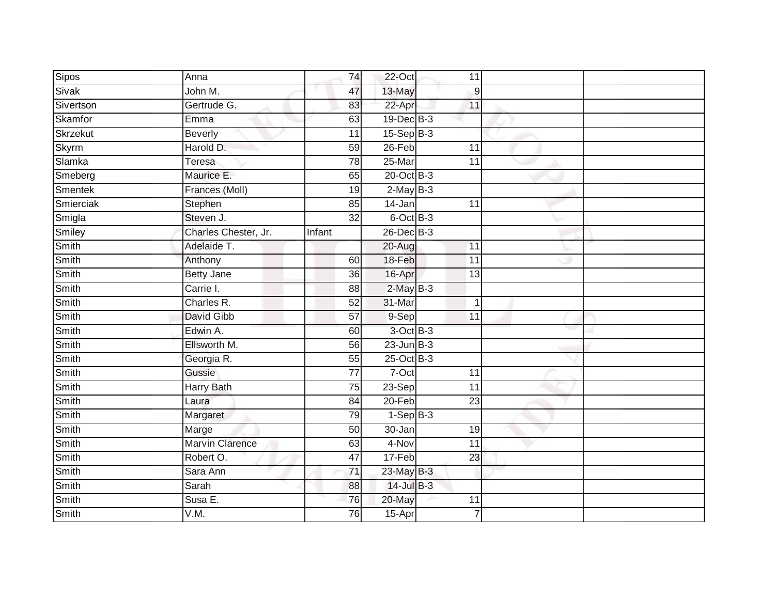| Sipos        | Anna                   | 74              | 22-Oct          | 11               |  |
|--------------|------------------------|-----------------|-----------------|------------------|--|
| Sivak        | John M.                | 47              | 13-May          | $\boldsymbol{9}$ |  |
| Sivertson    | Gertrude G.            | 83              | 22-Apr          | 11               |  |
| Skamfor      | Emma                   | 63              | 19-Dec B-3      |                  |  |
| Skrzekut     | <b>Beverly</b>         | $\overline{11}$ | $15-Sep$ B-3    |                  |  |
| <b>Skyrm</b> | Harold D.              | 59              | $26$ -Feb       | 11               |  |
| Slamka       | Teresa                 | $\overline{78}$ | 25-Mar          | 11               |  |
| Smeberg      | Maurice E.             | 65              | 20-Oct B-3      |                  |  |
| Smentek      | Frances (Moll)         | 19              | $2-May$ B-3     |                  |  |
| Smierciak    | Stephen                | 85              | $14 - Jan$      | 11               |  |
| Smigla       | Steven J.              | $\overline{32}$ | 6-Oct B-3       |                  |  |
| Smiley       | Charles Chester, Jr.   | Infant          | $26$ -Dec $B-3$ |                  |  |
| Smith        | Adelaide T.            |                 | 20-Aug          | 11               |  |
| Smith        | Anthony                | 60              | 18-Feb          | 11               |  |
| Smith        | <b>Betty Jane</b>      | $\overline{36}$ | 16-Apr          | 13               |  |
| Smith        | Carrie I.              | 88              | $2$ -May $B-3$  |                  |  |
| Smith        | Charles R.             | 52              | 31-Mar          | $\mathbf{1}$     |  |
| Smith        | David Gibb             | 57              | 9-Sep           | $\overline{11}$  |  |
| Smith        | Edwin A.               | 60              | 3-Oct B-3       |                  |  |
| Smith        | Ellsworth M.           | $\overline{56}$ | $23$ -Jun $B-3$ |                  |  |
| Smith        | Georgia R.             | 55              | 25-Oct B-3      |                  |  |
| Smith        | Gussie                 | $\overline{77}$ | $7-Oct$         | 11               |  |
| Smith        | <b>Harry Bath</b>      | 75              | 23-Sep          | $\overline{11}$  |  |
| Smith        | Laura                  | 84              | $20-Feb$        | 23               |  |
| Smith        | Margaret               | 79              | $1-SepB-3$      |                  |  |
| Smith        | Marge                  | 50              | 30-Jan          | 19               |  |
| Smith        | <b>Marvin Clarence</b> | 63              | 4-Nov           | $\overline{11}$  |  |
| Smith        | Robert O.              | 47              | 17-Feb          | 23               |  |
| Smith        | Sara Ann               | 71              | 23-May B-3      |                  |  |
| Smith        | Sarah                  | 88              | 14-Jul B-3      |                  |  |
| Smith        | Susa E.                | 76              | 20-May          | 11               |  |
| Smith        | V.M.                   | 76              | 15-Apr          | $\overline{7}$   |  |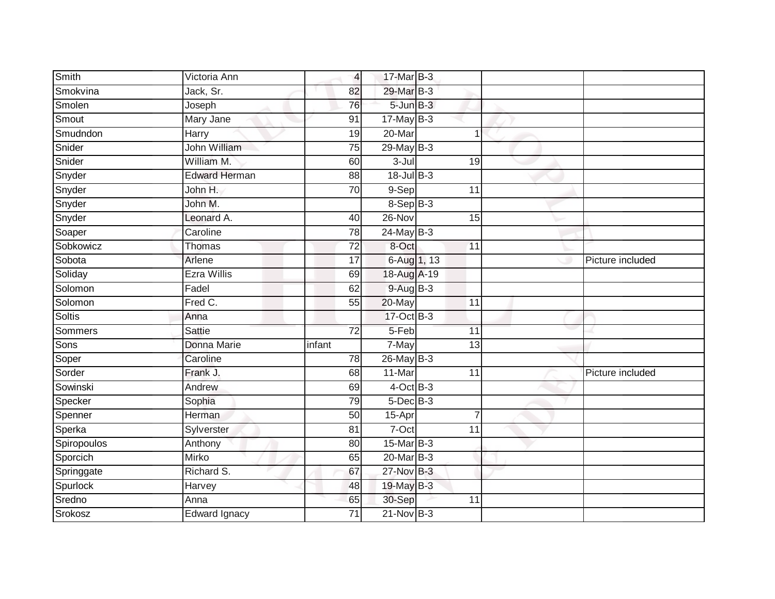| Smith         | Victoria Ann         | $\overline{4}$  | 17-Mar B-3         |                 |                  |
|---------------|----------------------|-----------------|--------------------|-----------------|------------------|
| Smokvina      | Jack, Sr.            | 82              | 29-Mar B-3         |                 |                  |
| Smolen        | Joseph               | 76              | 5-Jun B-3          |                 |                  |
| Smout         | Mary Jane            | 91              | $17$ -May B-3      |                 |                  |
| Smudndon      | Harry                | 19              | 20-Mar             | 1               |                  |
| Snider        | John William         | 75              | 29-May B-3         |                 |                  |
| Snider        | William M.           | 60              | 3-Jul              | 19              |                  |
| Snyder        | <b>Edward Herman</b> | 88              | $18 -$ Jul $B - 3$ |                 |                  |
| Snyder        | John H.              | 70              | 9-Sep              | 11              |                  |
| Snyder        | John M.              |                 | $8-SepB-3$         |                 |                  |
| Snyder        | Leonard A.           | 40              | $26 - Nov$         | 15              |                  |
| Soaper        | Caroline             | 78              | $24$ -May $B-3$    |                 |                  |
| Sobkowicz     | Thomas               | 72              | 8-Oct              | 11              |                  |
| Sobota        | Arlene               | 17              | 6-Aug 1, 13        |                 | Picture included |
| Soliday       | <b>Ezra Willis</b>   | 69              | 18-Aug A-19        |                 |                  |
| Solomon       | Fadel                | 62              | 9-Aug B-3          |                 |                  |
| Solomon       | Fred C.              | $\overline{55}$ | 20-May             | $\overline{11}$ |                  |
| <b>Soltis</b> | Anna                 |                 | 17-Oct B-3         |                 |                  |
| Sommers       | <b>Sattie</b>        | $\overline{72}$ | 5-Feb              | 11              |                  |
| Sons          | Donna Marie          | infant          | 7-May              | $\overline{13}$ |                  |
| Soper         | Caroline             | 78              | 26-May B-3         |                 |                  |
| Sorder        | Frank J.             | 68              | 11-Mar             | 11              | Picture included |
| Sowinski      | Andrew               | 69              | $4$ -Oct B-3       |                 |                  |
| Specker       | Sophia               | 79              | $5$ -Dec $B$ -3    |                 |                  |
| Spenner       | Herman               | $\overline{50}$ | 15-Apr             | $\overline{7}$  |                  |
| Sperka        | Sylverster           | 81              | $7-Oct$            | 11              |                  |
| Spiropoulos   | Anthony              | 80              | 15-Mar B-3         |                 |                  |
| Sporcich      | Mirko                | 65              | 20-Mar B-3         |                 |                  |
| Springgate    | Richard S.           | 67              | 27-Nov B-3         |                 |                  |
| Spurlock      | Harvey               | 48              | 19-May B-3         |                 |                  |
| Sredno        | Anna                 | 65              | 30-Sep             | 11              |                  |
| Srokosz       | Edward Ignacy        | $\overline{71}$ | $21-Nov$ B-3       |                 |                  |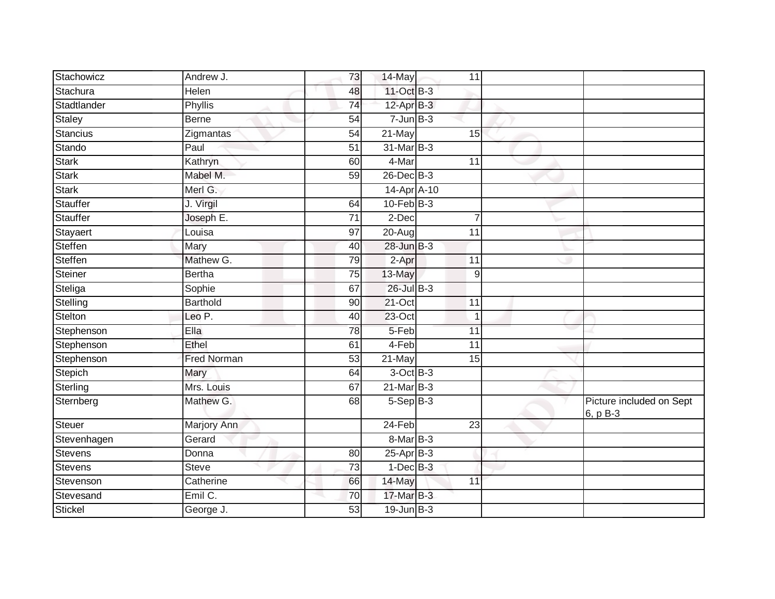| Stachowicz     | Andrew J.          | 73              | 14-May               | 11              |                                      |
|----------------|--------------------|-----------------|----------------------|-----------------|--------------------------------------|
| Stachura       | <b>Helen</b>       | 48              | 11-Oct B-3           |                 |                                      |
| Stadtlander    | Phyllis            | $\overline{74}$ | 12-Apr B-3           |                 |                                      |
| Staley         | <b>Berne</b>       | 54              | $7 - Jun$ B-3        |                 |                                      |
| Stancius       | Zigmantas          | $\overline{54}$ | 21-May               | 15              |                                      |
| Stando         | Paul               | 51              | 31-Mar B-3           |                 |                                      |
| <b>Stark</b>   | Kathryn            | 60              | 4-Mar                | 11              |                                      |
| <b>Stark</b>   | Mabel M.           | 59              | $26$ -Dec $B-3$      |                 |                                      |
| Stark          | Merl G.            |                 | 14-Apr A-10          |                 |                                      |
| Stauffer       | J. Virgil          | 64              | $10$ -Feb $B-3$      |                 |                                      |
| Stauffer       | Joseph E.          | $\overline{71}$ | 2-Dec                | $\overline{7}$  |                                      |
| Stayaert       | Louisa             | 97              | $\overline{20}$ -Aug | 11              |                                      |
| Steffen        | Mary               | 40              | $28 - Jun$ $B-3$     |                 |                                      |
| Steffen        | Mathew G.          | 79              | 2-Apr                | 11              |                                      |
| Steiner        | <b>Bertha</b>      | $\overline{75}$ | 13-May               | $\overline{9}$  |                                      |
| Steliga        | Sophie             | 67              | $26$ -Jul B-3        |                 |                                      |
| Stelling       | <b>Barthold</b>    | 90              | $21$ -Oct            | $\overline{11}$ |                                      |
| Stelton        | Leo P.             | 40              | $23$ -Oct            | $\mathbf 1$     |                                      |
| Stephenson     | Ella               | 78              | 5-Feb                | $\overline{11}$ |                                      |
| Stephenson     | Ethel              | 61              | $4-Feb$              | $\overline{11}$ |                                      |
| Stephenson     | <b>Fred Norman</b> | 53              | 21-May               | 15              |                                      |
| Stepich        | Mary               | 64              | $3-OctB-3$           |                 |                                      |
| Sterling       | Mrs. Louis         | 67              | $21$ -Mar $B-3$      |                 |                                      |
| Sternberg      | Mathew G.          | 68              | $5-Sep$ B-3          |                 | Picture included on Sept<br>6, p B-3 |
| <b>Steuer</b>  | <b>Marjory Ann</b> |                 | $24-Feb$             | $\overline{23}$ |                                      |
| Stevenhagen    | Gerard             |                 | 8-Mar B-3            |                 |                                      |
| Stevens        | Donna              | 80              | $25$ -Apr $B-3$      |                 |                                      |
| <b>Stevens</b> | <b>Steve</b>       | 73              | $1-Dec$ B-3          |                 |                                      |
| Stevenson      | Catherine          | 66              | 14-May               | 11              |                                      |
| Stevesand      | Emil C.            | 70              | 17-Mar B-3           |                 |                                      |
| Stickel        | George J.          | 53              | $19$ -Jun $B-3$      |                 |                                      |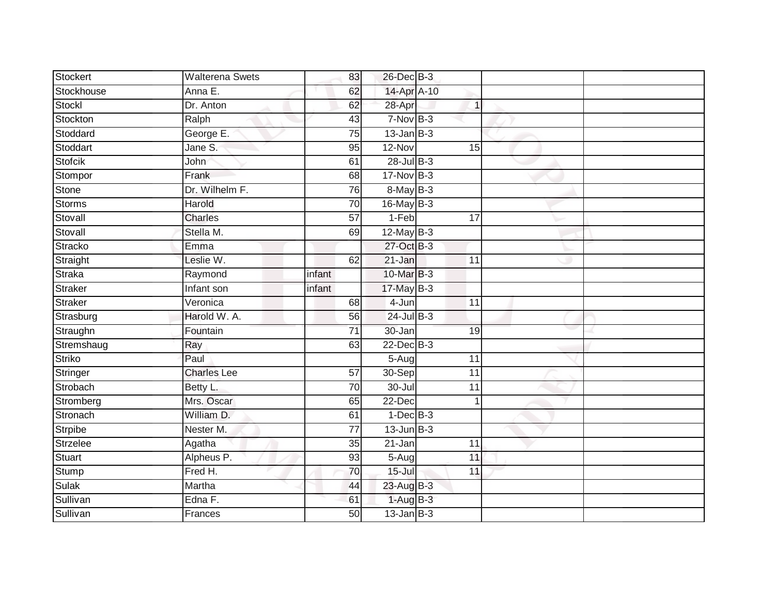| Stockert      | <b>Walterena Swets</b> | 83              | 26-Dec B-3      |                 |  |
|---------------|------------------------|-----------------|-----------------|-----------------|--|
| Stockhouse    | Anna E.                | 62              | 14-Apr A-10     |                 |  |
| Stockl        | Dr. Anton              | 62              | 28-Apr          | $\mathbf{1}$    |  |
| Stockton      | Ralph                  | 43              | $7-Nov$ B-3     |                 |  |
| Stoddard      | George E.              | $\overline{75}$ | $13$ -Jan $B-3$ |                 |  |
| Stoddart      | Jane S.                | 95              | 12-Nov          | 15              |  |
| Stofcik       | John                   | 61              | $28$ -Jul B-3   |                 |  |
| Stompor       | Frank                  | 68              | 17-Nov B-3      |                 |  |
| Stone         | Dr. Wilhelm F.         | 76              | 8-May B-3       |                 |  |
| Storms        | Harold                 | $\overline{70}$ | 16-May B-3      |                 |  |
| Stovall       | Charles                | 57              | $1-Feb$         | 17              |  |
| Stovall       | Stella M.              | 69              | $12$ -May B-3   |                 |  |
| Stracko       | Emma                   |                 | 27-Oct B-3      |                 |  |
| Straight      | Leslie W.              | 62              | 21-Jan          | 11              |  |
| Straka        | Raymond                | infant          | 10-Mar B-3      |                 |  |
| Straker       | Infant son             | infant          | $17$ -May B-3   |                 |  |
| Straker       | Veronica               | 68              | 4-Jun           | $\overline{11}$ |  |
| Strasburg     | Harold W. A.           | 56              | $24$ -Jul $B-3$ |                 |  |
| Straughn      | Fountain               | $\overline{71}$ | 30-Jan          | 19              |  |
| Stremshaug    | Ray                    | 63              | $22$ -Dec $B-3$ |                 |  |
| <b>Striko</b> | Paul                   |                 | $5-Aug$         | 11              |  |
| Stringer      | <b>Charles Lee</b>     | 57              | $30-$ Sep       | $\overline{11}$ |  |
| Strobach      | Betty L.               | 70              | $30 -$ Jul      | 11              |  |
| Stromberg     | Mrs. Oscar             | 65              | 22-Dec          | $\mathbf{1}$    |  |
| Stronach      | William D.             | 61              | $1-Dec$ B-3     |                 |  |
| Strpibe       | Nester M.              | 77              | $13$ -Jun $B-3$ |                 |  |
| Strzelee      | Agatha                 | 35              | $21 - Jan$      | 11              |  |
| <b>Stuart</b> | Alpheus P.             | 93              | $5-Aug$         | 11              |  |
| Stump         | Fred H.                | 70              | $15 -$ Jul      | 11              |  |
| <b>Sulak</b>  | Martha                 | 44              | 23-Aug B-3      |                 |  |
| Sullivan      | Edna $\overline{F}$ .  | 61              | $1-AugB-3$      |                 |  |
| Sullivan      | Frances                | $\overline{50}$ | $13$ -Jan B-3   |                 |  |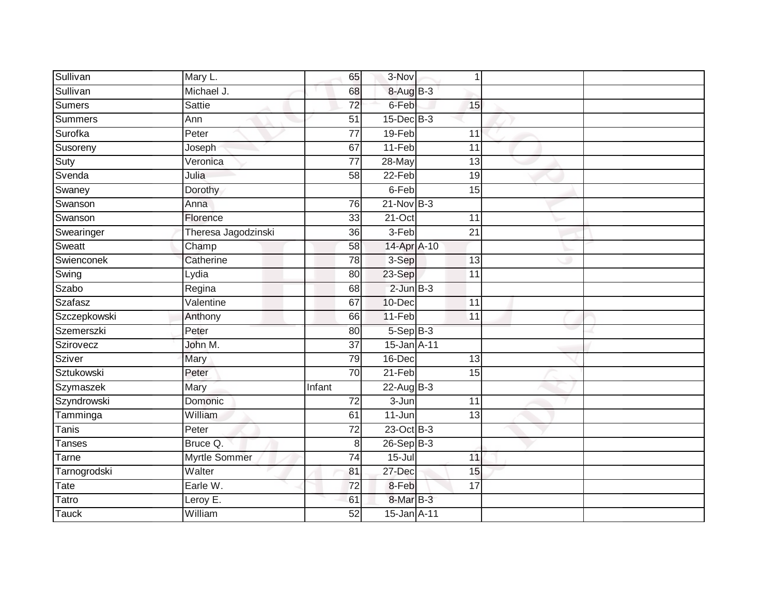| Sullivan     | Mary L.              | 65              | 3-Nov            | 1               |  |
|--------------|----------------------|-----------------|------------------|-----------------|--|
| Sullivan     | Michael J.           | 68              | 8-Aug B-3        |                 |  |
| Sumers       | Sattie               | $\overline{72}$ | 6-Feb            | 15              |  |
| Summers      | Ann                  | $\overline{51}$ | $15$ -Dec $B$ -3 |                 |  |
| Surofka      | Peter                | $\overline{77}$ | 19-Feb           | 11              |  |
| Susoreny     | Joseph               | 67              | 11-Feb           | 11              |  |
| Suty         | Veronica             | $\overline{77}$ | 28-May           | 13              |  |
| Svenda       | Julia                | 58              | 22-Feb           | 19              |  |
| Swaney       | Dorothy              |                 | 6-Feb            | 15              |  |
| Swanson      | Anna                 | 76              | $21-Nov$ B-3     |                 |  |
| Swanson      | Florence             | 33              | $21-Oct$         | 11              |  |
| Swearinger   | Theresa Jagodzinski  | 36              | 3-Feb            | 21              |  |
| Sweatt       | Champ                | 58              | 14-Apr A-10      |                 |  |
| Swienconek   | Catherine            | 78              | 3-Sep            | 13              |  |
| Swing        | Lydia                | $\overline{80}$ | 23-Sep           | $\overline{11}$ |  |
| Szabo        | Regina               | 68              | $2$ -Jun $B-3$   |                 |  |
| Szafasz      | Valentine            | 67              | 10-Dec           | $\overline{11}$ |  |
| Szczepkowski | Anthony              | 66              | 11-Feb           | 11              |  |
| Szemerszki   | Peter                | 80              | $5-$ Sep $B-3$   |                 |  |
| Szirovecz    | John M.              | $\overline{37}$ | 15-Jan A-11      |                 |  |
| Sziver       | Mary                 | 79              | 16-Dec           | 13              |  |
| Sztukowski   | Peter                | 70              | $21-Feb$         | 15              |  |
| Szymaszek    | Mary                 | Infant          | $22$ -Aug B-3    |                 |  |
| Szyndrowski  | Domonic              | 72              | $3 - Jun$        | 11              |  |
| Tamminga     | William              | 61              | 11-Jun           | 13              |  |
| Tanis        | Peter                | $\overline{72}$ | 23-Oct B-3       |                 |  |
| Tanses       | Bruce Q.             | 8 <sup>1</sup>  | $26-SepB-3$      |                 |  |
| Tarne        | <b>Myrtle Sommer</b> | 74              | $15 -$ Jul       | 11              |  |
| Tarnogrodski | Walter               | 81              | 27-Dec           | 15              |  |
| Tate         | Earle W.             | 72              | 8-Feb            | 17              |  |
| Tatro        | Leroy E.             | 61              | 8-Mar B-3        |                 |  |
| <b>Tauck</b> | William              | 52              | 15-Jan A-11      |                 |  |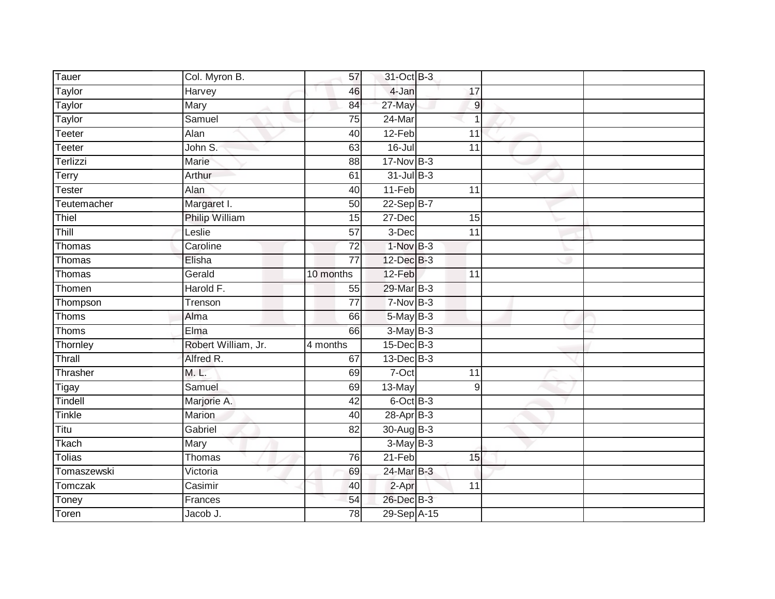| Tauer         | Col. Myron B.       | 57              | 31-Oct B-3      |                 |  |
|---------------|---------------------|-----------------|-----------------|-----------------|--|
| Taylor        | Harvey              | 46              | 4-Jan           | 17              |  |
| Taylor        | Mary                | 84              | 27-May          | $\overline{9}$  |  |
| Taylor        | Samuel              | 75              | 24-Mar          | $\mathbf 1$     |  |
| <b>Teeter</b> | Alan                | 40              | $12-Feb$        | $\overline{11}$ |  |
| Teeter        | John S.             | 63              | $16 -$ Jul      | $\overline{11}$ |  |
| Terlizzi      | Marie               | 88              | $17$ -Nov $B-3$ |                 |  |
| Terry         | Arthur              | 61              | $31$ -Jul B-3   |                 |  |
| Tester        | Alan                | 40              | 11-Feb          | 11              |  |
| Teutemacher   | Margaret I.         | 50              | 22-Sep B-7      |                 |  |
| Thiel         | Philip William      | 15              | 27-Dec          | 15              |  |
| Thill         | Leslie              | 57              | 3-Dec           | 11              |  |
| Thomas        | Caroline            | $\overline{72}$ | $1-NovB-3$      |                 |  |
| Thomas        | Elisha              | 77              | 12-Dec B-3      |                 |  |
| Thomas        | Gerald              | 10 months       | 12-Feb          | $\overline{11}$ |  |
| Thomen        | Harold F.           | 55              | 29-Mar B-3      |                 |  |
| Thompson      | Trenson             | 77              | $7-Nov$ B-3     |                 |  |
| Thoms         | Alma                | 66              | $5$ -May $B-3$  |                 |  |
| Thoms         | Elma                | 66              | $3-May$ B-3     |                 |  |
| Thornley      | Robert William, Jr. | 4 months        | $15$ -Dec $B-3$ |                 |  |
| Thrall        | Alfred R.           | 67              | 13-Dec B-3      |                 |  |
| Thrasher      | M. L.               | 69              | $7-Oct$         | $\overline{11}$ |  |
| Tigay         | Samuel              | 69              | 13-May          | 9               |  |
| Tindell       | Marjorie A.         | 42              | 6-Oct B-3       |                 |  |
| Tinkle        | Marion              | 40              | 28-Apr B-3      |                 |  |
| Titu          | Gabriel             | 82              | 30-Aug B-3      |                 |  |
| Tkach         | Mary                |                 | $3-May$ B-3     |                 |  |
| Tolias        | Thomas              | 76              | $21-Feb$        | 15              |  |
| Tomaszewski   | Victoria            | 69              | 24-Mar B-3      |                 |  |
| Tomczak       | Casimir             | 40              | 2-Apr           | 11              |  |
| Toney         | Frances             | 54              | 26-Dec B-3      |                 |  |
| Toren         | Jacob J.            | $\overline{78}$ | 29-Sep A-15     |                 |  |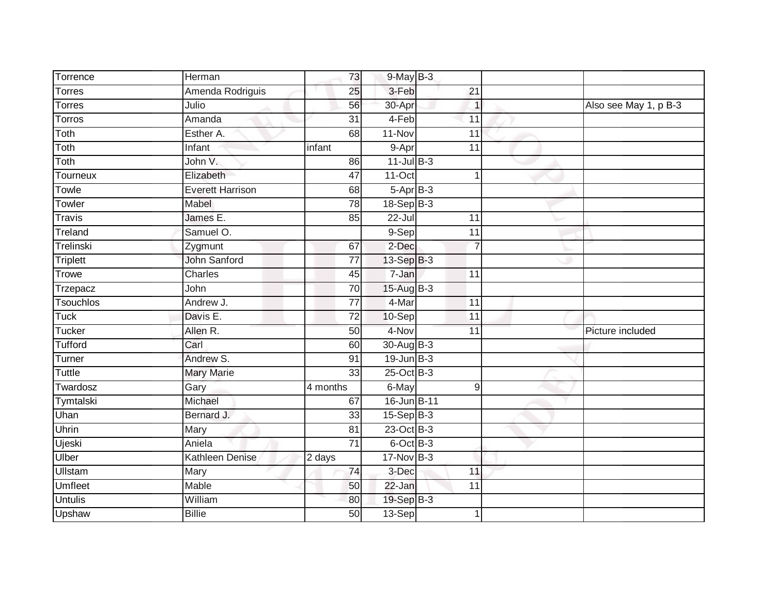| Torrence       | Herman                  | 73              | $9$ -May $B-3$              |                 |                |                       |
|----------------|-------------------------|-----------------|-----------------------------|-----------------|----------------|-----------------------|
| <b>Torres</b>  | Amenda Rodriguis        | 25              | 3-Feb                       | 21              |                |                       |
| <b>Torres</b>  | Julio                   | 56              | 30-Apr                      |                 | $\mathbf{1}$   | Also see May 1, p B-3 |
| Torros         | Amanda                  | $\overline{31}$ | 4-Feb                       | 11              |                |                       |
| Toth           | Esther A.               | 68              | $11-Nov$                    | 11              |                |                       |
| Toth           | Infant                  | infant          | 9-Apr                       | 11              |                |                       |
| Toth           | John V.                 | 86              | $11$ -Jul $B-3$             |                 |                |                       |
| Tourneux       | Elizabeth               | 47              | $11-Oct$                    |                 | $\mathbf 1$    |                       |
| Towle          | <b>Everett Harrison</b> | 68              | $5-AprB-3$                  |                 |                |                       |
| Towler         | Mabel                   | $\overline{78}$ | $18-Sep$ B-3                |                 |                |                       |
| Travis         | James E.                | 85              | $22$ -Jul                   | 11              |                |                       |
| Treland        | Samuel O.               |                 | $9-Sep$                     | $\overline{11}$ |                |                       |
| Trelinski      | Zygmunt                 | 67              | 2-Dec                       |                 | $\overline{7}$ |                       |
| Triplett       | <b>John Sanford</b>     | 77              | 13-Sep B-3                  |                 |                |                       |
| Trowe          | <b>Charles</b>          | 45              | 7-Jan                       | 11              |                |                       |
| Trzepacz       | John                    | 70              | $15$ -Aug B-3               |                 |                |                       |
| Tsouchlos      | Andrew J.               | $\overline{77}$ | 4-Mar                       | 11              |                |                       |
| Tuck           | Davis E.                | $\overline{72}$ | $10-Sep$                    | $\overline{11}$ |                |                       |
| Tucker         | Allen R.                | 50              | 4-Nov                       | 11              |                | Picture included      |
| <b>Tufford</b> | Carl                    | 60              | $30-Aug$ B-3                |                 |                |                       |
| Turner         | Andrew S.               | 91              | $19$ -Jun $B-3$             |                 |                |                       |
| <b>Tuttle</b>  | <b>Mary Marie</b>       | $\overline{33}$ | $25$ -Oct $\overline{B}$ -3 |                 |                |                       |
| Twardosz       | Gary                    | 4 months        | 6-May                       |                 | 9              |                       |
| Tymtalski      | Michael                 | 67              | 16-Jun B-11                 |                 |                |                       |
| Uhan           | Bernard J.              | 33              | $15-Sep$ B-3                |                 |                |                       |
| Uhrin          | Mary                    | 81              | 23-Oct B-3                  |                 |                |                       |
| Ujeski         | Aniela                  | $\overline{71}$ | 6-Oct B-3                   |                 |                |                       |
| Ulber          | Kathleen Denise         | 2 days          | $17$ -Nov B-3               |                 |                |                       |
| <b>Ullstam</b> | Mary                    | 74              | 3-Dec                       | 11              |                |                       |
| <b>Umfleet</b> | Mable                   | 50              | 22-Jan                      | 11              |                |                       |
| <b>Untulis</b> | William                 | 80              | 19-Sep B-3                  |                 |                |                       |
| Upshaw         | <b>Billie</b>           | 50              | 13-Sep                      |                 | 1              |                       |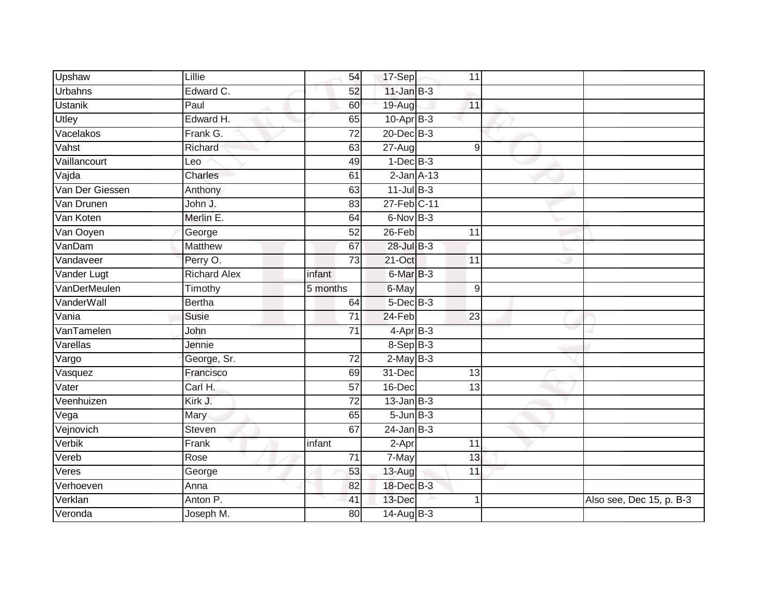| Upshaw              | Lillie              | 54              | 17-Sep          | 11              |                          |
|---------------------|---------------------|-----------------|-----------------|-----------------|--------------------------|
| Urbahns             | Edward C.           | 52              | $11$ -Jan $B-3$ |                 |                          |
| <b>Ustanik</b>      | Paul                | 60              | 19-Aug          | 11              |                          |
| Utley               | Edward H.           | 65              | $10$ -Apr $B-3$ |                 |                          |
| Vacelakos           | Frank G.            | $\overline{72}$ | $20$ -Dec $B-3$ |                 |                          |
| Vahst               | Richard             | 63              | $27 - Aug$      | 9               |                          |
| Vaillancourt        | Leo                 | 49              | $1-Dec$ B-3     |                 |                          |
| Vajda               | Charles             | 61              | $2$ -Jan $A-13$ |                 |                          |
| Van Der Giessen     | Anthony             | 63              | $11$ -Jul $B-3$ |                 |                          |
| Van Drunen          | John J.             | 83              | 27-Feb C-11     |                 |                          |
| Van Koten           | Merlin E.           | 64              | $6$ -Nov $B-3$  |                 |                          |
| Van Ooyen           | George              | $\overline{52}$ | $26$ -Feb       | 11              |                          |
| VanDam              | Matthew             | 67              | $28$ -Jul B-3   |                 |                          |
| Vandaveer           | Perry O.            | 73              | 21-Oct          | 11              |                          |
| Vander Lugt         | <b>Richard Alex</b> | infant          | 6-Mar B-3       |                 |                          |
| <b>VanDerMeulen</b> | Timothy             | 5 months        | 6-May           | $9\,$           |                          |
| <b>VanderWall</b>   | <b>Bertha</b>       | 64              | $5$ -Dec $B$ -3 |                 |                          |
| Vania               | Susie               | $\overline{71}$ | 24-Feb          | $\overline{23}$ |                          |
| VanTamelen          | John                | $\overline{71}$ | 4-Apr B-3       |                 |                          |
| Varellas            | Jennie              |                 | 8-Sep B-3       |                 |                          |
| Vargo               | George, Sr.         | 72              | $2$ -May $B-3$  |                 |                          |
| Vasquez             | Francisco           | 69              | 31-Dec          | 13              |                          |
| Vater               | Carl H.             | 57              | 16-Dec          | 13              |                          |
| Veenhuizen          | Kirk J.             | $\overline{72}$ | $13$ -Jan B-3   |                 |                          |
| Vega                | Mary                | 65              | $5 - Jun$ $B-3$ |                 |                          |
| Vejnovich           | Steven              | 67              | $24$ -Jan B-3   |                 |                          |
| Verbik              | Frank               | infant          | 2-Apr           | 11              |                          |
| Vereb               | Rose                | 71              | 7-May           | 13              |                          |
| Veres               | George              | 53              | 13-Aug          | 11              |                          |
| Verhoeven           | Anna                | 82              | 18-Dec B-3      |                 |                          |
| Verklan             | Anton P.            | 41              | 13-Dec          | 1               | Also see, Dec 15, p. B-3 |
| Veronda             | Joseph M.           | $\overline{80}$ | $14$ -Aug B-3   |                 |                          |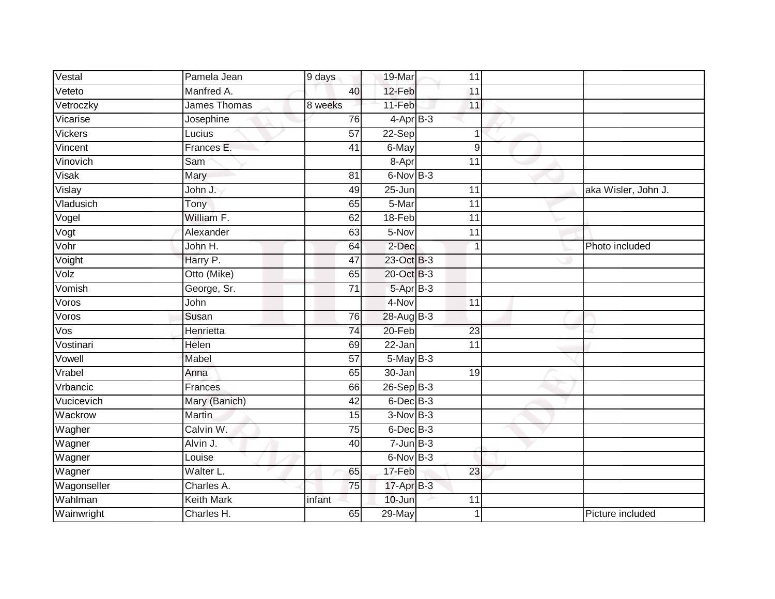| Vestal                  | Pamela Jean       | 9 days          | 19-Mar          | 11              |                     |
|-------------------------|-------------------|-----------------|-----------------|-----------------|---------------------|
| Veteto                  | Manfred A.        | 40              | 12-Feb          | 11              |                     |
| Vetroczky               | James Thomas      | 8 weeks         | 11-Feb          | 11              |                     |
| Vicarise                | Josephine         | 76              | $4-AprB-3$      |                 |                     |
| Vickers                 | Lucius            | $\overline{57}$ | 22-Sep          |                 |                     |
| Vincent                 | Frances E.        | 41              | 6-May           | 9               |                     |
| Vinovich                | Sam               |                 | 8-Apr           | 11              |                     |
| Visak                   | Mary              | 81              | 6-Nov B-3       |                 |                     |
| Vislay                  | John J.           | 49              | $25 - Jun$      | 11              | aka Wisler, John J. |
| Vladusich               | Tony              | 65              | 5-Mar           | $\overline{11}$ |                     |
| Vogel                   | William F.        | 62              | 18-Feb          | 11              |                     |
| Vogt                    | Alexander         | 63              | 5-Nov           | 11              |                     |
| Vohr                    | John H.           | 64              | 2-Dec           |                 | Photo included      |
| Voight                  | Harry P.          | 47              | 23-Oct B-3      |                 |                     |
| Volz                    | Otto (Mike)       | 65              | 20-Oct B-3      |                 |                     |
| Vomish                  | George, Sr.       | 71              | 5-Apr B-3       |                 |                     |
| Voros                   | John              |                 | 4-Nov           | $\overline{11}$ |                     |
| Voros                   | Susan             | 76              | 28-Aug B-3      |                 |                     |
| $\overline{\text{Vos}}$ | Henrietta         | 74              | 20-Feb          | 23              |                     |
| Vostinari               | Helen             | 69              | $22 - Jan$      | $\overline{11}$ |                     |
| Vowell                  | Mabel             | 57              | $5$ -May $B-3$  |                 |                     |
| Vrabel                  | Anna              | 65              | 30-Jan          | 19              |                     |
| Vrbancic                | Frances           | 66              | $26-Sep$ B-3    |                 |                     |
| Vucicevich              | Mary (Banich)     | 42              | $6$ -Dec $B$ -3 |                 |                     |
| Wackrow                 | Martin            | 15              | $3-Nov$ B-3     |                 |                     |
| Wagher                  | Calvin W.         | 75              | 6-Dec B-3       |                 |                     |
| Wagner                  | Alvin J.          | 40              | $7 - Jun$ B-3   |                 |                     |
| Wagner                  | Louise            |                 | $6$ -Nov $B-3$  |                 |                     |
| Wagner                  | Walter L.         | 65              | 17-Feb          | 23              |                     |
| Wagonseller             | Charles A.        | 75              | 17-Apr B-3      |                 |                     |
| Wahlman                 | <b>Keith Mark</b> | infant          | 10-Jun          | 11              |                     |
| Wainwright              | Charles H.        | 65              | 29-May          | $\overline{1}$  | Picture included    |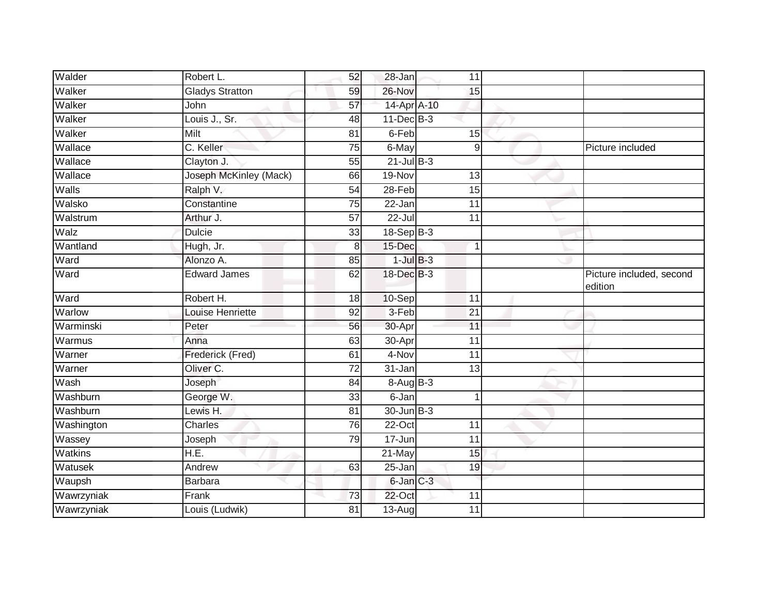| Walder         | Robert L.              | 52               | 28-Jan          | 11              |                                     |
|----------------|------------------------|------------------|-----------------|-----------------|-------------------------------------|
| Walker         | <b>Gladys Stratton</b> | 59               | 26-Nov          | 15              |                                     |
| Walker         | John                   | 57               | 14-Apr A-10     |                 |                                     |
| Walker         | Louis J., Sr.          | 48               | $11$ -Dec $B-3$ |                 |                                     |
| Walker         | Milt                   | $\overline{81}$  | 6-Feb           | 15              |                                     |
| Wallace        | C. Keller              | 75               | 6-May           | 9               | Picture included                    |
| Wallace        | Clayton J.             | 55               | $21$ -Jul $B-3$ |                 |                                     |
| Wallace        | Joseph McKinley (Mack) | 66               | 19-Nov          | 13              |                                     |
| Walls          | Ralph V.               | 54               | 28-Feb          | 15              |                                     |
| Walsko         | Constantine            | 75               | 22-Jan          | $\overline{11}$ |                                     |
| Walstrum       | Arthur J.              | $\overline{57}$  | $22 -$ Jul      | 11              |                                     |
| Walz           | <b>Dulcie</b>          | 33               | $18-Sep$ B-3    |                 |                                     |
| Wantland       | Hugh, Jr.              | $\boldsymbol{8}$ | 15-Dec          | 1               |                                     |
| Ward           | Alonzo A.              | 85               | $1$ -Jul $B-3$  |                 |                                     |
| Ward           | <b>Edward James</b>    | 62               | 18-Dec B-3      |                 | Picture included, second<br>edition |
| Ward           | Robert H.              | 18               | 10-Sep          | 11              |                                     |
| Warlow         | Louise Henriette       | 92               | $3-Feb$         | 21              |                                     |
| Warminski      | Peter                  | 56               | 30-Apr          | 11              |                                     |
| Warmus         | Anna                   | 63               | $30 -$ Apr      | 11              |                                     |
| Warner         | Frederick (Fred)       | 61               | $4-Nov$         | $\overline{11}$ |                                     |
| Warner         | Oliver C.              | 72               | 31-Jan          | 13              |                                     |
| Wash           | Joseph                 | 84               | 8-Aug B-3       |                 |                                     |
| Washburn       | George W.              | 33               | 6-Jan           | 1               |                                     |
| Washburn       | Lewis H.               | 81               | $30 - Jun$ B-3  |                 |                                     |
| Washington     | Charles                | 76               | $22-Oct$        | 11              |                                     |
| Wassey         | Joseph                 | 79               | 17-Jun          | 11              |                                     |
| <b>Watkins</b> | $\overline{H.E.}$      |                  | $21$ -May       | 15              |                                     |
| Watusek        | Andrew                 | 63               | 25-Jan          | 19              |                                     |
| Waupsh         | Barbara                |                  | 6-Jan C-3       |                 |                                     |
| Wawrzyniak     | Frank                  | 73               | 22-Oct          | 11              |                                     |
| Wawrzyniak     | Louis (Ludwik)         | 81               | $13-Aug$        | 11              |                                     |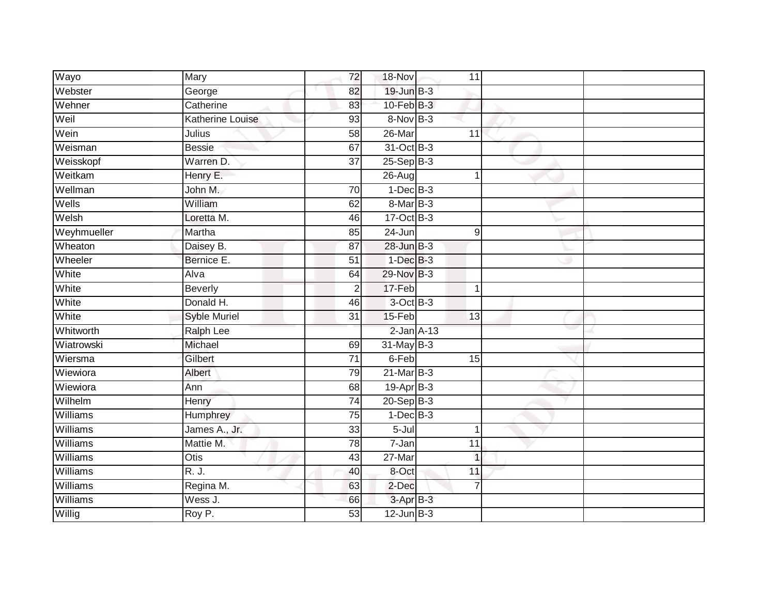| Wayo            | Mary                    | 72              | 18-Nov          | 11               |  |
|-----------------|-------------------------|-----------------|-----------------|------------------|--|
| Webster         | George                  | 82              | 19-Jun B-3      |                  |  |
| Wehner          | Catherine               | 83              | $10$ -Feb $B-3$ |                  |  |
| Weil            | <b>Katherine Louise</b> | 93              | 8-Nov B-3       |                  |  |
| Wein            | Julius                  | $\overline{58}$ | 26-Mar          | 11               |  |
| Weisman         | <b>Bessie</b>           | 67              | 31-Oct B-3      |                  |  |
| Weisskopf       | Warren D.               | 37              | $25-Sep$ B-3    |                  |  |
| Weitkam         | Henry E.                |                 | 26-Aug          | 1                |  |
| Wellman         | John M.                 | 70              | $1-Dec$ B-3     |                  |  |
| Wells           | William                 | 62              | 8-Mar B-3       |                  |  |
| Welsh           | Loretta M.              | 46              | $17-Oct$ B-3    |                  |  |
| Weyhmueller     | Martha                  | 85              | 24-Jun          | $\boldsymbol{9}$ |  |
| Wheaton         | Daisey B.               | 87              | 28-Jun B-3      |                  |  |
| Wheeler         | Bernice E.              | 51              | $1$ -Dec $B-3$  |                  |  |
| White           | Alva                    | 64              | 29-Nov B-3      |                  |  |
| White           | <b>Beverly</b>          | $\overline{2}$  | 17-Feb          |                  |  |
| White           | Donald H.               | 46              | $3$ -Oct $B-3$  |                  |  |
| White           | <b>Syble Muriel</b>     | 31              | 15-Feb          | 13               |  |
| Whitworth       | <b>Ralph Lee</b>        |                 | $2$ -Jan $A-13$ |                  |  |
| Wiatrowski      | Michael                 | 69              | 31-May B-3      |                  |  |
| Wiersma         | Gilbert                 | $\overline{71}$ | 6-Feb           | 15               |  |
| Wiewiora        | Albert                  | 79              | $21$ -Mar $B-3$ |                  |  |
| Wiewiora        | Ann                     | 68              | $19-Apr$ B-3    |                  |  |
| Wilhelm         | Henry                   | $\overline{74}$ | $20 - Sep$ B-3  |                  |  |
| Williams        | Humphrey                | $\overline{75}$ | $1$ -Dec $B-3$  |                  |  |
| Williams        | James A., Jr.           | 33              | 5-Jul           |                  |  |
| <b>Williams</b> | Mattie M.               | $\overline{78}$ | 7-Jan           | 11               |  |
| Williams        | Otis                    | 43              | 27-Mar          | $\mathbf{1}$     |  |
| Williams        | R. J.                   | 40              | 8-Oct           | 11               |  |
| Williams        | Regina M.               | 63              | 2-Dec           | $\overline{7}$   |  |
| Williams        | Wess J.                 | 66              | 3-Apr B-3       |                  |  |
| Willig          | Roy P.                  | $\overline{53}$ | $12$ -Jun $B-3$ |                  |  |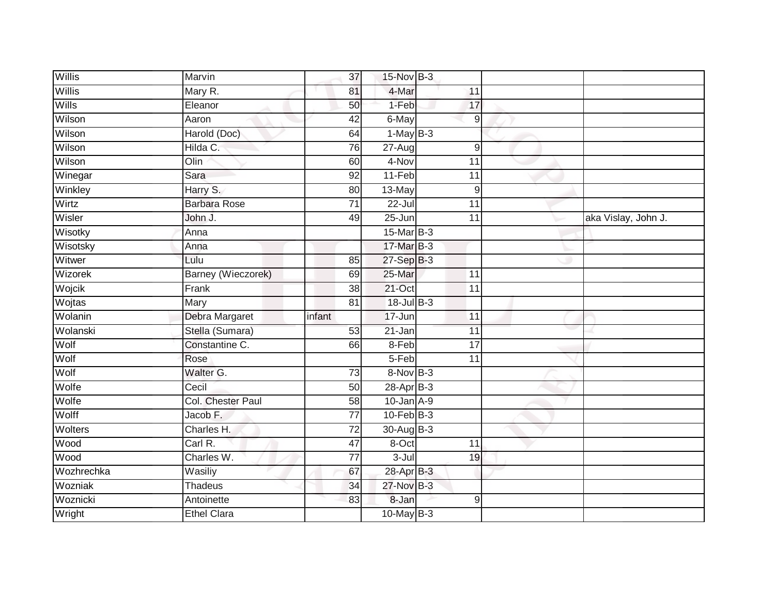| Willis     | Marvin              |        | 15-Nov B-3<br>37                   |                 |                 |                     |
|------------|---------------------|--------|------------------------------------|-----------------|-----------------|---------------------|
| Willis     | Mary R.             |        | 4-Mar<br>81                        | 11              |                 |                     |
| Wills      | Eleanor             |        | 1-Feb<br>50                        |                 | 17              |                     |
| Wilson     | Aaron               |        | $\overline{42}$<br>$6$ -May        |                 | 9               |                     |
| Wilson     | Harold (Doc)        |        | $1-MayB-3$<br>64                   |                 |                 |                     |
| Wilson     | Hilda C.            |        | 76<br>27-Aug                       |                 | $\overline{9}$  |                     |
| Wilson     | Olin                |        | 4-Nov<br>60                        | 11              |                 |                     |
| Winegar    | Sara                |        | 11-Feb<br>92                       |                 | 11              |                     |
| Winkley    | Harry S.            |        | $13-May$<br>80                     |                 | 9               |                     |
| Wirtz      | <b>Barbara Rose</b> |        | $22 -$ Jul<br>$\overline{71}$      |                 | $\overline{11}$ |                     |
| Wisler     | John J.             |        | $25 - Jun$<br>49                   | 11              |                 | aka Vislay, John J. |
| Wisotky    | Anna                |        | 15-Mar B-3                         |                 |                 |                     |
| Wisotsky   | Anna                |        | 17-Mar B-3                         |                 |                 |                     |
| Witwer     | Lulu                |        | 27-Sep B-3<br>85                   |                 |                 |                     |
| Wizorek    | Barney (Wieczorek)  |        | 25-Mar<br>69                       | $\overline{11}$ |                 |                     |
| Wojcik     | Frank               |        | $21$ -Oct<br>38                    | 11              |                 |                     |
| Wojtas     | Mary                |        | 18-Jul B-3<br>81                   |                 |                 |                     |
| Wolanin    | Debra Margaret      | infant | 17-Jun                             | 11              |                 |                     |
| Wolanski   | Stella (Sumara)     |        | 53<br>21-Jan                       | 11              |                 |                     |
| Wolf       | Constantine C.      |        | 8-Feb<br>66                        |                 | $\overline{17}$ |                     |
| Wolf       | Rose                |        | 5-Feb                              | 11              |                 |                     |
| Wolf       | Walter G.           |        | $8-NovB-3$<br>73                   |                 |                 |                     |
| Wolfe      | Cecil               |        | 28-Apr B-3<br>50                   |                 |                 |                     |
| Wolfe      | Col. Chester Paul   |        | $10$ -Jan $A-9$<br>58              |                 |                 |                     |
| Wolff      | Jacob F.            |        | $10$ -Feb $B-3$<br>$\overline{77}$ |                 |                 |                     |
| Wolters    | Charles H.          |        | $\overline{72}$<br>30-Aug B-3      |                 |                 |                     |
| Wood       | Carl R.             |        | $\overline{47}$<br>8-Oct           | $\overline{11}$ |                 |                     |
| Wood       | Charles W.          |        | $3 -$ Jul<br>77                    |                 | 19              |                     |
| Wozhrechka | Wasiliy             |        | 28-Apr B-3<br>67                   |                 |                 |                     |
| Wozniak    | Thadeus             |        | 27-Nov B-3<br>34                   |                 |                 |                     |
| Woznicki   | Antoinette          |        | 8-Jan<br>83                        |                 | 9               |                     |
| Wright     | <b>Ethel Clara</b>  |        | $10$ -May B-3                      |                 |                 |                     |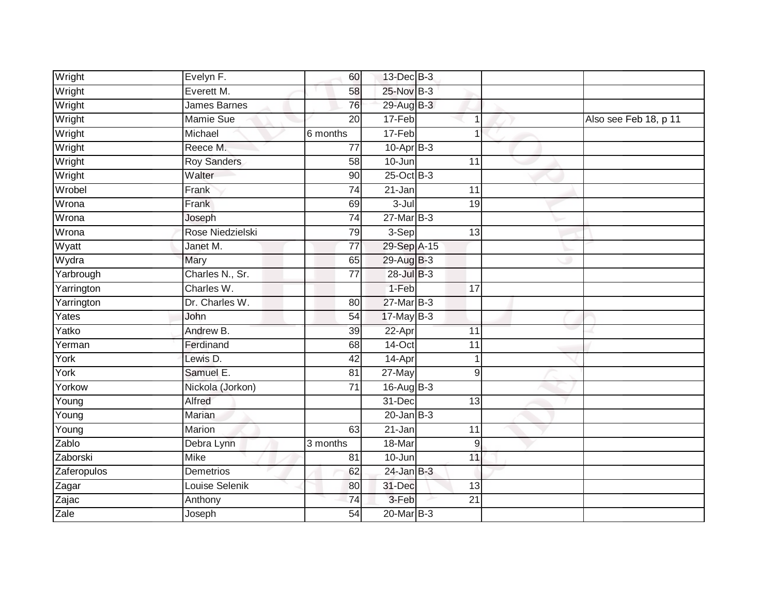| Wright      | Evelyn F.           | 60              | 13-Dec B-3      |                 |                       |
|-------------|---------------------|-----------------|-----------------|-----------------|-----------------------|
| Wright      | Everett M.          | 58              | 25-Nov B-3      |                 |                       |
| Wright      | <b>James Barnes</b> | 76              | 29-Aug B-3      |                 |                       |
| Wright      | <b>Mamie Sue</b>    | 20              | 17-Feb          | 1               | Also see Feb 18, p 11 |
| Wright      | Michael             | 6 months        | $17-Feb$        | $\overline{1}$  |                       |
| Wright      | Reece M.            | 77              | $10-AprB-3$     |                 |                       |
| Wright      | <b>Roy Sanders</b>  | 58              | 10-Jun          | 11              |                       |
| Wright      | Walter              | 90              | $25$ -Oct $B-3$ |                 |                       |
| Wrobel      | Frank               | 74              | 21-Jan          | 11              |                       |
| Wrona       | Frank               | 69              | $3 -$ Jul       | $\overline{19}$ |                       |
| Wrona       | Joseph              | 74              | $27$ -Mar $B-3$ |                 |                       |
| Wrona       | Rose Niedzielski    | 79              | 3-Sep           | $\overline{13}$ |                       |
| Wyatt       | Janet M.            | 77              | 29-Sep A-15     |                 |                       |
| Wydra       | Mary                | 65              | 29-Aug B-3      |                 |                       |
| Yarbrough   | Charles N., Sr.     | $\overline{77}$ | 28-Jul B-3      |                 |                       |
| Yarrington  | Charles W.          |                 | 1-Feb           | 17              |                       |
| Yarrington  | Dr. Charles W.      | 80              | 27-Mar B-3      |                 |                       |
| Yates       | John                | $\overline{54}$ | $17$ -May B-3   |                 |                       |
| Yatko       | Andrew B.           | 39              | 22-Apr          | 11              |                       |
| Yerman      | Ferdinand           | 68              | $14$ -Oct       | $\overline{11}$ |                       |
| York        | Lewis D.            | 42              | 14-Apr          | $\mathbf 1$     |                       |
| York        | Samuel E.           | 81              | 27-May          | $\overline{9}$  |                       |
| Yorkow      | Nickola (Jorkon)    | 71              | 16-Aug B-3      |                 |                       |
| Young       | Alfred              |                 | $31 - Dec$      | 13              |                       |
| Young       | Marian              |                 | $20$ -Jan $B-3$ |                 |                       |
| Young       | Marion              | 63              | $21 - Jan$      | 11              |                       |
| Zablo       | Debra Lynn          | 3 months        | 18-Mar          | 9               |                       |
| Zaborski    | Mike                | 81              | 10-Jun          | 11              |                       |
| Zaferopulos | <b>Demetrios</b>    | 62              | $24$ -Jan B-3   |                 |                       |
| Zagar       | Louise Selenik      | 80              | 31-Dec          | 13              |                       |
| Zajac       | Anthony             | 74              | 3-Feb           | 21              |                       |
| Zale        | Joseph              | $\overline{54}$ | 20-Mar B-3      |                 |                       |
|             |                     |                 |                 |                 |                       |